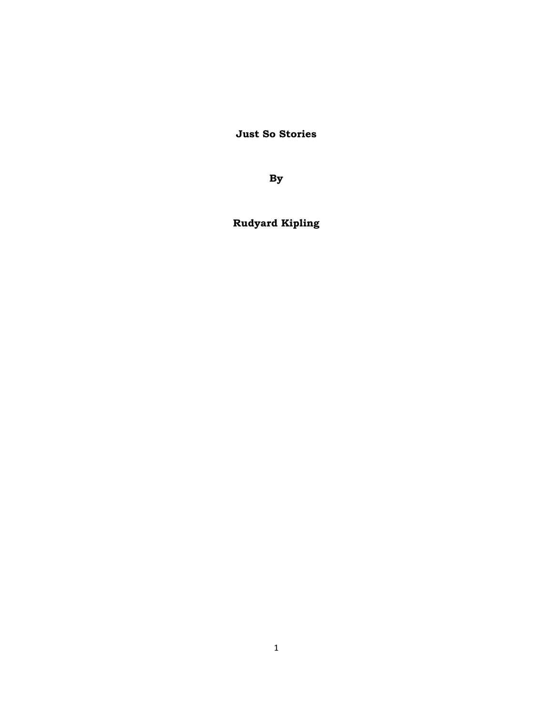**Just So Stories** 

**By** 

**Rudyard Kipling**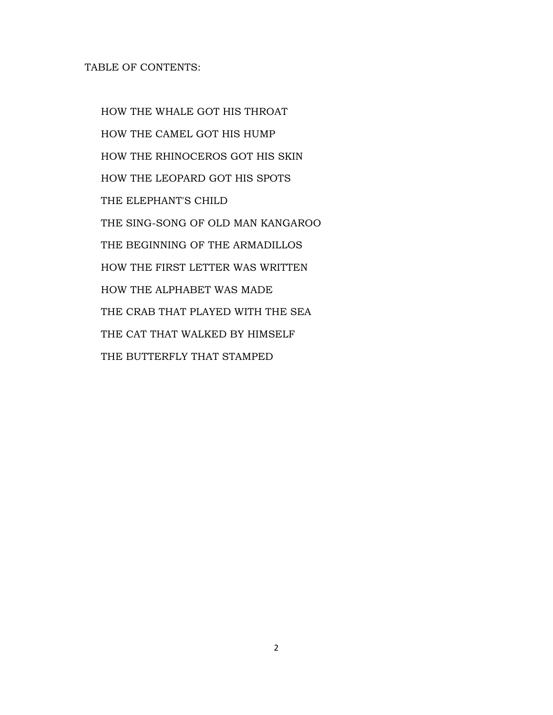# TABLE OF CONTENTS:

 HOW THE WHALE GOT HIS THROAT HOW THE CAMEL GOT HIS HUMP HOW THE RHINOCEROS GOT HIS SKIN HOW THE LEOPARD GOT HIS SPOTS THE ELEPHANT'S CHILD THE SING-SONG OF OLD MAN KANGAROO THE BEGINNING OF THE ARMADILLOS HOW THE FIRST LETTER WAS WRITTEN HOW THE ALPHABET WAS MADE THE CRAB THAT PLAYED WITH THE SEA THE CAT THAT WALKED BY HIMSELF THE BUTTERFLY THAT STAMPED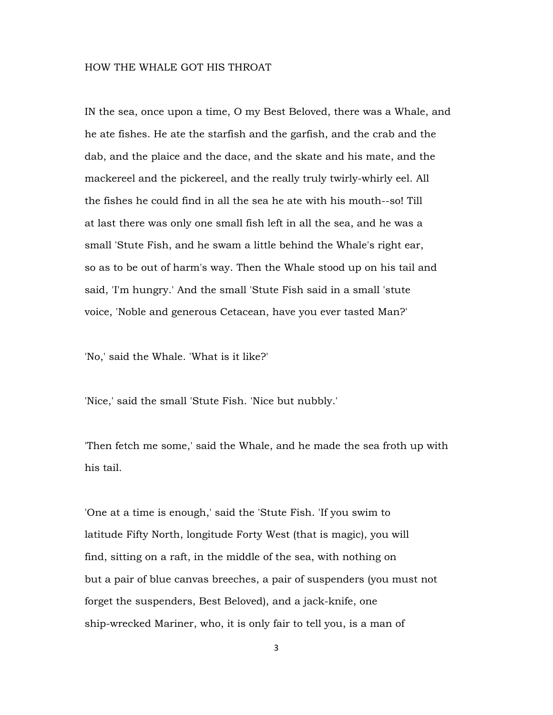### HOW THE WHALE GOT HIS THROAT

IN the sea, once upon a time, O my Best Beloved, there was a Whale, and he ate fishes. He ate the starfish and the garfish, and the crab and the dab, and the plaice and the dace, and the skate and his mate, and the mackereel and the pickereel, and the really truly twirly-whirly eel. All the fishes he could find in all the sea he ate with his mouth--so! Till at last there was only one small fish left in all the sea, and he was a small 'Stute Fish, and he swam a little behind the Whale's right ear, so as to be out of harm's way. Then the Whale stood up on his tail and said, 'I'm hungry.' And the small 'Stute Fish said in a small 'stute voice, 'Noble and generous Cetacean, have you ever tasted Man?'

'No,' said the Whale. 'What is it like?'

'Nice,' said the small 'Stute Fish. 'Nice but nubbly.'

'Then fetch me some,' said the Whale, and he made the sea froth up with his tail.

'One at a time is enough,' said the 'Stute Fish. 'If you swim to latitude Fifty North, longitude Forty West (that is magic), you will find, sitting on a raft, in the middle of the sea, with nothing on but a pair of blue canvas breeches, a pair of suspenders (you must not forget the suspenders, Best Beloved), and a jack-knife, one ship-wrecked Mariner, who, it is only fair to tell you, is a man of

3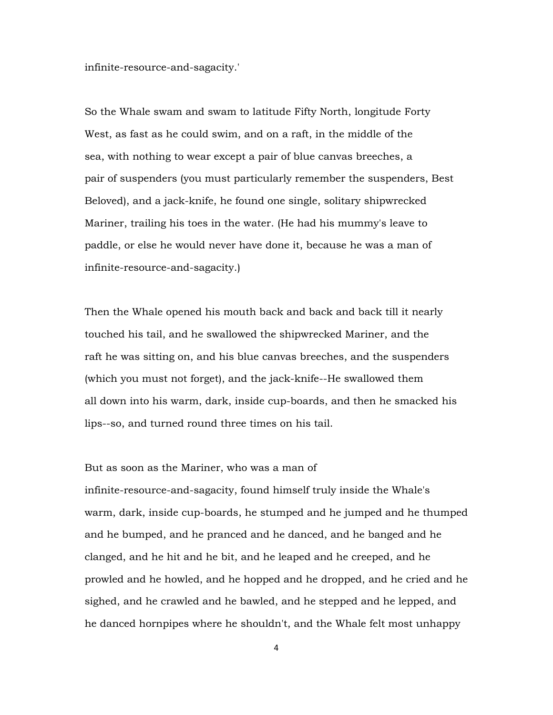infinite-resource-and-sagacity.'

So the Whale swam and swam to latitude Fifty North, longitude Forty West, as fast as he could swim, and on a raft, in the middle of the sea, with nothing to wear except a pair of blue canvas breeches, a pair of suspenders (you must particularly remember the suspenders, Best Beloved), and a jack-knife, he found one single, solitary shipwrecked Mariner, trailing his toes in the water. (He had his mummy's leave to paddle, or else he would never have done it, because he was a man of infinite-resource-and-sagacity.)

Then the Whale opened his mouth back and back and back till it nearly touched his tail, and he swallowed the shipwrecked Mariner, and the raft he was sitting on, and his blue canvas breeches, and the suspenders (which you must not forget), and the jack-knife--He swallowed them all down into his warm, dark, inside cup-boards, and then he smacked his lips--so, and turned round three times on his tail.

# But as soon as the Mariner, who was a man of

infinite-resource-and-sagacity, found himself truly inside the Whale's warm, dark, inside cup-boards, he stumped and he jumped and he thumped and he bumped, and he pranced and he danced, and he banged and he clanged, and he hit and he bit, and he leaped and he creeped, and he prowled and he howled, and he hopped and he dropped, and he cried and he sighed, and he crawled and he bawled, and he stepped and he lepped, and he danced hornpipes where he shouldn't, and the Whale felt most unhappy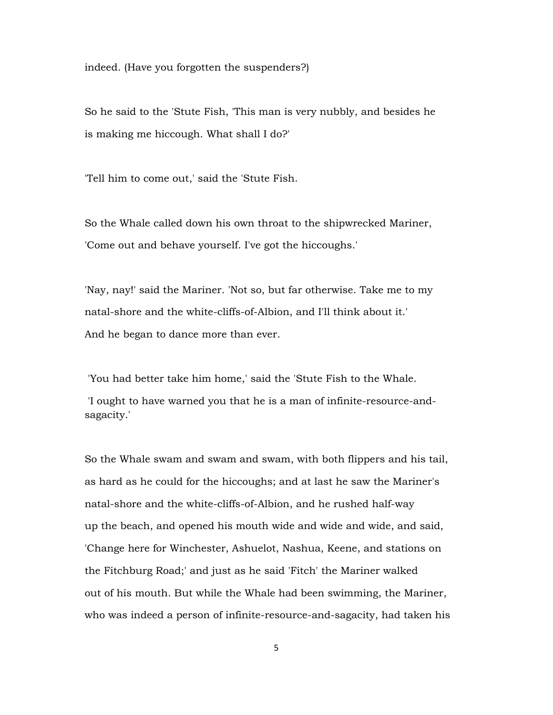indeed. (Have you forgotten the suspenders?)

So he said to the 'Stute Fish, 'This man is very nubbly, and besides he is making me hiccough. What shall I do?'

'Tell him to come out,' said the 'Stute Fish.

So the Whale called down his own throat to the shipwrecked Mariner, 'Come out and behave yourself. I've got the hiccoughs.'

'Nay, nay!' said the Mariner. 'Not so, but far otherwise. Take me to my natal-shore and the white-cliffs-of-Albion, and I'll think about it.' And he began to dance more than ever.

 'You had better take him home,' said the 'Stute Fish to the Whale. 'I ought to have warned you that he is a man of infinite-resource-andsagacity.'

So the Whale swam and swam and swam, with both flippers and his tail, as hard as he could for the hiccoughs; and at last he saw the Mariner's natal-shore and the white-cliffs-of-Albion, and he rushed half-way up the beach, and opened his mouth wide and wide and wide, and said, 'Change here for Winchester, Ashuelot, Nashua, Keene, and stations on the Fitchburg Road;' and just as he said 'Fitch' the Mariner walked out of his mouth. But while the Whale had been swimming, the Mariner, who was indeed a person of infinite-resource-and-sagacity, had taken his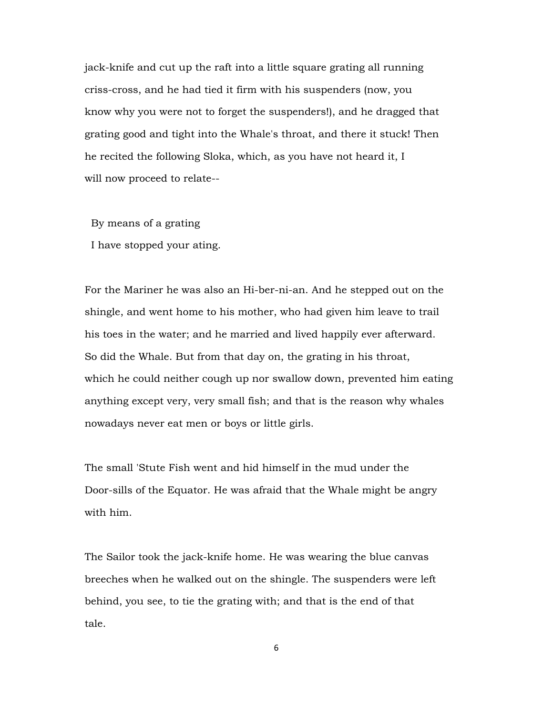jack-knife and cut up the raft into a little square grating all running criss-cross, and he had tied it firm with his suspenders (now, you know why you were not to forget the suspenders!), and he dragged that grating good and tight into the Whale's throat, and there it stuck! Then he recited the following Sloka, which, as you have not heard it, I will now proceed to relate--

 By means of a grating I have stopped your ating.

For the Mariner he was also an Hi-ber-ni-an. And he stepped out on the shingle, and went home to his mother, who had given him leave to trail his toes in the water; and he married and lived happily ever afterward. So did the Whale. But from that day on, the grating in his throat, which he could neither cough up nor swallow down, prevented him eating anything except very, very small fish; and that is the reason why whales nowadays never eat men or boys or little girls.

The small 'Stute Fish went and hid himself in the mud under the Door-sills of the Equator. He was afraid that the Whale might be angry with him.

The Sailor took the jack-knife home. He was wearing the blue canvas breeches when he walked out on the shingle. The suspenders were left behind, you see, to tie the grating with; and that is the end of that tale.

6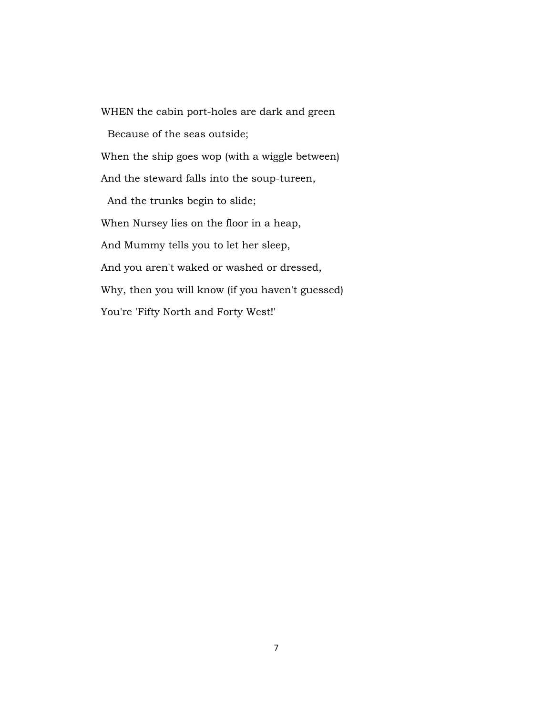WHEN the cabin port-holes are dark and green Because of the seas outside; When the ship goes wop (with a wiggle between) And the steward falls into the soup-tureen, And the trunks begin to slide; When Nursey lies on the floor in a heap, And Mummy tells you to let her sleep, And you aren't waked or washed or dressed, Why, then you will know (if you haven't guessed) You're 'Fifty North and Forty West!'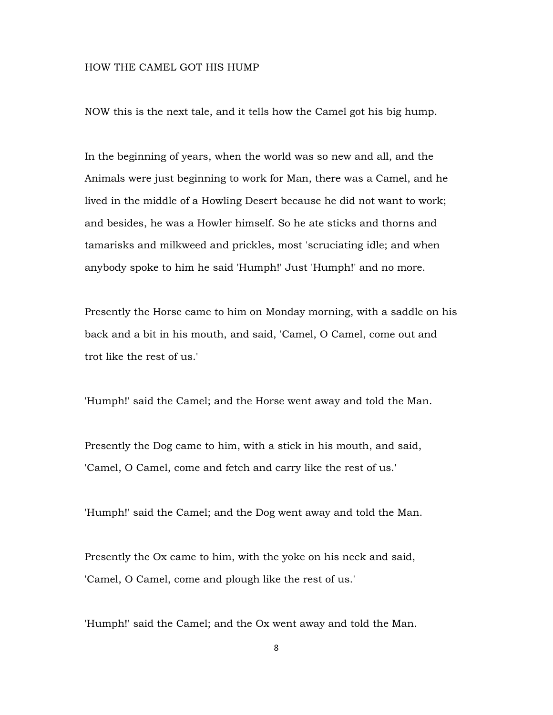### HOW THE CAMEL GOT HIS HUMP

NOW this is the next tale, and it tells how the Camel got his big hump.

In the beginning of years, when the world was so new and all, and the Animals were just beginning to work for Man, there was a Camel, and he lived in the middle of a Howling Desert because he did not want to work; and besides, he was a Howler himself. So he ate sticks and thorns and tamarisks and milkweed and prickles, most 'scruciating idle; and when anybody spoke to him he said 'Humph!' Just 'Humph!' and no more.

Presently the Horse came to him on Monday morning, with a saddle on his back and a bit in his mouth, and said, 'Camel, O Camel, come out and trot like the rest of us.'

'Humph!' said the Camel; and the Horse went away and told the Man.

Presently the Dog came to him, with a stick in his mouth, and said, 'Camel, O Camel, come and fetch and carry like the rest of us.'

'Humph!' said the Camel; and the Dog went away and told the Man.

Presently the Ox came to him, with the yoke on his neck and said, 'Camel, O Camel, come and plough like the rest of us.'

'Humph!' said the Camel; and the Ox went away and told the Man.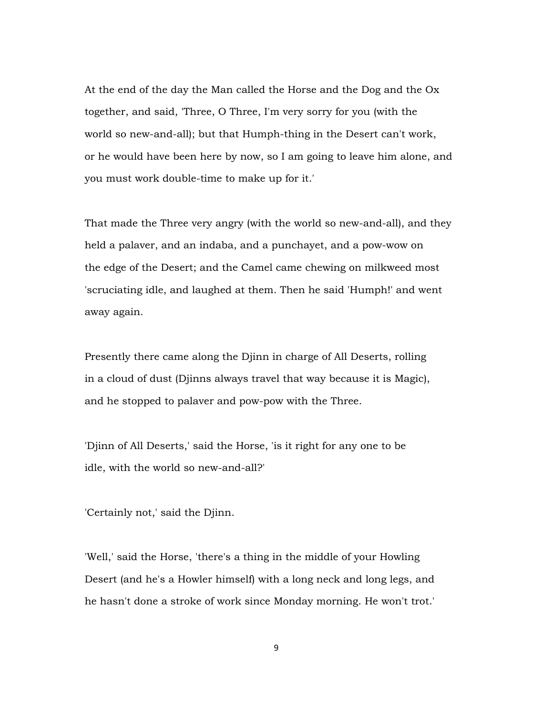At the end of the day the Man called the Horse and the Dog and the Ox together, and said, 'Three, O Three, I'm very sorry for you (with the world so new-and-all); but that Humph-thing in the Desert can't work, or he would have been here by now, so I am going to leave him alone, and you must work double-time to make up for it.'

That made the Three very angry (with the world so new-and-all), and they held a palaver, and an indaba, and a punchayet, and a pow-wow on the edge of the Desert; and the Camel came chewing on milkweed most 'scruciating idle, and laughed at them. Then he said 'Humph!' and went away again.

Presently there came along the Djinn in charge of All Deserts, rolling in a cloud of dust (Djinns always travel that way because it is Magic), and he stopped to palaver and pow-pow with the Three.

'Djinn of All Deserts,' said the Horse, 'is it right for any one to be idle, with the world so new-and-all?'

'Certainly not,' said the Djinn.

'Well,' said the Horse, 'there's a thing in the middle of your Howling Desert (and he's a Howler himself) with a long neck and long legs, and he hasn't done a stroke of work since Monday morning. He won't trot.'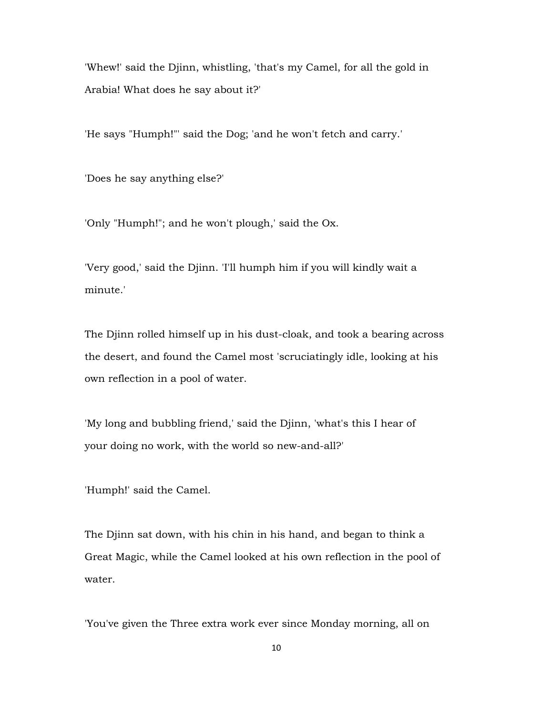'Whew!' said the Djinn, whistling, 'that's my Camel, for all the gold in Arabia! What does he say about it?'

'He says "Humph!"' said the Dog; 'and he won't fetch and carry.'

'Does he say anything else?'

'Only "Humph!"; and he won't plough,' said the Ox.

'Very good,' said the Djinn. 'I'll humph him if you will kindly wait a minute.'

The Djinn rolled himself up in his dust-cloak, and took a bearing across the desert, and found the Camel most 'scruciatingly idle, looking at his own reflection in a pool of water.

'My long and bubbling friend,' said the Djinn, 'what's this I hear of your doing no work, with the world so new-and-all?'

'Humph!' said the Camel.

The Djinn sat down, with his chin in his hand, and began to think a Great Magic, while the Camel looked at his own reflection in the pool of water.

'You've given the Three extra work ever since Monday morning, all on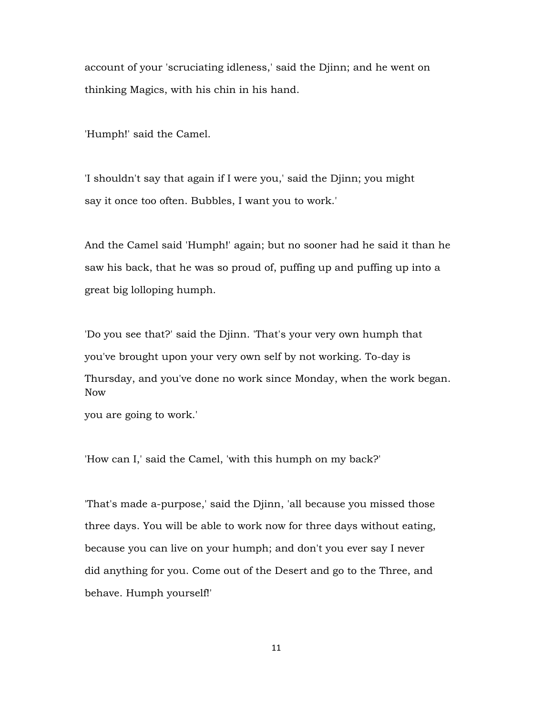account of your 'scruciating idleness,' said the Djinn; and he went on thinking Magics, with his chin in his hand.

'Humph!' said the Camel.

'I shouldn't say that again if I were you,' said the Djinn; you might say it once too often. Bubbles, I want you to work.'

And the Camel said 'Humph!' again; but no sooner had he said it than he saw his back, that he was so proud of, puffing up and puffing up into a great big lolloping humph.

'Do you see that?' said the Djinn. 'That's your very own humph that you've brought upon your very own self by not working. To-day is Thursday, and you've done no work since Monday, when the work began. Now

you are going to work.'

'How can I,' said the Camel, 'with this humph on my back?'

'That's made a-purpose,' said the Djinn, 'all because you missed those three days. You will be able to work now for three days without eating, because you can live on your humph; and don't you ever say I never did anything for you. Come out of the Desert and go to the Three, and behave. Humph yourself!'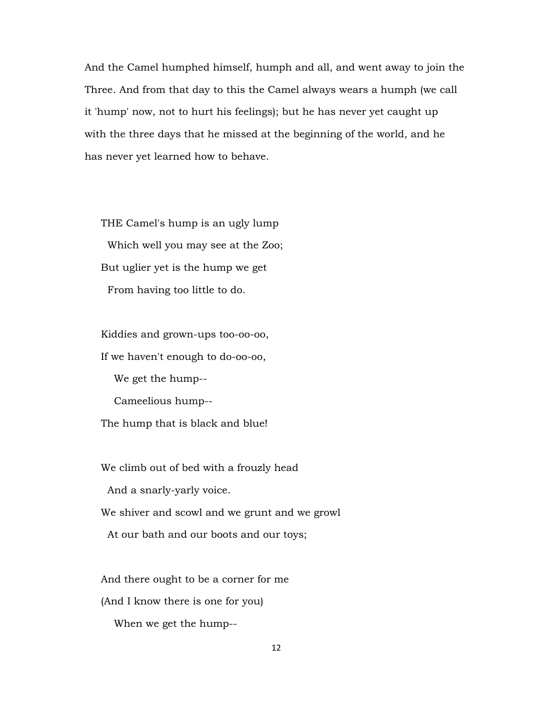And the Camel humphed himself, humph and all, and went away to join the Three. And from that day to this the Camel always wears a humph (we call it 'hump' now, not to hurt his feelings); but he has never yet caught up with the three days that he missed at the beginning of the world, and he has never yet learned how to behave.

 THE Camel's hump is an ugly lump Which well you may see at the Zoo; But uglier yet is the hump we get From having too little to do.

 Kiddies and grown-ups too-oo-oo, If we haven't enough to do-oo-oo, We get the hump-- Cameelious hump-- The hump that is black and blue!

 We climb out of bed with a frouzly head And a snarly-yarly voice. We shiver and scowl and we grunt and we growl

At our bath and our boots and our toys;

And there ought to be a corner for me

(And I know there is one for you)

When we get the hump--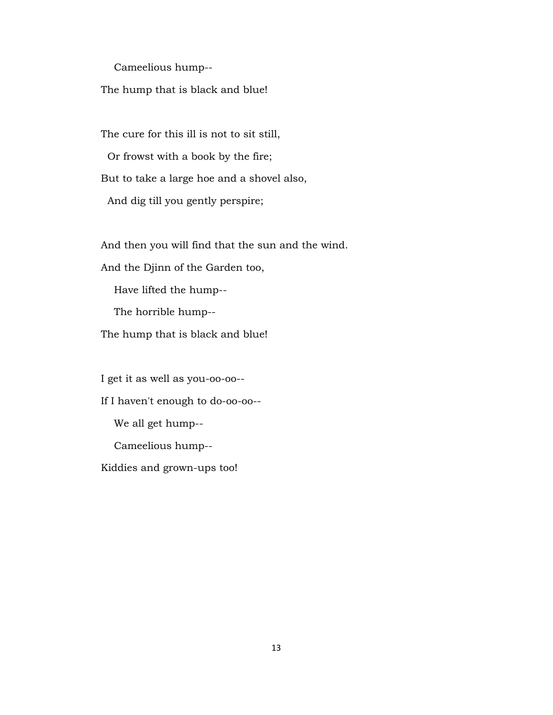Cameelious hump--

The hump that is black and blue!

 The cure for this ill is not to sit still, Or frowst with a book by the fire; But to take a large hoe and a shovel also, And dig till you gently perspire;

And then you will find that the sun and the wind.

And the Djinn of the Garden too,

Have lifted the hump--

The horrible hump--

The hump that is black and blue!

 I get it as well as you-oo-oo-- If I haven't enough to do-oo-oo-- We all get hump-- Cameelious hump-- Kiddies and grown-ups too!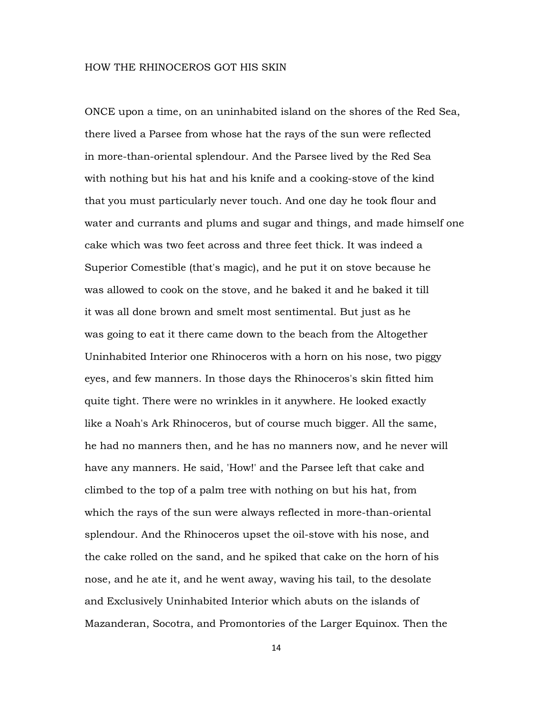### HOW THE RHINOCEROS GOT HIS SKIN

ONCE upon a time, on an uninhabited island on the shores of the Red Sea, there lived a Parsee from whose hat the rays of the sun were reflected in more-than-oriental splendour. And the Parsee lived by the Red Sea with nothing but his hat and his knife and a cooking-stove of the kind that you must particularly never touch. And one day he took flour and water and currants and plums and sugar and things, and made himself one cake which was two feet across and three feet thick. It was indeed a Superior Comestible (that's magic), and he put it on stove because he was allowed to cook on the stove, and he baked it and he baked it till it was all done brown and smelt most sentimental. But just as he was going to eat it there came down to the beach from the Altogether Uninhabited Interior one Rhinoceros with a horn on his nose, two piggy eyes, and few manners. In those days the Rhinoceros's skin fitted him quite tight. There were no wrinkles in it anywhere. He looked exactly like a Noah's Ark Rhinoceros, but of course much bigger. All the same, he had no manners then, and he has no manners now, and he never will have any manners. He said, 'How!' and the Parsee left that cake and climbed to the top of a palm tree with nothing on but his hat, from which the rays of the sun were always reflected in more-than-oriental splendour. And the Rhinoceros upset the oil-stove with his nose, and the cake rolled on the sand, and he spiked that cake on the horn of his nose, and he ate it, and he went away, waving his tail, to the desolate and Exclusively Uninhabited Interior which abuts on the islands of Mazanderan, Socotra, and Promontories of the Larger Equinox. Then the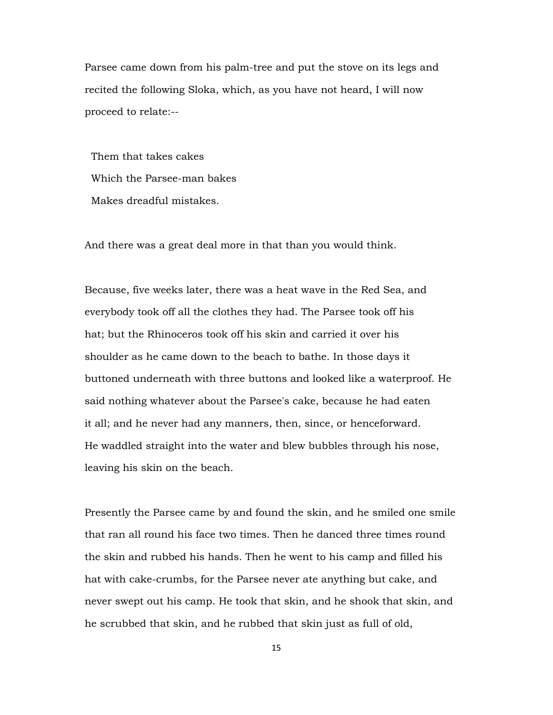Parsee came down from his palm-tree and put the stove on its legs and recited the following Sloka, which, as you have not heard, I will now proceed to relate:--

 Them that takes cakes Which the Parsee-man bakes Makes dreadful mistakes.

And there was a great deal more in that than you would think.

Because, five weeks later, there was a heat wave in the Red Sea, and everybody took off all the clothes they had. The Parsee took off his hat; but the Rhinoceros took off his skin and carried it over his shoulder as he came down to the beach to bathe. In those days it buttoned underneath with three buttons and looked like a waterproof. He said nothing whatever about the Parsee's cake, because he had eaten it all; and he never had any manners, then, since, or henceforward. He waddled straight into the water and blew bubbles through his nose, leaving his skin on the beach.

Presently the Parsee came by and found the skin, and he smiled one smile that ran all round his face two times. Then he danced three times round the skin and rubbed his hands. Then he went to his camp and filled his hat with cake-crumbs, for the Parsee never ate anything but cake, and never swept out his camp. He took that skin, and he shook that skin, and he scrubbed that skin, and he rubbed that skin just as full of old,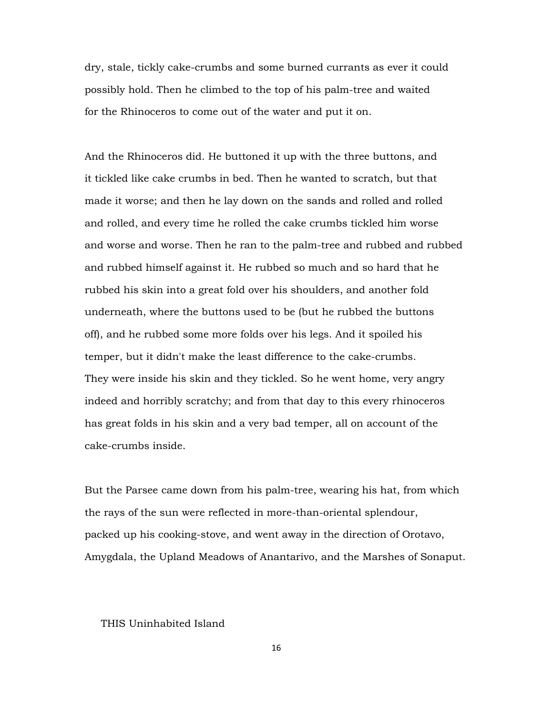dry, stale, tickly cake-crumbs and some burned currants as ever it could possibly hold. Then he climbed to the top of his palm-tree and waited for the Rhinoceros to come out of the water and put it on.

And the Rhinoceros did. He buttoned it up with the three buttons, and it tickled like cake crumbs in bed. Then he wanted to scratch, but that made it worse; and then he lay down on the sands and rolled and rolled and rolled, and every time he rolled the cake crumbs tickled him worse and worse and worse. Then he ran to the palm-tree and rubbed and rubbed and rubbed himself against it. He rubbed so much and so hard that he rubbed his skin into a great fold over his shoulders, and another fold underneath, where the buttons used to be (but he rubbed the buttons off), and he rubbed some more folds over his legs. And it spoiled his temper, but it didn't make the least difference to the cake-crumbs. They were inside his skin and they tickled. So he went home, very angry indeed and horribly scratchy; and from that day to this every rhinoceros has great folds in his skin and a very bad temper, all on account of the cake-crumbs inside.

But the Parsee came down from his palm-tree, wearing his hat, from which the rays of the sun were reflected in more-than-oriental splendour, packed up his cooking-stove, and went away in the direction of Orotavo, Amygdala, the Upland Meadows of Anantarivo, and the Marshes of Sonaput.

# THIS Uninhabited Island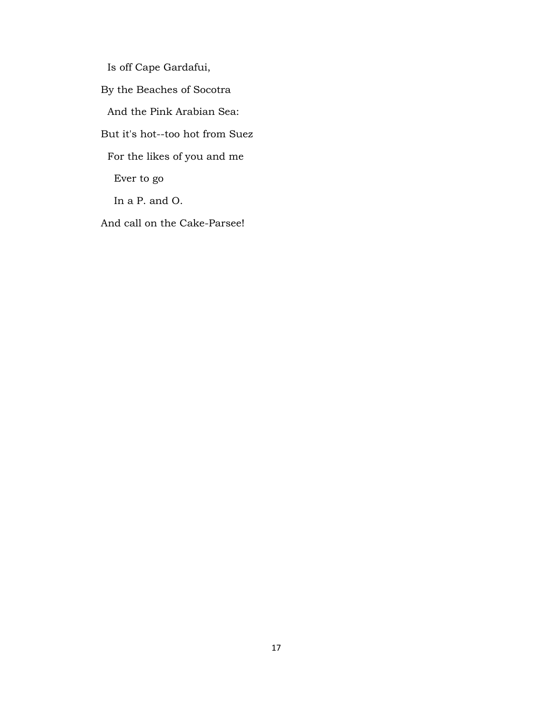Is off Cape Gardafui, By the Beaches of Socotra And the Pink Arabian Sea: But it's hot--too hot from Suez For the likes of you and me Ever to go In a P. and O. And call on the Cake-Parsee!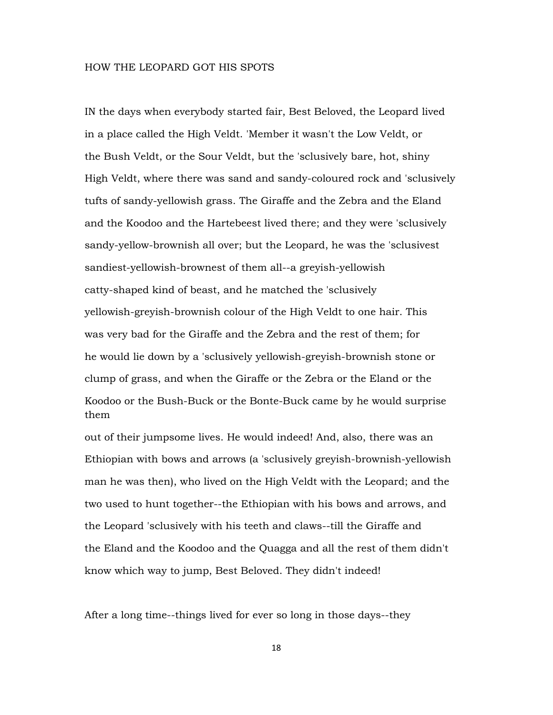### HOW THE LEOPARD GOT HIS SPOTS

IN the days when everybody started fair, Best Beloved, the Leopard lived in a place called the High Veldt. 'Member it wasn't the Low Veldt, or the Bush Veldt, or the Sour Veldt, but the 'sclusively bare, hot, shiny High Veldt, where there was sand and sandy-coloured rock and 'sclusively tufts of sandy-yellowish grass. The Giraffe and the Zebra and the Eland and the Koodoo and the Hartebeest lived there; and they were 'sclusively sandy-yellow-brownish all over; but the Leopard, he was the 'sclusivest sandiest-yellowish-brownest of them all--a greyish-yellowish catty-shaped kind of beast, and he matched the 'sclusively yellowish-greyish-brownish colour of the High Veldt to one hair. This was very bad for the Giraffe and the Zebra and the rest of them; for he would lie down by a 'sclusively yellowish-greyish-brownish stone or clump of grass, and when the Giraffe or the Zebra or the Eland or the Koodoo or the Bush-Buck or the Bonte-Buck came by he would surprise them

out of their jumpsome lives. He would indeed! And, also, there was an Ethiopian with bows and arrows (a 'sclusively greyish-brownish-yellowish man he was then), who lived on the High Veldt with the Leopard; and the two used to hunt together--the Ethiopian with his bows and arrows, and the Leopard 'sclusively with his teeth and claws--till the Giraffe and the Eland and the Koodoo and the Quagga and all the rest of them didn't know which way to jump, Best Beloved. They didn't indeed!

After a long time--things lived for ever so long in those days--they

18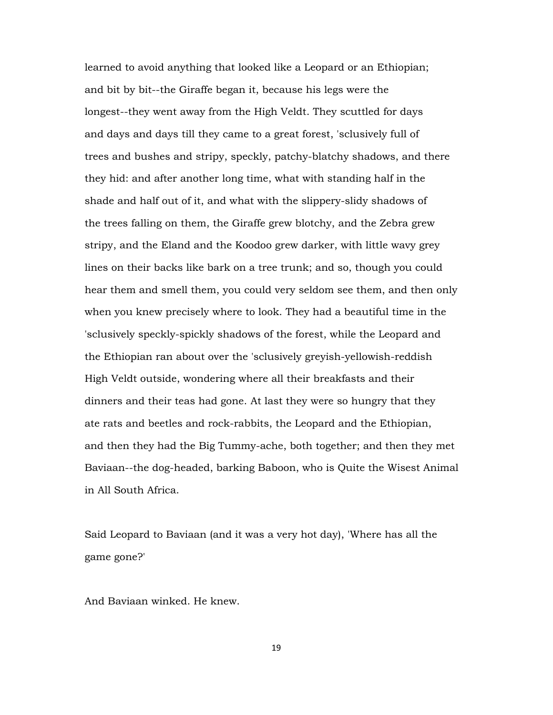learned to avoid anything that looked like a Leopard or an Ethiopian; and bit by bit--the Giraffe began it, because his legs were the longest--they went away from the High Veldt. They scuttled for days and days and days till they came to a great forest, 'sclusively full of trees and bushes and stripy, speckly, patchy-blatchy shadows, and there they hid: and after another long time, what with standing half in the shade and half out of it, and what with the slippery-slidy shadows of the trees falling on them, the Giraffe grew blotchy, and the Zebra grew stripy, and the Eland and the Koodoo grew darker, with little wavy grey lines on their backs like bark on a tree trunk; and so, though you could hear them and smell them, you could very seldom see them, and then only when you knew precisely where to look. They had a beautiful time in the 'sclusively speckly-spickly shadows of the forest, while the Leopard and the Ethiopian ran about over the 'sclusively greyish-yellowish-reddish High Veldt outside, wondering where all their breakfasts and their dinners and their teas had gone. At last they were so hungry that they ate rats and beetles and rock-rabbits, the Leopard and the Ethiopian, and then they had the Big Tummy-ache, both together; and then they met Baviaan--the dog-headed, barking Baboon, who is Quite the Wisest Animal in All South Africa.

Said Leopard to Baviaan (and it was a very hot day), 'Where has all the game gone?'

And Baviaan winked. He knew.

19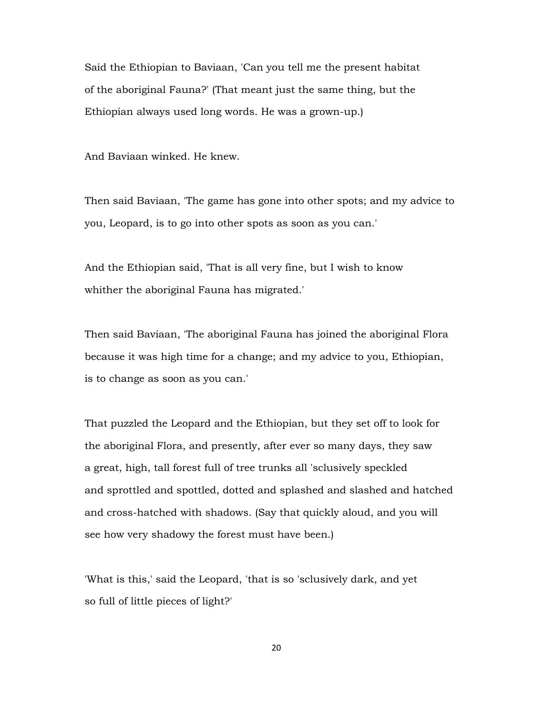Said the Ethiopian to Baviaan, 'Can you tell me the present habitat of the aboriginal Fauna?' (That meant just the same thing, but the Ethiopian always used long words. He was a grown-up.)

And Baviaan winked. He knew.

Then said Baviaan, 'The game has gone into other spots; and my advice to you, Leopard, is to go into other spots as soon as you can.'

And the Ethiopian said, 'That is all very fine, but I wish to know whither the aboriginal Fauna has migrated.'

Then said Baviaan, 'The aboriginal Fauna has joined the aboriginal Flora because it was high time for a change; and my advice to you, Ethiopian, is to change as soon as you can.'

That puzzled the Leopard and the Ethiopian, but they set off to look for the aboriginal Flora, and presently, after ever so many days, they saw a great, high, tall forest full of tree trunks all 'sclusively speckled and sprottled and spottled, dotted and splashed and slashed and hatched and cross-hatched with shadows. (Say that quickly aloud, and you will see how very shadowy the forest must have been.)

'What is this,' said the Leopard, 'that is so 'sclusively dark, and yet so full of little pieces of light?'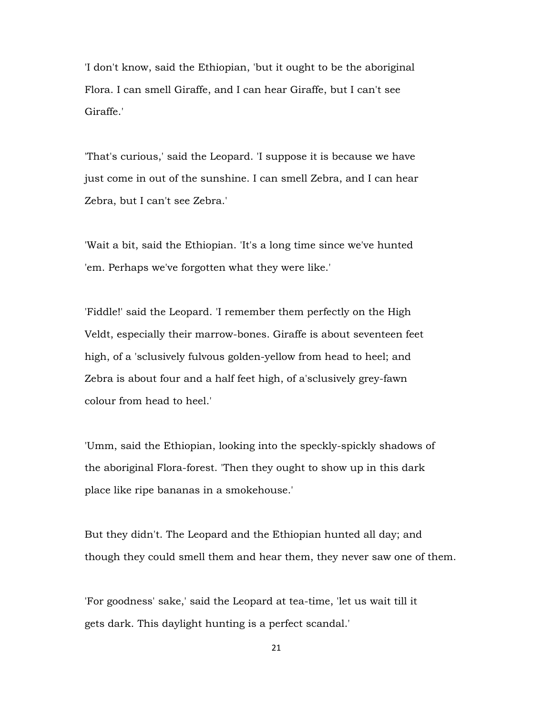'I don't know, said the Ethiopian, 'but it ought to be the aboriginal Flora. I can smell Giraffe, and I can hear Giraffe, but I can't see Giraffe.'

'That's curious,' said the Leopard. 'I suppose it is because we have just come in out of the sunshine. I can smell Zebra, and I can hear Zebra, but I can't see Zebra.'

'Wait a bit, said the Ethiopian. 'It's a long time since we've hunted 'em. Perhaps we've forgotten what they were like.'

'Fiddle!' said the Leopard. 'I remember them perfectly on the High Veldt, especially their marrow-bones. Giraffe is about seventeen feet high, of a 'sclusively fulvous golden-yellow from head to heel; and Zebra is about four and a half feet high, of a'sclusively grey-fawn colour from head to heel.'

'Umm, said the Ethiopian, looking into the speckly-spickly shadows of the aboriginal Flora-forest. 'Then they ought to show up in this dark place like ripe bananas in a smokehouse.'

But they didn't. The Leopard and the Ethiopian hunted all day; and though they could smell them and hear them, they never saw one of them.

'For goodness' sake,' said the Leopard at tea-time, 'let us wait till it gets dark. This daylight hunting is a perfect scandal.'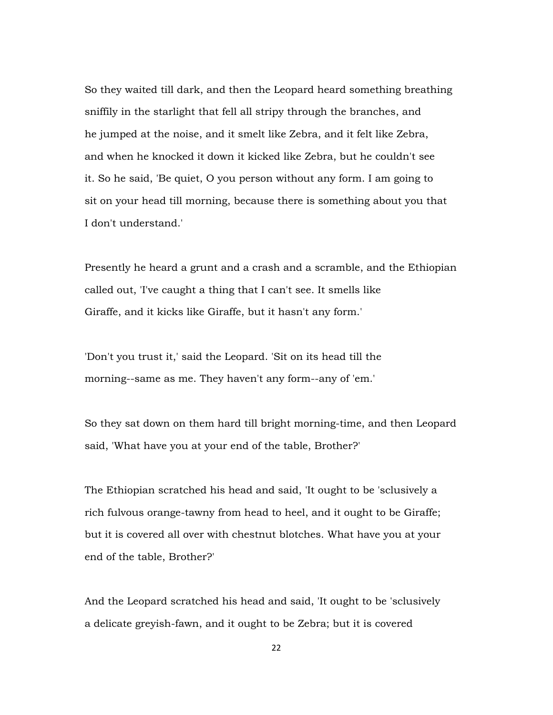So they waited till dark, and then the Leopard heard something breathing sniffily in the starlight that fell all stripy through the branches, and he jumped at the noise, and it smelt like Zebra, and it felt like Zebra, and when he knocked it down it kicked like Zebra, but he couldn't see it. So he said, 'Be quiet, O you person without any form. I am going to sit on your head till morning, because there is something about you that I don't understand.'

Presently he heard a grunt and a crash and a scramble, and the Ethiopian called out, 'I've caught a thing that I can't see. It smells like Giraffe, and it kicks like Giraffe, but it hasn't any form.'

'Don't you trust it,' said the Leopard. 'Sit on its head till the morning--same as me. They haven't any form--any of 'em.'

So they sat down on them hard till bright morning-time, and then Leopard said, 'What have you at your end of the table, Brother?'

The Ethiopian scratched his head and said, 'It ought to be 'sclusively a rich fulvous orange-tawny from head to heel, and it ought to be Giraffe; but it is covered all over with chestnut blotches. What have you at your end of the table, Brother?'

And the Leopard scratched his head and said, 'It ought to be 'sclusively a delicate greyish-fawn, and it ought to be Zebra; but it is covered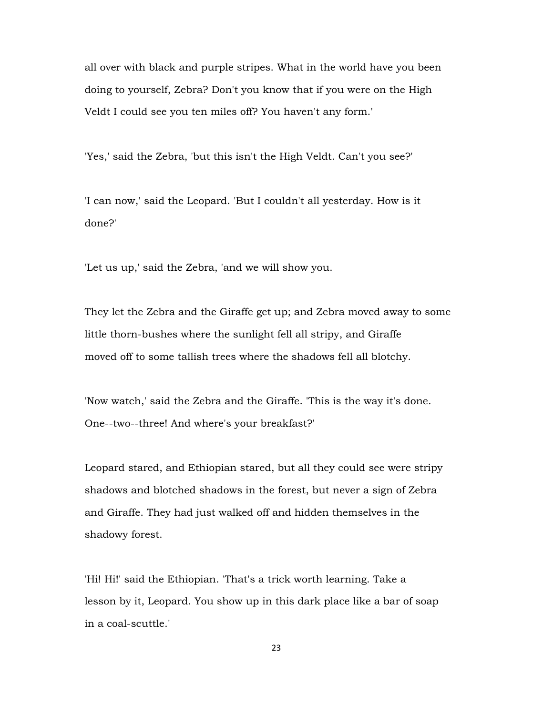all over with black and purple stripes. What in the world have you been doing to yourself, Zebra? Don't you know that if you were on the High Veldt I could see you ten miles off? You haven't any form.'

'Yes,' said the Zebra, 'but this isn't the High Veldt. Can't you see?'

'I can now,' said the Leopard. 'But I couldn't all yesterday. How is it done?'

'Let us up,' said the Zebra, 'and we will show you.

They let the Zebra and the Giraffe get up; and Zebra moved away to some little thorn-bushes where the sunlight fell all stripy, and Giraffe moved off to some tallish trees where the shadows fell all blotchy.

'Now watch,' said the Zebra and the Giraffe. 'This is the way it's done. One--two--three! And where's your breakfast?'

Leopard stared, and Ethiopian stared, but all they could see were stripy shadows and blotched shadows in the forest, but never a sign of Zebra and Giraffe. They had just walked off and hidden themselves in the shadowy forest.

'Hi! Hi!' said the Ethiopian. 'That's a trick worth learning. Take a lesson by it, Leopard. You show up in this dark place like a bar of soap in a coal-scuttle.'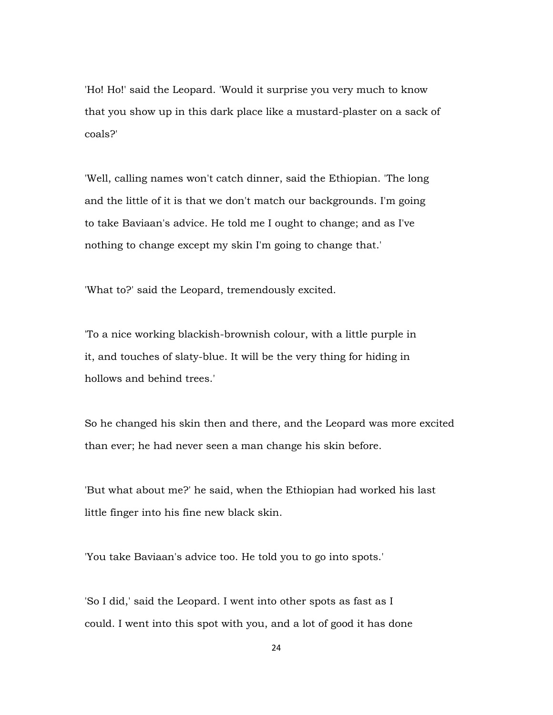'Ho! Ho!' said the Leopard. 'Would it surprise you very much to know that you show up in this dark place like a mustard-plaster on a sack of coals?'

'Well, calling names won't catch dinner, said the Ethiopian. 'The long and the little of it is that we don't match our backgrounds. I'm going to take Baviaan's advice. He told me I ought to change; and as I've nothing to change except my skin I'm going to change that.'

'What to?' said the Leopard, tremendously excited.

'To a nice working blackish-brownish colour, with a little purple in it, and touches of slaty-blue. It will be the very thing for hiding in hollows and behind trees.'

So he changed his skin then and there, and the Leopard was more excited than ever; he had never seen a man change his skin before.

'But what about me?' he said, when the Ethiopian had worked his last little finger into his fine new black skin.

'You take Baviaan's advice too. He told you to go into spots.'

'So I did,' said the Leopard. I went into other spots as fast as I could. I went into this spot with you, and a lot of good it has done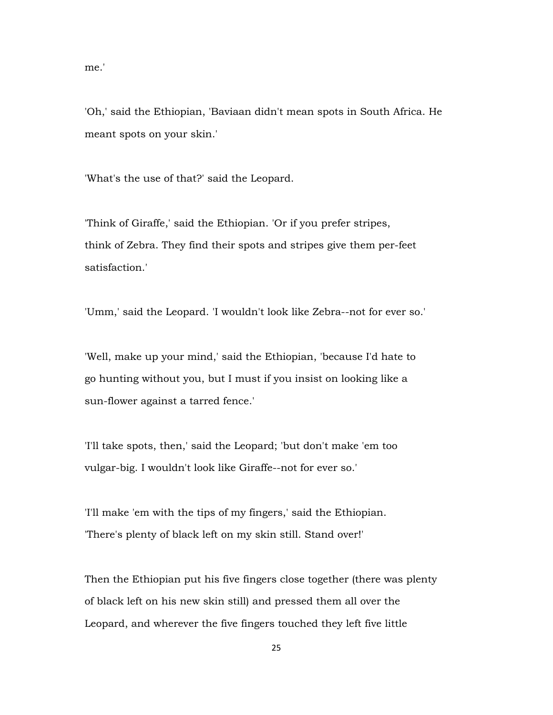me.'

'Oh,' said the Ethiopian, 'Baviaan didn't mean spots in South Africa. He meant spots on your skin.'

'What's the use of that?' said the Leopard.

'Think of Giraffe,' said the Ethiopian. 'Or if you prefer stripes, think of Zebra. They find their spots and stripes give them per-feet satisfaction.'

'Umm,' said the Leopard. 'I wouldn't look like Zebra--not for ever so.'

'Well, make up your mind,' said the Ethiopian, 'because I'd hate to go hunting without you, but I must if you insist on looking like a sun-flower against a tarred fence.'

'I'll take spots, then,' said the Leopard; 'but don't make 'em too vulgar-big. I wouldn't look like Giraffe--not for ever so.'

'I'll make 'em with the tips of my fingers,' said the Ethiopian. 'There's plenty of black left on my skin still. Stand over!'

Then the Ethiopian put his five fingers close together (there was plenty of black left on his new skin still) and pressed them all over the Leopard, and wherever the five fingers touched they left five little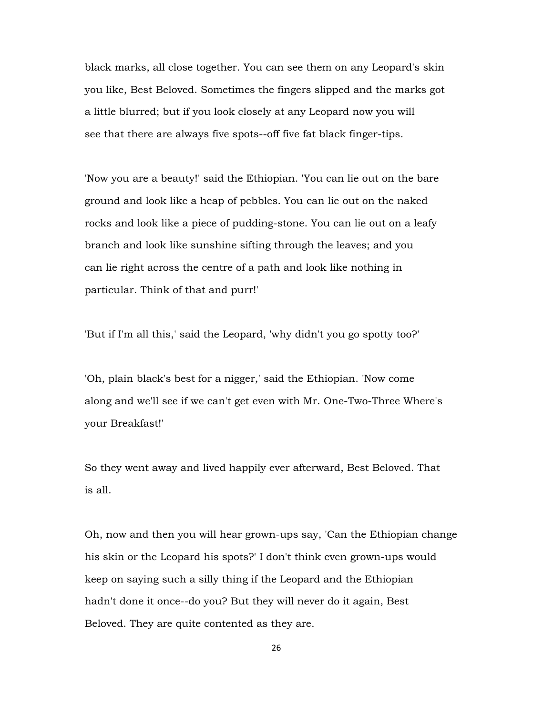black marks, all close together. You can see them on any Leopard's skin you like, Best Beloved. Sometimes the fingers slipped and the marks got a little blurred; but if you look closely at any Leopard now you will see that there are always five spots--off five fat black finger-tips.

'Now you are a beauty!' said the Ethiopian. 'You can lie out on the bare ground and look like a heap of pebbles. You can lie out on the naked rocks and look like a piece of pudding-stone. You can lie out on a leafy branch and look like sunshine sifting through the leaves; and you can lie right across the centre of a path and look like nothing in particular. Think of that and purr!'

'But if I'm all this,' said the Leopard, 'why didn't you go spotty too?'

'Oh, plain black's best for a nigger,' said the Ethiopian. 'Now come along and we'll see if we can't get even with Mr. One-Two-Three Where's your Breakfast!'

So they went away and lived happily ever afterward, Best Beloved. That is all.

Oh, now and then you will hear grown-ups say, 'Can the Ethiopian change his skin or the Leopard his spots?' I don't think even grown-ups would keep on saying such a silly thing if the Leopard and the Ethiopian hadn't done it once--do you? But they will never do it again, Best Beloved. They are quite contented as they are.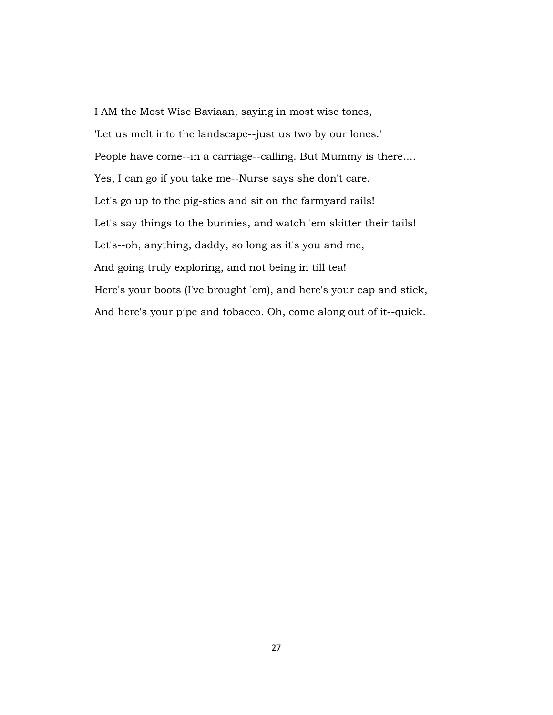I AM the Most Wise Baviaan, saying in most wise tones, 'Let us melt into the landscape--just us two by our lones.' People have come--in a carriage--calling. But Mummy is there.... Yes, I can go if you take me--Nurse says she don't care. Let's go up to the pig-sties and sit on the farmyard rails! Let's say things to the bunnies, and watch 'em skitter their tails! Let's--oh, anything, daddy, so long as it's you and me, And going truly exploring, and not being in till tea! Here's your boots (I've brought 'em), and here's your cap and stick, And here's your pipe and tobacco. Oh, come along out of it--quick.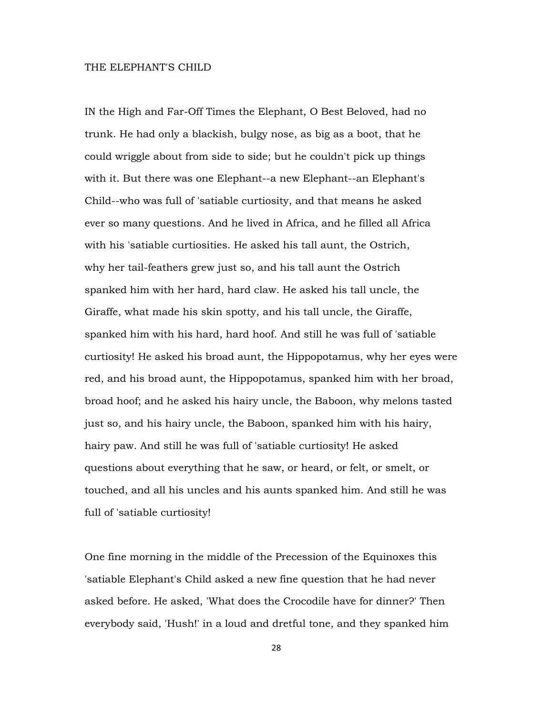#### THE ELEPHANT'S CHILD

IN the High and Far-Off Times the Elephant, O Best Beloved, had no trunk. He had only a blackish, bulgy nose, as big as a boot, that he could wriggle about from side to side; but he couldn't pick up things with it. But there was one Elephant--a new Elephant--an Elephant's Child--who was full of 'satiable curtiosity, and that means he asked ever so many questions. And he lived in Africa, and he filled all Africa with his 'satiable curtiosities. He asked his tall aunt, the Ostrich, why her tail-feathers grew just so, and his tall aunt the Ostrich spanked him with her hard, hard claw. He asked his tall uncle, the Giraffe, what made his skin spotty, and his tall uncle, the Giraffe, spanked him with his hard, hard hoof. And still he was full of 'satiable curtiosity! He asked his broad aunt, the Hippopotamus, why her eyes were red, and his broad aunt, the Hippopotamus, spanked him with her broad, broad hoof; and he asked his hairy uncle, the Baboon, why melons tasted just so, and his hairy uncle, the Baboon, spanked him with his hairy, hairy paw. And still he was full of 'satiable curtiosity! He asked questions about everything that he saw, or heard, or felt, or smelt, or touched, and all his uncles and his aunts spanked him. And still he was full of 'satiable curtiosity!

One fine morning in the middle of the Precession of the Equinoxes this 'satiable Elephant's Child asked a new fine question that he had never asked before. He asked, 'What does the Crocodile have for dinner?' Then everybody said, 'Hush!' in a loud and dretful tone, and they spanked him

28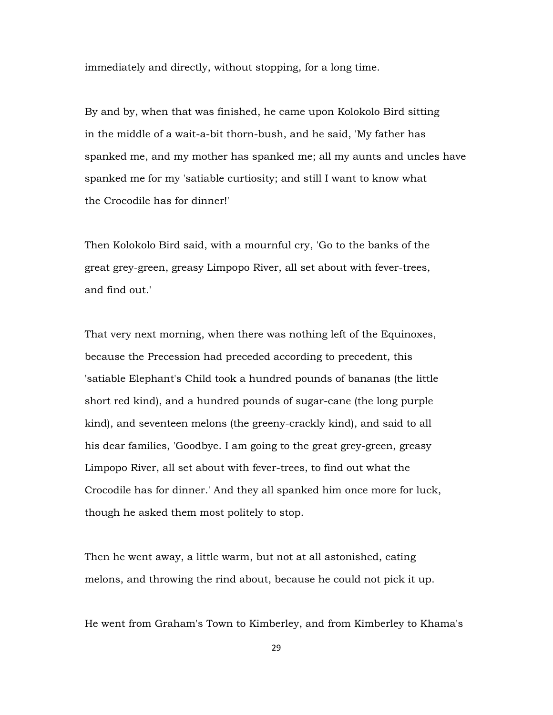immediately and directly, without stopping, for a long time.

By and by, when that was finished, he came upon Kolokolo Bird sitting in the middle of a wait-a-bit thorn-bush, and he said, 'My father has spanked me, and my mother has spanked me; all my aunts and uncles have spanked me for my 'satiable curtiosity; and still I want to know what the Crocodile has for dinner!'

Then Kolokolo Bird said, with a mournful cry, 'Go to the banks of the great grey-green, greasy Limpopo River, all set about with fever-trees, and find out.'

That very next morning, when there was nothing left of the Equinoxes, because the Precession had preceded according to precedent, this 'satiable Elephant's Child took a hundred pounds of bananas (the little short red kind), and a hundred pounds of sugar-cane (the long purple kind), and seventeen melons (the greeny-crackly kind), and said to all his dear families, 'Goodbye. I am going to the great grey-green, greasy Limpopo River, all set about with fever-trees, to find out what the Crocodile has for dinner.' And they all spanked him once more for luck, though he asked them most politely to stop.

Then he went away, a little warm, but not at all astonished, eating melons, and throwing the rind about, because he could not pick it up.

He went from Graham's Town to Kimberley, and from Kimberley to Khama's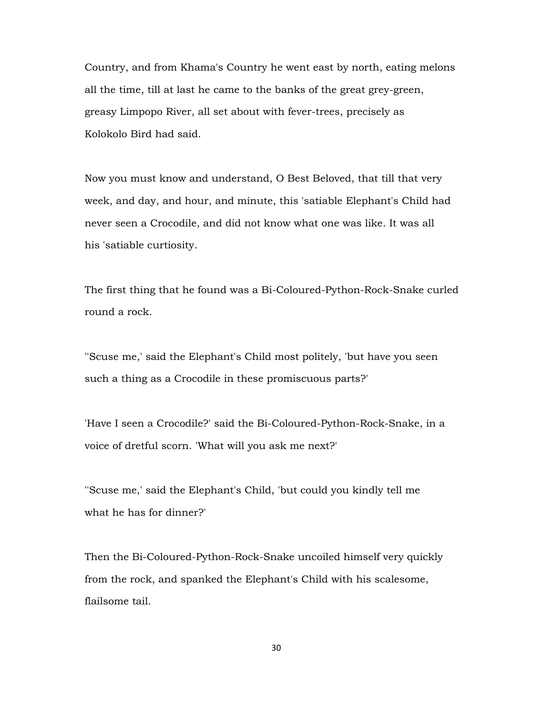Country, and from Khama's Country he went east by north, eating melons all the time, till at last he came to the banks of the great grey-green, greasy Limpopo River, all set about with fever-trees, precisely as Kolokolo Bird had said.

Now you must know and understand, O Best Beloved, that till that very week, and day, and hour, and minute, this 'satiable Elephant's Child had never seen a Crocodile, and did not know what one was like. It was all his 'satiable curtiosity.

The first thing that he found was a Bi-Coloured-Python-Rock-Snake curled round a rock.

''Scuse me,' said the Elephant's Child most politely, 'but have you seen such a thing as a Crocodile in these promiscuous parts?'

'Have I seen a Crocodile?' said the Bi-Coloured-Python-Rock-Snake, in a voice of dretful scorn. 'What will you ask me next?'

''Scuse me,' said the Elephant's Child, 'but could you kindly tell me what he has for dinner?'

Then the Bi-Coloured-Python-Rock-Snake uncoiled himself very quickly from the rock, and spanked the Elephant's Child with his scalesome, flailsome tail.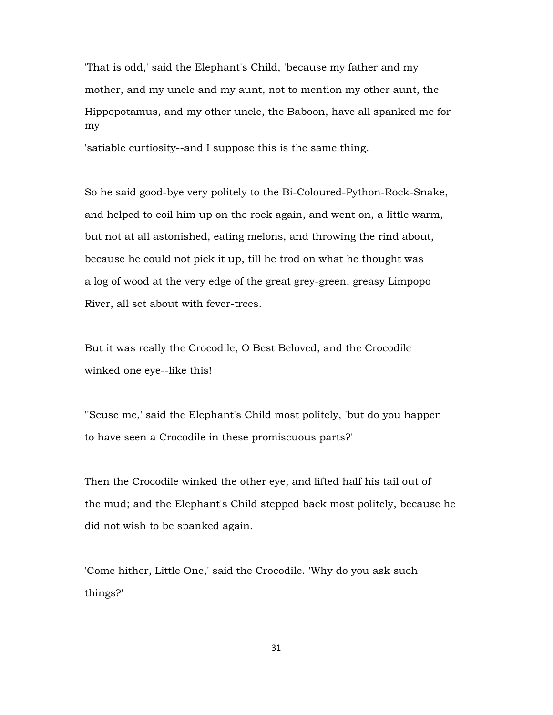'That is odd,' said the Elephant's Child, 'because my father and my mother, and my uncle and my aunt, not to mention my other aunt, the Hippopotamus, and my other uncle, the Baboon, have all spanked me for my

'satiable curtiosity--and I suppose this is the same thing.

So he said good-bye very politely to the Bi-Coloured-Python-Rock-Snake, and helped to coil him up on the rock again, and went on, a little warm, but not at all astonished, eating melons, and throwing the rind about, because he could not pick it up, till he trod on what he thought was a log of wood at the very edge of the great grey-green, greasy Limpopo River, all set about with fever-trees.

But it was really the Crocodile, O Best Beloved, and the Crocodile winked one eye--like this!

''Scuse me,' said the Elephant's Child most politely, 'but do you happen to have seen a Crocodile in these promiscuous parts?'

Then the Crocodile winked the other eye, and lifted half his tail out of the mud; and the Elephant's Child stepped back most politely, because he did not wish to be spanked again.

'Come hither, Little One,' said the Crocodile. 'Why do you ask such things?'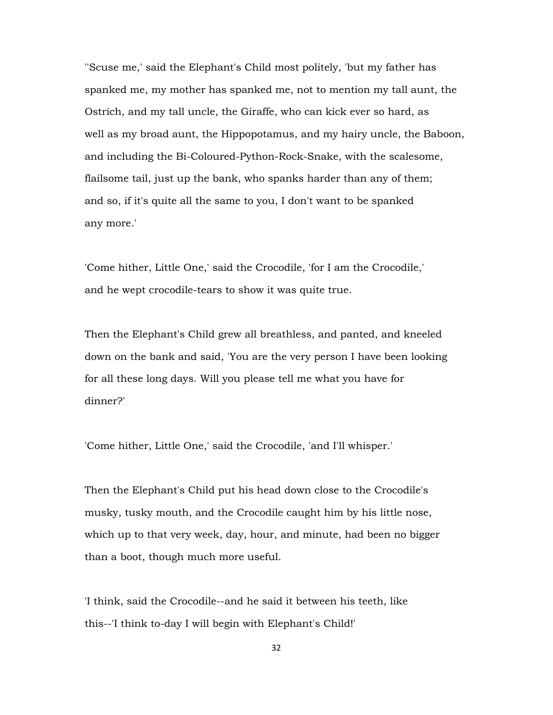''Scuse me,' said the Elephant's Child most politely, 'but my father has spanked me, my mother has spanked me, not to mention my tall aunt, the Ostrich, and my tall uncle, the Giraffe, who can kick ever so hard, as well as my broad aunt, the Hippopotamus, and my hairy uncle, the Baboon, and including the Bi-Coloured-Python-Rock-Snake, with the scalesome, flailsome tail, just up the bank, who spanks harder than any of them; and so, if it's quite all the same to you, I don't want to be spanked any more.'

'Come hither, Little One,' said the Crocodile, 'for I am the Crocodile,' and he wept crocodile-tears to show it was quite true.

Then the Elephant's Child grew all breathless, and panted, and kneeled down on the bank and said, 'You are the very person I have been looking for all these long days. Will you please tell me what you have for dinner?'

'Come hither, Little One,' said the Crocodile, 'and I'll whisper.'

Then the Elephant's Child put his head down close to the Crocodile's musky, tusky mouth, and the Crocodile caught him by his little nose, which up to that very week, day, hour, and minute, had been no bigger than a boot, though much more useful.

'I think, said the Crocodile--and he said it between his teeth, like this--'I think to-day I will begin with Elephant's Child!'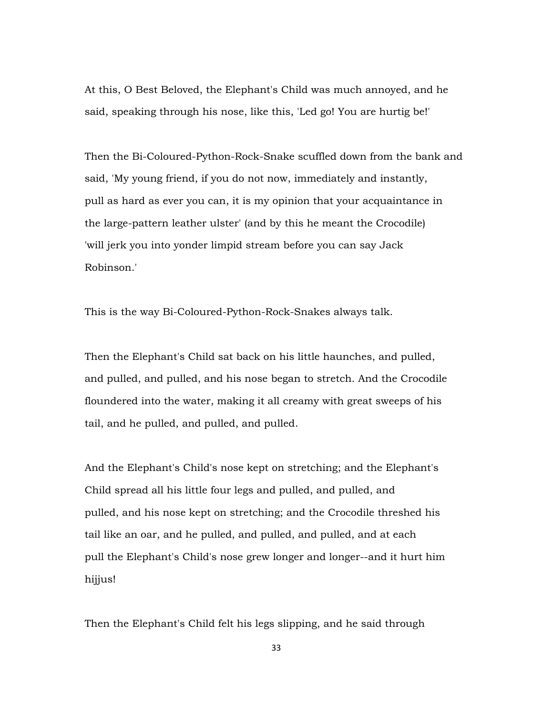At this, O Best Beloved, the Elephant's Child was much annoyed, and he said, speaking through his nose, like this, 'Led go! You are hurtig be!'

Then the Bi-Coloured-Python-Rock-Snake scuffled down from the bank and said, 'My young friend, if you do not now, immediately and instantly, pull as hard as ever you can, it is my opinion that your acquaintance in the large-pattern leather ulster' (and by this he meant the Crocodile) 'will jerk you into yonder limpid stream before you can say Jack Robinson.'

This is the way Bi-Coloured-Python-Rock-Snakes always talk.

Then the Elephant's Child sat back on his little haunches, and pulled, and pulled, and pulled, and his nose began to stretch. And the Crocodile floundered into the water, making it all creamy with great sweeps of his tail, and he pulled, and pulled, and pulled.

And the Elephant's Child's nose kept on stretching; and the Elephant's Child spread all his little four legs and pulled, and pulled, and pulled, and his nose kept on stretching; and the Crocodile threshed his tail like an oar, and he pulled, and pulled, and pulled, and at each pull the Elephant's Child's nose grew longer and longer--and it hurt him hijjus!

Then the Elephant's Child felt his legs slipping, and he said through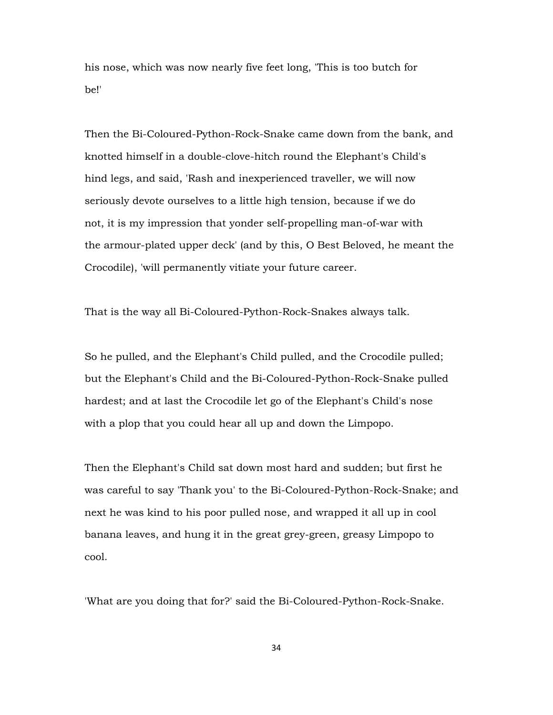his nose, which was now nearly five feet long, 'This is too butch for be!'

Then the Bi-Coloured-Python-Rock-Snake came down from the bank, and knotted himself in a double-clove-hitch round the Elephant's Child's hind legs, and said, 'Rash and inexperienced traveller, we will now seriously devote ourselves to a little high tension, because if we do not, it is my impression that yonder self-propelling man-of-war with the armour-plated upper deck' (and by this, O Best Beloved, he meant the Crocodile), 'will permanently vitiate your future career.

That is the way all Bi-Coloured-Python-Rock-Snakes always talk.

So he pulled, and the Elephant's Child pulled, and the Crocodile pulled; but the Elephant's Child and the Bi-Coloured-Python-Rock-Snake pulled hardest; and at last the Crocodile let go of the Elephant's Child's nose with a plop that you could hear all up and down the Limpopo.

Then the Elephant's Child sat down most hard and sudden; but first he was careful to say 'Thank you' to the Bi-Coloured-Python-Rock-Snake; and next he was kind to his poor pulled nose, and wrapped it all up in cool banana leaves, and hung it in the great grey-green, greasy Limpopo to cool.

'What are you doing that for?' said the Bi-Coloured-Python-Rock-Snake.

34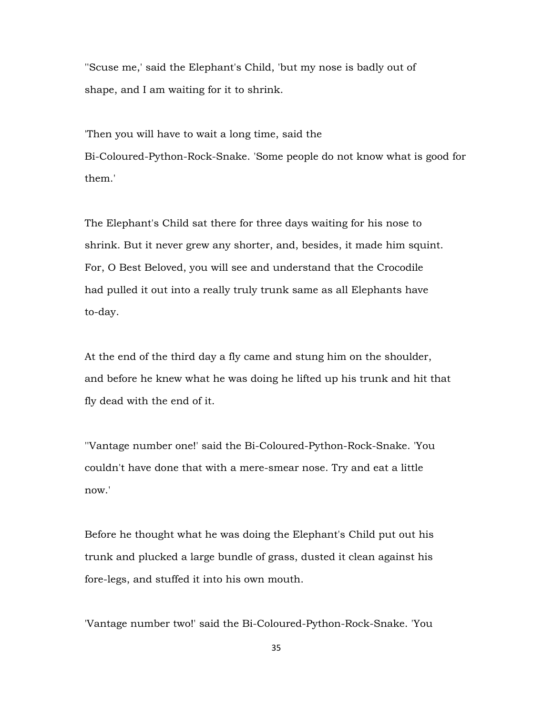''Scuse me,' said the Elephant's Child, 'but my nose is badly out of shape, and I am waiting for it to shrink.

'Then you will have to wait a long time, said the Bi-Coloured-Python-Rock-Snake. 'Some people do not know what is good for them.'

The Elephant's Child sat there for three days waiting for his nose to shrink. But it never grew any shorter, and, besides, it made him squint. For, O Best Beloved, you will see and understand that the Crocodile had pulled it out into a really truly trunk same as all Elephants have to-day.

At the end of the third day a fly came and stung him on the shoulder, and before he knew what he was doing he lifted up his trunk and hit that fly dead with the end of it.

''Vantage number one!' said the Bi-Coloured-Python-Rock-Snake. 'You couldn't have done that with a mere-smear nose. Try and eat a little now.'

Before he thought what he was doing the Elephant's Child put out his trunk and plucked a large bundle of grass, dusted it clean against his fore-legs, and stuffed it into his own mouth.

'Vantage number two!' said the Bi-Coloured-Python-Rock-Snake. 'You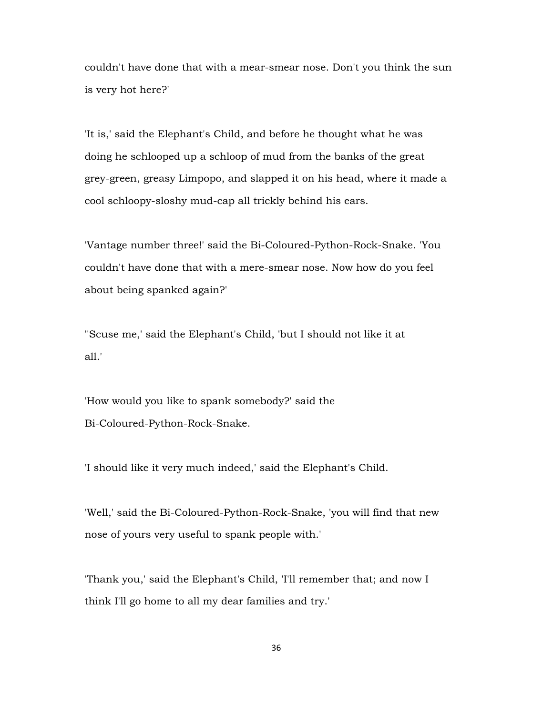couldn't have done that with a mear-smear nose. Don't you think the sun is very hot here?'

'It is,' said the Elephant's Child, and before he thought what he was doing he schlooped up a schloop of mud from the banks of the great grey-green, greasy Limpopo, and slapped it on his head, where it made a cool schloopy-sloshy mud-cap all trickly behind his ears.

'Vantage number three!' said the Bi-Coloured-Python-Rock-Snake. 'You couldn't have done that with a mere-smear nose. Now how do you feel about being spanked again?'

''Scuse me,' said the Elephant's Child, 'but I should not like it at all.'

'How would you like to spank somebody?' said the Bi-Coloured-Python-Rock-Snake.

'I should like it very much indeed,' said the Elephant's Child.

'Well,' said the Bi-Coloured-Python-Rock-Snake, 'you will find that new nose of yours very useful to spank people with.'

'Thank you,' said the Elephant's Child, 'I'll remember that; and now I think I'll go home to all my dear families and try.'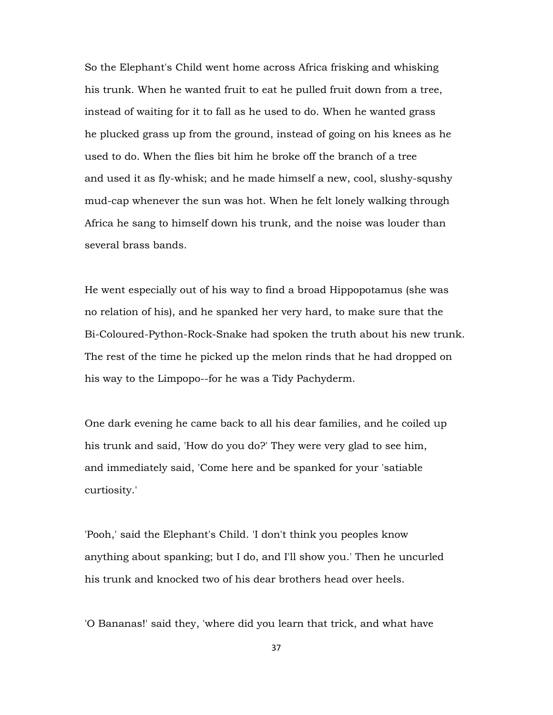So the Elephant's Child went home across Africa frisking and whisking his trunk. When he wanted fruit to eat he pulled fruit down from a tree, instead of waiting for it to fall as he used to do. When he wanted grass he plucked grass up from the ground, instead of going on his knees as he used to do. When the flies bit him he broke off the branch of a tree and used it as fly-whisk; and he made himself a new, cool, slushy-squshy mud-cap whenever the sun was hot. When he felt lonely walking through Africa he sang to himself down his trunk, and the noise was louder than several brass bands.

He went especially out of his way to find a broad Hippopotamus (she was no relation of his), and he spanked her very hard, to make sure that the Bi-Coloured-Python-Rock-Snake had spoken the truth about his new trunk. The rest of the time he picked up the melon rinds that he had dropped on his way to the Limpopo--for he was a Tidy Pachyderm.

One dark evening he came back to all his dear families, and he coiled up his trunk and said, 'How do you do?' They were very glad to see him, and immediately said, 'Come here and be spanked for your 'satiable curtiosity.'

'Pooh,' said the Elephant's Child. 'I don't think you peoples know anything about spanking; but I do, and I'll show you.' Then he uncurled his trunk and knocked two of his dear brothers head over heels.

'O Bananas!' said they, 'where did you learn that trick, and what have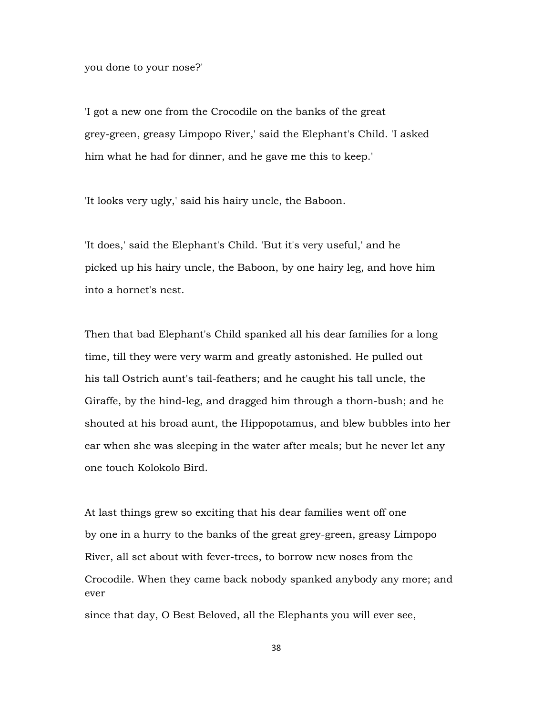you done to your nose?'

'I got a new one from the Crocodile on the banks of the great grey-green, greasy Limpopo River,' said the Elephant's Child. 'I asked him what he had for dinner, and he gave me this to keep.'

'It looks very ugly,' said his hairy uncle, the Baboon.

'It does,' said the Elephant's Child. 'But it's very useful,' and he picked up his hairy uncle, the Baboon, by one hairy leg, and hove him into a hornet's nest.

Then that bad Elephant's Child spanked all his dear families for a long time, till they were very warm and greatly astonished. He pulled out his tall Ostrich aunt's tail-feathers; and he caught his tall uncle, the Giraffe, by the hind-leg, and dragged him through a thorn-bush; and he shouted at his broad aunt, the Hippopotamus, and blew bubbles into her ear when she was sleeping in the water after meals; but he never let any one touch Kolokolo Bird.

At last things grew so exciting that his dear families went off one by one in a hurry to the banks of the great grey-green, greasy Limpopo River, all set about with fever-trees, to borrow new noses from the Crocodile. When they came back nobody spanked anybody any more; and ever

since that day, O Best Beloved, all the Elephants you will ever see,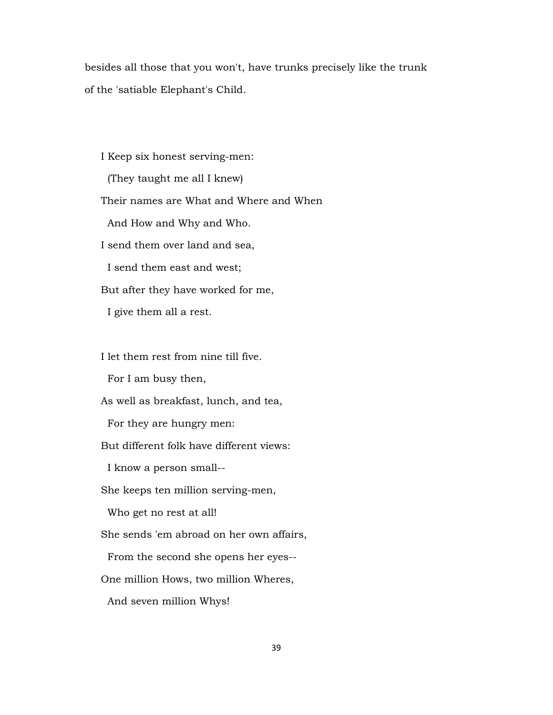besides all those that you won't, have trunks precisely like the trunk of the 'satiable Elephant's Child.

 I Keep six honest serving-men: (They taught me all I knew) Their names are What and Where and When And How and Why and Who. I send them over land and sea, I send them east and west; But after they have worked for me, I give them all a rest.

I let them rest from nine till five.

For I am busy then,

As well as breakfast, lunch, and tea,

For they are hungry men:

But different folk have different views:

I know a person small--

She keeps ten million serving-men,

Who get no rest at all!

She sends 'em abroad on her own affairs,

From the second she opens her eyes--

One million Hows, two million Wheres,

And seven million Whys!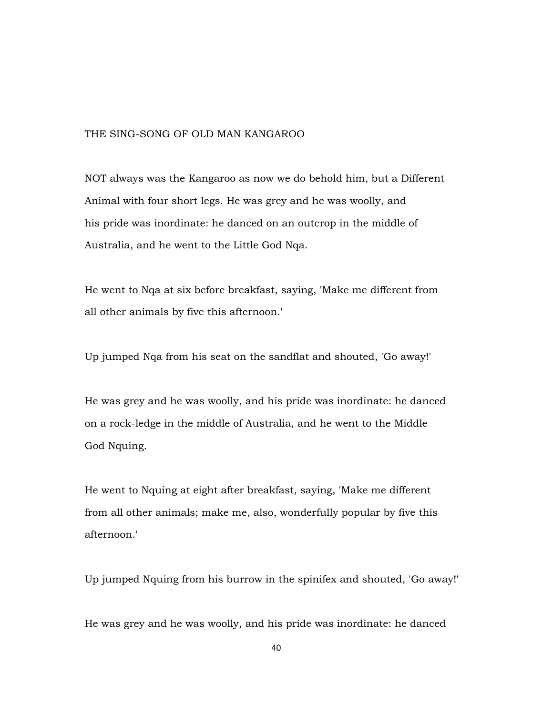## THE SING-SONG OF OLD MAN KANGAROO

NOT always was the Kangaroo as now we do behold him, but a Different Animal with four short legs. He was grey and he was woolly, and his pride was inordinate: he danced on an outcrop in the middle of Australia, and he went to the Little God Nqa.

He went to Nqa at six before breakfast, saying, 'Make me different from all other animals by five this afternoon.'

Up jumped Nqa from his seat on the sandflat and shouted, 'Go away!'

He was grey and he was woolly, and his pride was inordinate: he danced on a rock-ledge in the middle of Australia, and he went to the Middle God Nquing.

He went to Nquing at eight after breakfast, saying, 'Make me different from all other animals; make me, also, wonderfully popular by five this afternoon.'

Up jumped Nquing from his burrow in the spinifex and shouted, 'Go away!'

He was grey and he was woolly, and his pride was inordinate: he danced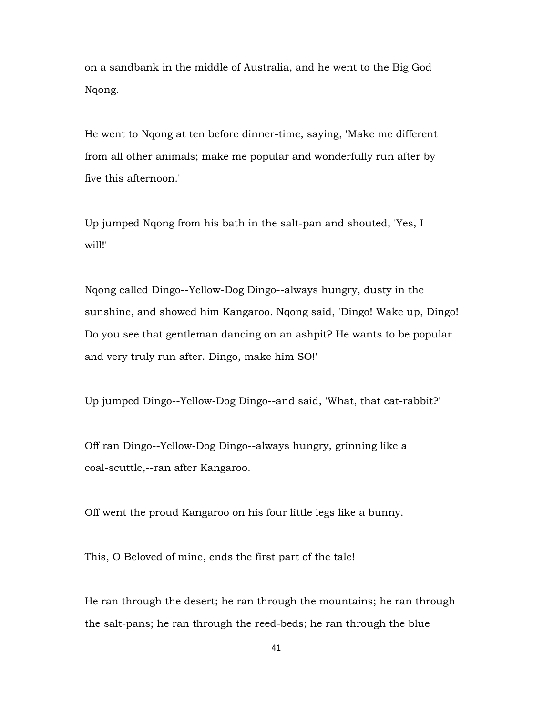on a sandbank in the middle of Australia, and he went to the Big God Nqong.

He went to Nqong at ten before dinner-time, saying, 'Make me different from all other animals; make me popular and wonderfully run after by five this afternoon.'

Up jumped Nqong from his bath in the salt-pan and shouted, 'Yes, I will!'

Nqong called Dingo--Yellow-Dog Dingo--always hungry, dusty in the sunshine, and showed him Kangaroo. Nqong said, 'Dingo! Wake up, Dingo! Do you see that gentleman dancing on an ashpit? He wants to be popular and very truly run after. Dingo, make him SO!'

Up jumped Dingo--Yellow-Dog Dingo--and said, 'What, that cat-rabbit?'

Off ran Dingo--Yellow-Dog Dingo--always hungry, grinning like a coal-scuttle,--ran after Kangaroo.

Off went the proud Kangaroo on his four little legs like a bunny.

This, O Beloved of mine, ends the first part of the tale!

He ran through the desert; he ran through the mountains; he ran through the salt-pans; he ran through the reed-beds; he ran through the blue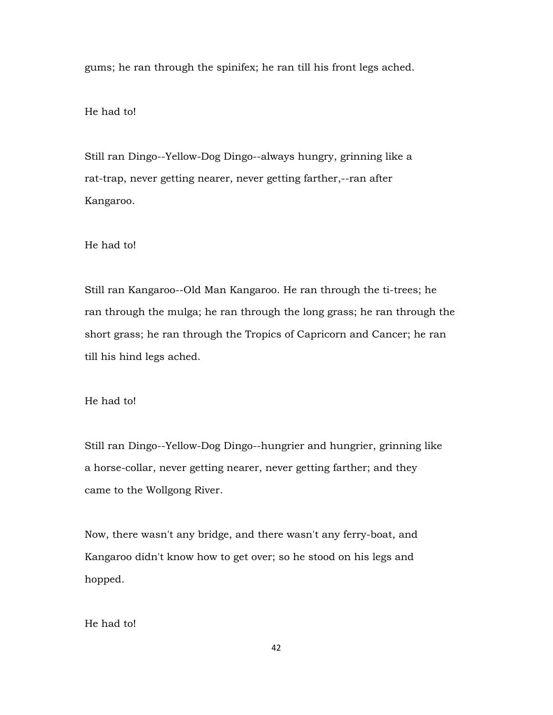gums; he ran through the spinifex; he ran till his front legs ached.

He had to!

Still ran Dingo--Yellow-Dog Dingo--always hungry, grinning like a rat-trap, never getting nearer, never getting farther,--ran after Kangaroo.

He had to!

Still ran Kangaroo--Old Man Kangaroo. He ran through the ti-trees; he ran through the mulga; he ran through the long grass; he ran through the short grass; he ran through the Tropics of Capricorn and Cancer; he ran till his hind legs ached.

He had to!

Still ran Dingo--Yellow-Dog Dingo--hungrier and hungrier, grinning like a horse-collar, never getting nearer, never getting farther; and they came to the Wollgong River.

Now, there wasn't any bridge, and there wasn't any ferry-boat, and Kangaroo didn't know how to get over; so he stood on his legs and hopped.

He had to!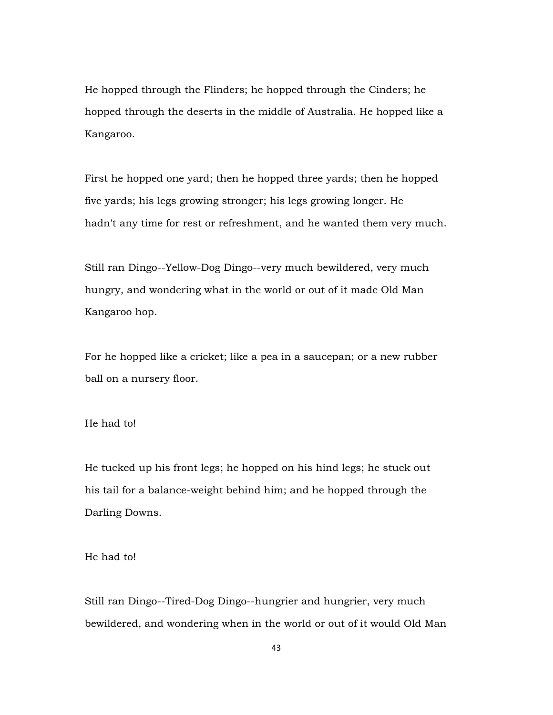He hopped through the Flinders; he hopped through the Cinders; he hopped through the deserts in the middle of Australia. He hopped like a Kangaroo.

First he hopped one yard; then he hopped three yards; then he hopped five yards; his legs growing stronger; his legs growing longer. He hadn't any time for rest or refreshment, and he wanted them very much.

Still ran Dingo--Yellow-Dog Dingo--very much bewildered, very much hungry, and wondering what in the world or out of it made Old Man Kangaroo hop.

For he hopped like a cricket; like a pea in a saucepan; or a new rubber ball on a nursery floor.

He had to!

He tucked up his front legs; he hopped on his hind legs; he stuck out his tail for a balance-weight behind him; and he hopped through the Darling Downs.

He had to!

Still ran Dingo--Tired-Dog Dingo--hungrier and hungrier, very much bewildered, and wondering when in the world or out of it would Old Man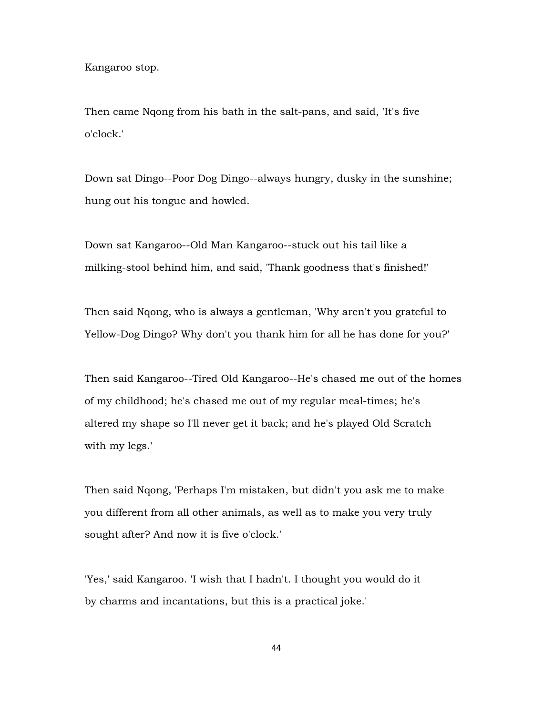Kangaroo stop.

Then came Nqong from his bath in the salt-pans, and said, 'It's five o'clock.'

Down sat Dingo--Poor Dog Dingo--always hungry, dusky in the sunshine; hung out his tongue and howled.

Down sat Kangaroo--Old Man Kangaroo--stuck out his tail like a milking-stool behind him, and said, 'Thank goodness that's finished!'

Then said Nqong, who is always a gentleman, 'Why aren't you grateful to Yellow-Dog Dingo? Why don't you thank him for all he has done for you?'

Then said Kangaroo--Tired Old Kangaroo--He's chased me out of the homes of my childhood; he's chased me out of my regular meal-times; he's altered my shape so I'll never get it back; and he's played Old Scratch with my legs.'

Then said Nqong, 'Perhaps I'm mistaken, but didn't you ask me to make you different from all other animals, as well as to make you very truly sought after? And now it is five o'clock.'

'Yes,' said Kangaroo. 'I wish that I hadn't. I thought you would do it by charms and incantations, but this is a practical joke.'

44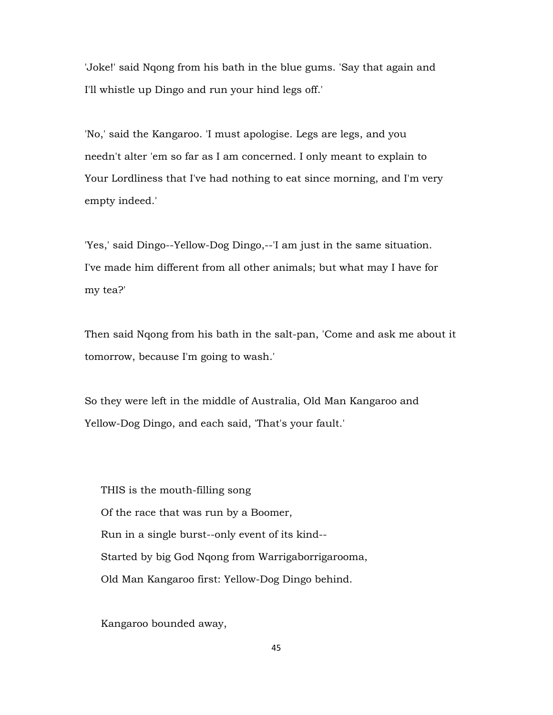'Joke!' said Nqong from his bath in the blue gums. 'Say that again and I'll whistle up Dingo and run your hind legs off.'

'No,' said the Kangaroo. 'I must apologise. Legs are legs, and you needn't alter 'em so far as I am concerned. I only meant to explain to Your Lordliness that I've had nothing to eat since morning, and I'm very empty indeed.'

'Yes,' said Dingo--Yellow-Dog Dingo,--'I am just in the same situation. I've made him different from all other animals; but what may I have for my tea?'

Then said Nqong from his bath in the salt-pan, 'Come and ask me about it tomorrow, because I'm going to wash.'

So they were left in the middle of Australia, Old Man Kangaroo and Yellow-Dog Dingo, and each said, 'That's your fault.'

 THIS is the mouth-filling song Of the race that was run by a Boomer, Run in a single burst--only event of its kind-- Started by big God Nqong from Warrigaborrigarooma, Old Man Kangaroo first: Yellow-Dog Dingo behind.

Kangaroo bounded away,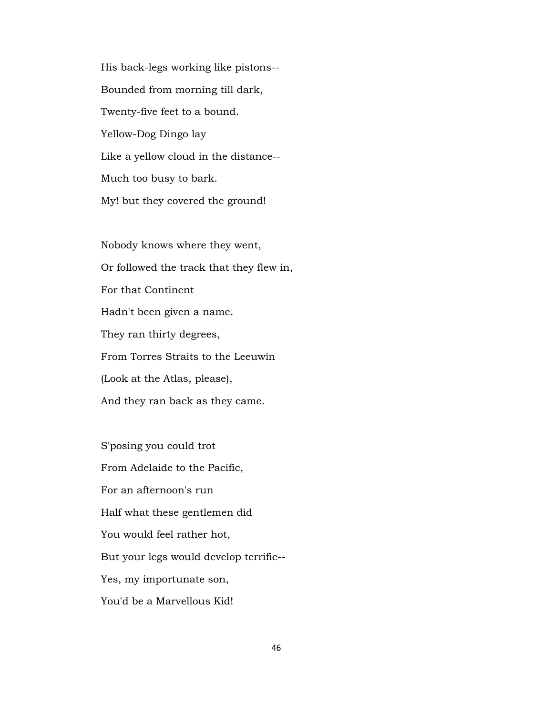His back-legs working like pistons-- Bounded from morning till dark, Twenty-five feet to a bound. Yellow-Dog Dingo lay Like a yellow cloud in the distance-- Much too busy to bark. My! but they covered the ground!

 Nobody knows where they went, Or followed the track that they flew in, For that Continent Hadn't been given a name. They ran thirty degrees, From Torres Straits to the Leeuwin (Look at the Atlas, please), And they ran back as they came.

 S'posing you could trot From Adelaide to the Pacific, For an afternoon's run Half what these gentlemen did You would feel rather hot, But your legs would develop terrific-- Yes, my importunate son, You'd be a Marvellous Kid!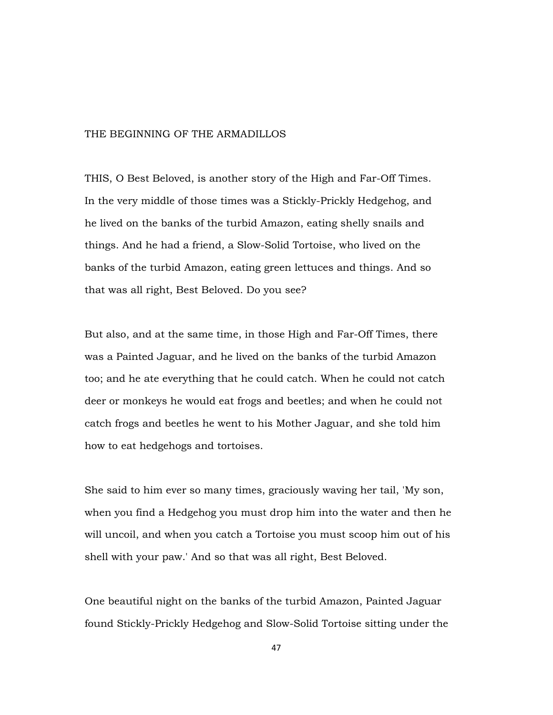## THE BEGINNING OF THE ARMADILLOS

THIS, O Best Beloved, is another story of the High and Far-Off Times. In the very middle of those times was a Stickly-Prickly Hedgehog, and he lived on the banks of the turbid Amazon, eating shelly snails and things. And he had a friend, a Slow-Solid Tortoise, who lived on the banks of the turbid Amazon, eating green lettuces and things. And so that was all right, Best Beloved. Do you see?

But also, and at the same time, in those High and Far-Off Times, there was a Painted Jaguar, and he lived on the banks of the turbid Amazon too; and he ate everything that he could catch. When he could not catch deer or monkeys he would eat frogs and beetles; and when he could not catch frogs and beetles he went to his Mother Jaguar, and she told him how to eat hedgehogs and tortoises.

She said to him ever so many times, graciously waving her tail, 'My son, when you find a Hedgehog you must drop him into the water and then he will uncoil, and when you catch a Tortoise you must scoop him out of his shell with your paw.' And so that was all right, Best Beloved.

One beautiful night on the banks of the turbid Amazon, Painted Jaguar found Stickly-Prickly Hedgehog and Slow-Solid Tortoise sitting under the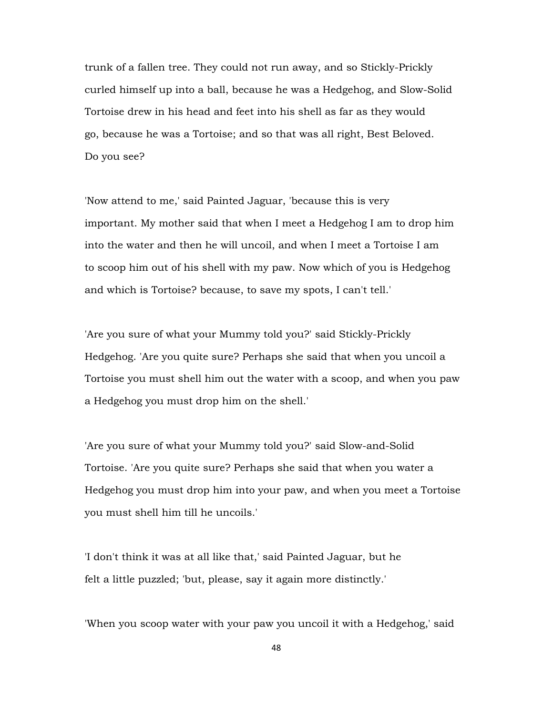trunk of a fallen tree. They could not run away, and so Stickly-Prickly curled himself up into a ball, because he was a Hedgehog, and Slow-Solid Tortoise drew in his head and feet into his shell as far as they would go, because he was a Tortoise; and so that was all right, Best Beloved. Do you see?

'Now attend to me,' said Painted Jaguar, 'because this is very important. My mother said that when I meet a Hedgehog I am to drop him into the water and then he will uncoil, and when I meet a Tortoise I am to scoop him out of his shell with my paw. Now which of you is Hedgehog and which is Tortoise? because, to save my spots, I can't tell.'

'Are you sure of what your Mummy told you?' said Stickly-Prickly Hedgehog. 'Are you quite sure? Perhaps she said that when you uncoil a Tortoise you must shell him out the water with a scoop, and when you paw a Hedgehog you must drop him on the shell.'

'Are you sure of what your Mummy told you?' said Slow-and-Solid Tortoise. 'Are you quite sure? Perhaps she said that when you water a Hedgehog you must drop him into your paw, and when you meet a Tortoise you must shell him till he uncoils.'

'I don't think it was at all like that,' said Painted Jaguar, but he felt a little puzzled; 'but, please, say it again more distinctly.'

'When you scoop water with your paw you uncoil it with a Hedgehog,' said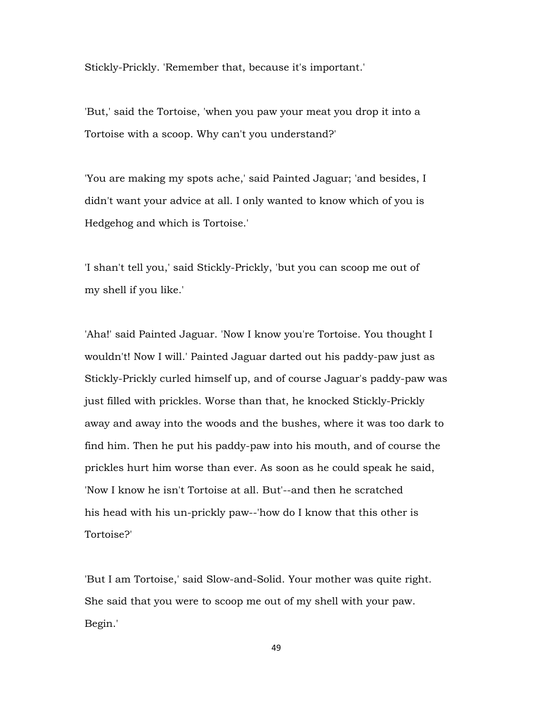Stickly-Prickly. 'Remember that, because it's important.'

'But,' said the Tortoise, 'when you paw your meat you drop it into a Tortoise with a scoop. Why can't you understand?'

'You are making my spots ache,' said Painted Jaguar; 'and besides, I didn't want your advice at all. I only wanted to know which of you is Hedgehog and which is Tortoise.'

'I shan't tell you,' said Stickly-Prickly, 'but you can scoop me out of my shell if you like.'

'Aha!' said Painted Jaguar. 'Now I know you're Tortoise. You thought I wouldn't! Now I will.' Painted Jaguar darted out his paddy-paw just as Stickly-Prickly curled himself up, and of course Jaguar's paddy-paw was just filled with prickles. Worse than that, he knocked Stickly-Prickly away and away into the woods and the bushes, where it was too dark to find him. Then he put his paddy-paw into his mouth, and of course the prickles hurt him worse than ever. As soon as he could speak he said, 'Now I know he isn't Tortoise at all. But'--and then he scratched his head with his un-prickly paw--'how do I know that this other is Tortoise?'

'But I am Tortoise,' said Slow-and-Solid. Your mother was quite right. She said that you were to scoop me out of my shell with your paw. Begin.'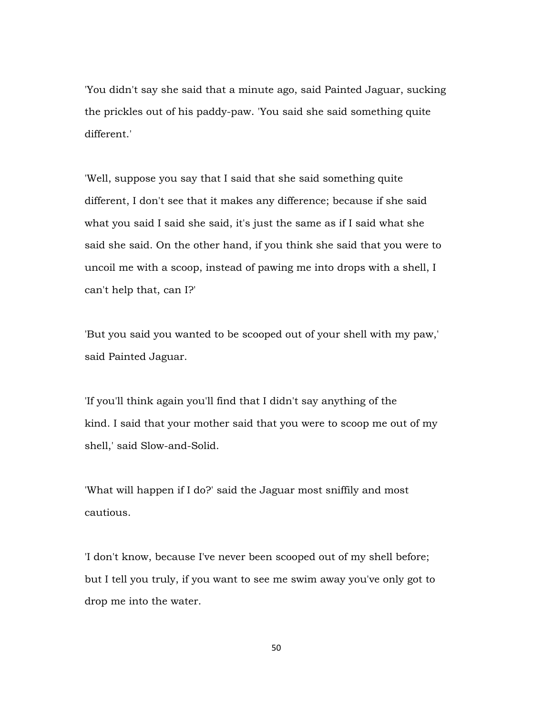'You didn't say she said that a minute ago, said Painted Jaguar, sucking the prickles out of his paddy-paw. 'You said she said something quite different.'

'Well, suppose you say that I said that she said something quite different, I don't see that it makes any difference; because if she said what you said I said she said, it's just the same as if I said what she said she said. On the other hand, if you think she said that you were to uncoil me with a scoop, instead of pawing me into drops with a shell, I can't help that, can I?'

'But you said you wanted to be scooped out of your shell with my paw,' said Painted Jaguar.

'If you'll think again you'll find that I didn't say anything of the kind. I said that your mother said that you were to scoop me out of my shell,' said Slow-and-Solid.

'What will happen if I do?' said the Jaguar most sniffily and most cautious.

'I don't know, because I've never been scooped out of my shell before; but I tell you truly, if you want to see me swim away you've only got to drop me into the water.

50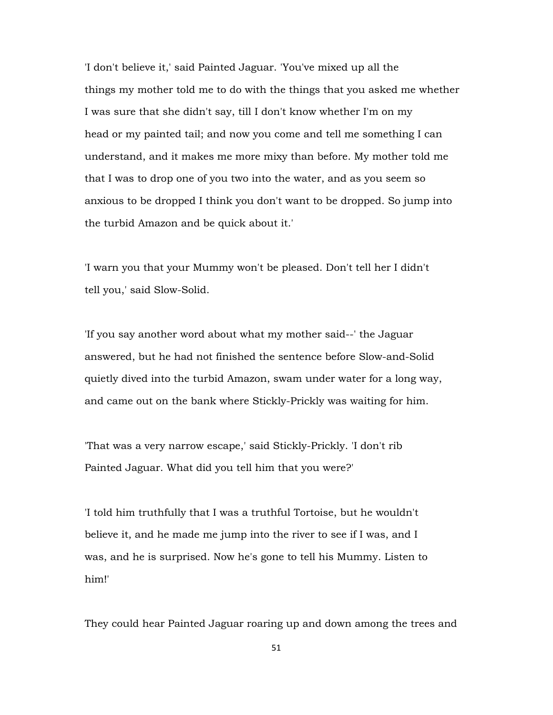'I don't believe it,' said Painted Jaguar. 'You've mixed up all the things my mother told me to do with the things that you asked me whether I was sure that she didn't say, till I don't know whether I'm on my head or my painted tail; and now you come and tell me something I can understand, and it makes me more mixy than before. My mother told me that I was to drop one of you two into the water, and as you seem so anxious to be dropped I think you don't want to be dropped. So jump into the turbid Amazon and be quick about it.'

'I warn you that your Mummy won't be pleased. Don't tell her I didn't tell you,' said Slow-Solid.

'If you say another word about what my mother said--' the Jaguar answered, but he had not finished the sentence before Slow-and-Solid quietly dived into the turbid Amazon, swam under water for a long way, and came out on the bank where Stickly-Prickly was waiting for him.

'That was a very narrow escape,' said Stickly-Prickly. 'I don't rib Painted Jaguar. What did you tell him that you were?'

'I told him truthfully that I was a truthful Tortoise, but he wouldn't believe it, and he made me jump into the river to see if I was, and I was, and he is surprised. Now he's gone to tell his Mummy. Listen to him!'

They could hear Painted Jaguar roaring up and down among the trees and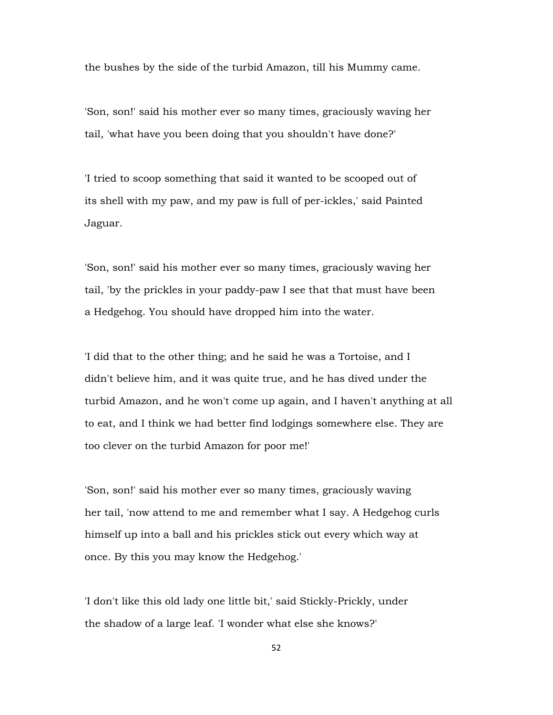the bushes by the side of the turbid Amazon, till his Mummy came.

'Son, son!' said his mother ever so many times, graciously waving her tail, 'what have you been doing that you shouldn't have done?'

'I tried to scoop something that said it wanted to be scooped out of its shell with my paw, and my paw is full of per-ickles,' said Painted Jaguar.

'Son, son!' said his mother ever so many times, graciously waving her tail, 'by the prickles in your paddy-paw I see that that must have been a Hedgehog. You should have dropped him into the water.

'I did that to the other thing; and he said he was a Tortoise, and I didn't believe him, and it was quite true, and he has dived under the turbid Amazon, and he won't come up again, and I haven't anything at all to eat, and I think we had better find lodgings somewhere else. They are too clever on the turbid Amazon for poor me!'

'Son, son!' said his mother ever so many times, graciously waving her tail, 'now attend to me and remember what I say. A Hedgehog curls himself up into a ball and his prickles stick out every which way at once. By this you may know the Hedgehog.'

'I don't like this old lady one little bit,' said Stickly-Prickly, under the shadow of a large leaf. 'I wonder what else she knows?'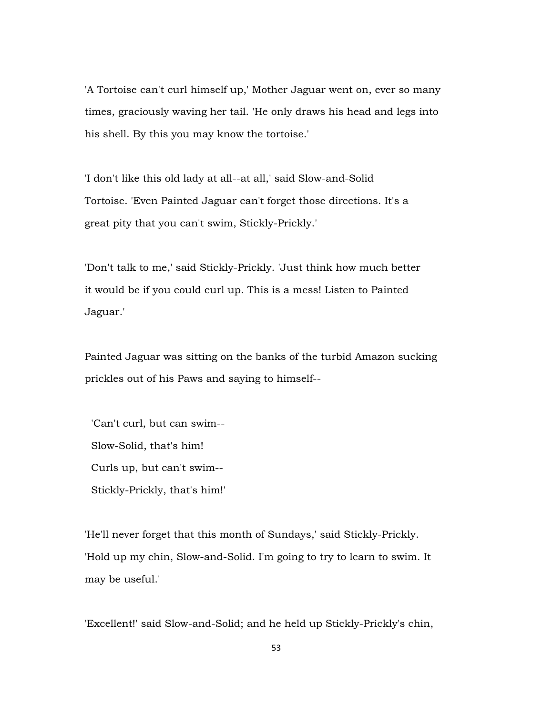'A Tortoise can't curl himself up,' Mother Jaguar went on, ever so many times, graciously waving her tail. 'He only draws his head and legs into his shell. By this you may know the tortoise.'

'I don't like this old lady at all--at all,' said Slow-and-Solid Tortoise. 'Even Painted Jaguar can't forget those directions. It's a great pity that you can't swim, Stickly-Prickly.'

'Don't talk to me,' said Stickly-Prickly. 'Just think how much better it would be if you could curl up. This is a mess! Listen to Painted Jaguar.'

Painted Jaguar was sitting on the banks of the turbid Amazon sucking prickles out of his Paws and saying to himself--

 'Can't curl, but can swim-- Slow-Solid, that's him! Curls up, but can't swim-- Stickly-Prickly, that's him!'

'He'll never forget that this month of Sundays,' said Stickly-Prickly. 'Hold up my chin, Slow-and-Solid. I'm going to try to learn to swim. It may be useful.'

'Excellent!' said Slow-and-Solid; and he held up Stickly-Prickly's chin,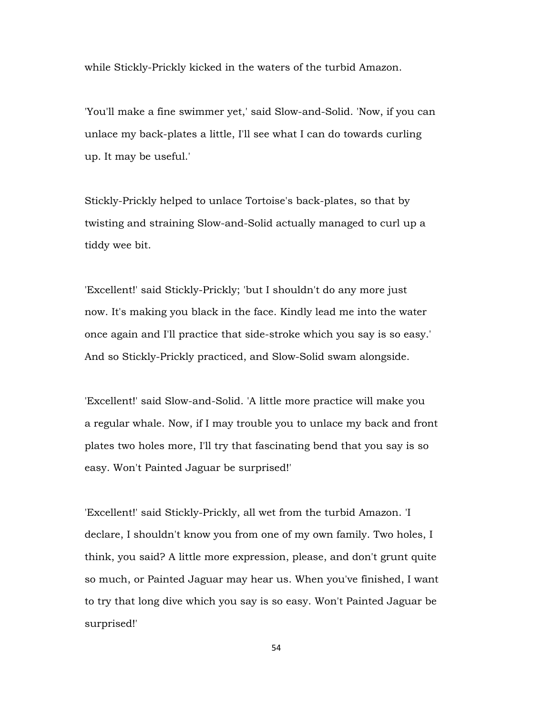while Stickly-Prickly kicked in the waters of the turbid Amazon.

'You'll make a fine swimmer yet,' said Slow-and-Solid. 'Now, if you can unlace my back-plates a little, I'll see what I can do towards curling up. It may be useful.'

Stickly-Prickly helped to unlace Tortoise's back-plates, so that by twisting and straining Slow-and-Solid actually managed to curl up a tiddy wee bit.

'Excellent!' said Stickly-Prickly; 'but I shouldn't do any more just now. It's making you black in the face. Kindly lead me into the water once again and I'll practice that side-stroke which you say is so easy.' And so Stickly-Prickly practiced, and Slow-Solid swam alongside.

'Excellent!' said Slow-and-Solid. 'A little more practice will make you a regular whale. Now, if I may trouble you to unlace my back and front plates two holes more, I'll try that fascinating bend that you say is so easy. Won't Painted Jaguar be surprised!'

'Excellent!' said Stickly-Prickly, all wet from the turbid Amazon. 'I declare, I shouldn't know you from one of my own family. Two holes, I think, you said? A little more expression, please, and don't grunt quite so much, or Painted Jaguar may hear us. When you've finished, I want to try that long dive which you say is so easy. Won't Painted Jaguar be surprised!'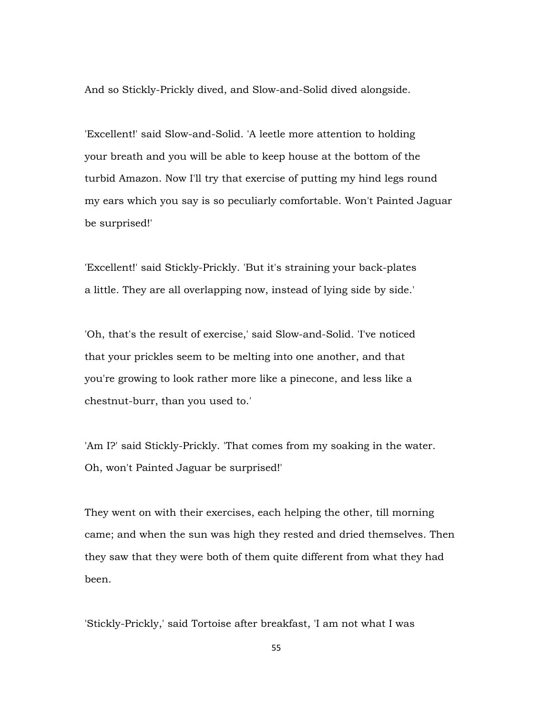And so Stickly-Prickly dived, and Slow-and-Solid dived alongside.

'Excellent!' said Slow-and-Solid. 'A leetle more attention to holding your breath and you will be able to keep house at the bottom of the turbid Amazon. Now I'll try that exercise of putting my hind legs round my ears which you say is so peculiarly comfortable. Won't Painted Jaguar be surprised!'

'Excellent!' said Stickly-Prickly. 'But it's straining your back-plates a little. They are all overlapping now, instead of lying side by side.'

'Oh, that's the result of exercise,' said Slow-and-Solid. 'I've noticed that your prickles seem to be melting into one another, and that you're growing to look rather more like a pinecone, and less like a chestnut-burr, than you used to.'

'Am I?' said Stickly-Prickly. 'That comes from my soaking in the water. Oh, won't Painted Jaguar be surprised!'

They went on with their exercises, each helping the other, till morning came; and when the sun was high they rested and dried themselves. Then they saw that they were both of them quite different from what they had been.

'Stickly-Prickly,' said Tortoise after breakfast, 'I am not what I was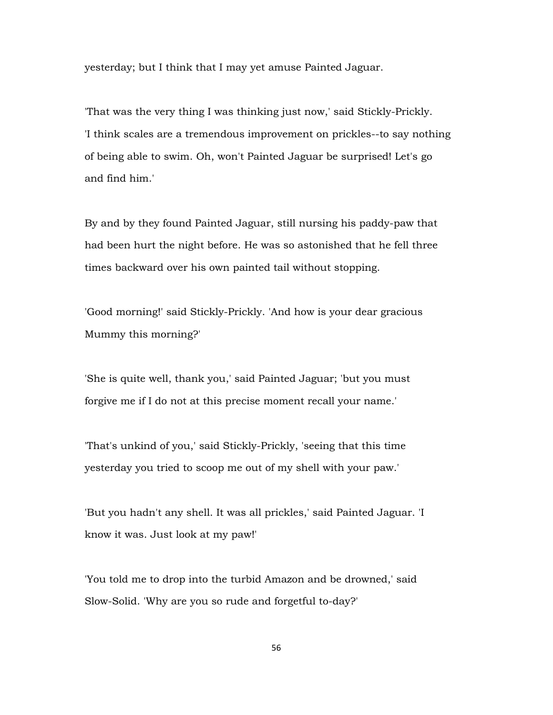yesterday; but I think that I may yet amuse Painted Jaguar.

'That was the very thing I was thinking just now,' said Stickly-Prickly. 'I think scales are a tremendous improvement on prickles--to say nothing of being able to swim. Oh, won't Painted Jaguar be surprised! Let's go and find him.'

By and by they found Painted Jaguar, still nursing his paddy-paw that had been hurt the night before. He was so astonished that he fell three times backward over his own painted tail without stopping.

'Good morning!' said Stickly-Prickly. 'And how is your dear gracious Mummy this morning?'

'She is quite well, thank you,' said Painted Jaguar; 'but you must forgive me if I do not at this precise moment recall your name.'

'That's unkind of you,' said Stickly-Prickly, 'seeing that this time yesterday you tried to scoop me out of my shell with your paw.'

'But you hadn't any shell. It was all prickles,' said Painted Jaguar. 'I know it was. Just look at my paw!'

'You told me to drop into the turbid Amazon and be drowned,' said Slow-Solid. 'Why are you so rude and forgetful to-day?'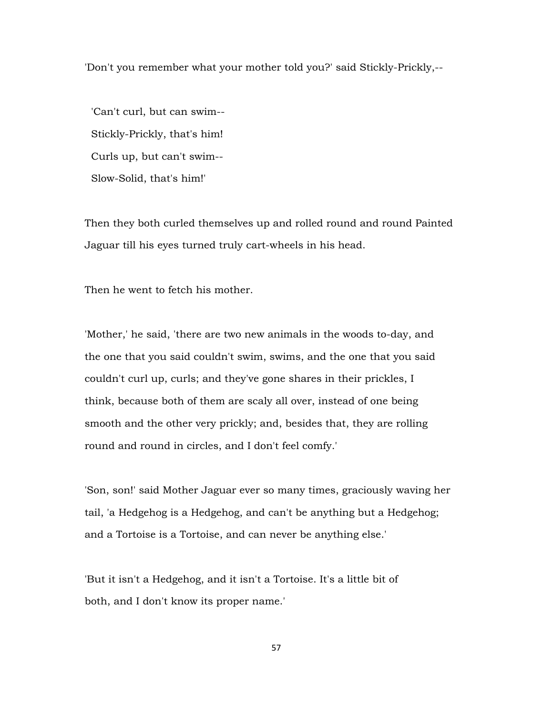'Don't you remember what your mother told you?' said Stickly-Prickly,--

 'Can't curl, but can swim-- Stickly-Prickly, that's him! Curls up, but can't swim-- Slow-Solid, that's him!'

Then they both curled themselves up and rolled round and round Painted Jaguar till his eyes turned truly cart-wheels in his head.

Then he went to fetch his mother.

'Mother,' he said, 'there are two new animals in the woods to-day, and the one that you said couldn't swim, swims, and the one that you said couldn't curl up, curls; and they've gone shares in their prickles, I think, because both of them are scaly all over, instead of one being smooth and the other very prickly; and, besides that, they are rolling round and round in circles, and I don't feel comfy.'

'Son, son!' said Mother Jaguar ever so many times, graciously waving her tail, 'a Hedgehog is a Hedgehog, and can't be anything but a Hedgehog; and a Tortoise is a Tortoise, and can never be anything else.'

'But it isn't a Hedgehog, and it isn't a Tortoise. It's a little bit of both, and I don't know its proper name.'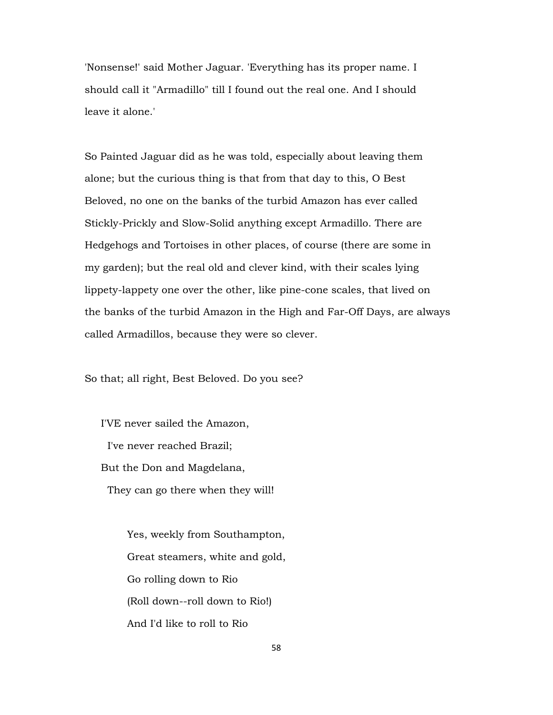'Nonsense!' said Mother Jaguar. 'Everything has its proper name. I should call it "Armadillo" till I found out the real one. And I should leave it alone.'

So Painted Jaguar did as he was told, especially about leaving them alone; but the curious thing is that from that day to this, O Best Beloved, no one on the banks of the turbid Amazon has ever called Stickly-Prickly and Slow-Solid anything except Armadillo. There are Hedgehogs and Tortoises in other places, of course (there are some in my garden); but the real old and clever kind, with their scales lying lippety-lappety one over the other, like pine-cone scales, that lived on the banks of the turbid Amazon in the High and Far-Off Days, are always called Armadillos, because they were so clever.

So that; all right, Best Beloved. Do you see?

 I'VE never sailed the Amazon, I've never reached Brazil; But the Don and Magdelana, They can go there when they will!

> Yes, weekly from Southampton, Great steamers, white and gold, Go rolling down to Rio (Roll down--roll down to Rio!) And I'd like to roll to Rio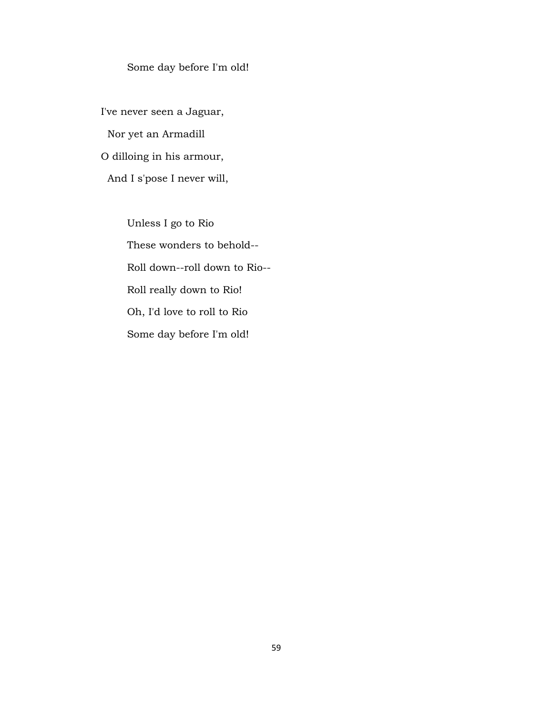## Some day before I'm old!

 I've never seen a Jaguar, Nor yet an Armadill O dilloing in his armour, And I s'pose I never will,

> Unless I go to Rio These wonders to behold-- Roll down--roll down to Rio-- Roll really down to Rio! Oh, I'd love to roll to Rio Some day before I'm old!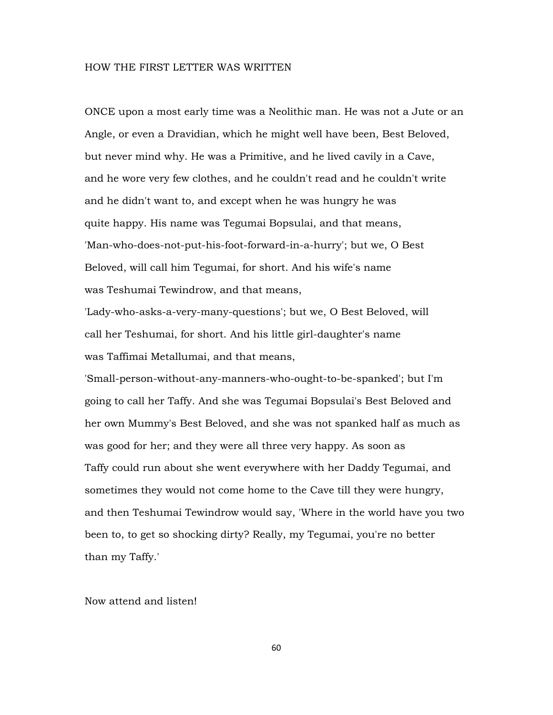## HOW THE FIRST LETTER WAS WRITTEN

ONCE upon a most early time was a Neolithic man. He was not a Jute or an Angle, or even a Dravidian, which he might well have been, Best Beloved, but never mind why. He was a Primitive, and he lived cavily in a Cave, and he wore very few clothes, and he couldn't read and he couldn't write and he didn't want to, and except when he was hungry he was quite happy. His name was Tegumai Bopsulai, and that means, 'Man-who-does-not-put-his-foot-forward-in-a-hurry'; but we, O Best Beloved, will call him Tegumai, for short. And his wife's name was Teshumai Tewindrow, and that means,

'Lady-who-asks-a-very-many-questions'; but we, O Best Beloved, will call her Teshumai, for short. And his little girl-daughter's name was Taffimai Metallumai, and that means,

'Small-person-without-any-manners-who-ought-to-be-spanked'; but I'm going to call her Taffy. And she was Tegumai Bopsulai's Best Beloved and her own Mummy's Best Beloved, and she was not spanked half as much as was good for her; and they were all three very happy. As soon as Taffy could run about she went everywhere with her Daddy Tegumai, and sometimes they would not come home to the Cave till they were hungry, and then Teshumai Tewindrow would say, 'Where in the world have you two been to, to get so shocking dirty? Really, my Tegumai, you're no better than my Taffy.'

Now attend and listen!

60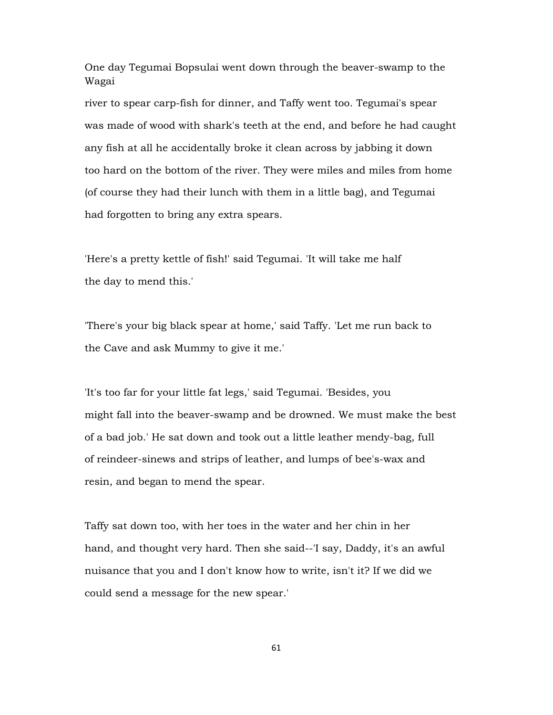One day Tegumai Bopsulai went down through the beaver-swamp to the Wagai

river to spear carp-fish for dinner, and Taffy went too. Tegumai's spear was made of wood with shark's teeth at the end, and before he had caught any fish at all he accidentally broke it clean across by jabbing it down too hard on the bottom of the river. They were miles and miles from home (of course they had their lunch with them in a little bag), and Tegumai had forgotten to bring any extra spears.

'Here's a pretty kettle of fish!' said Tegumai. 'It will take me half the day to mend this.'

'There's your big black spear at home,' said Taffy. 'Let me run back to the Cave and ask Mummy to give it me.'

'It's too far for your little fat legs,' said Tegumai. 'Besides, you might fall into the beaver-swamp and be drowned. We must make the best of a bad job.' He sat down and took out a little leather mendy-bag, full of reindeer-sinews and strips of leather, and lumps of bee's-wax and resin, and began to mend the spear.

Taffy sat down too, with her toes in the water and her chin in her hand, and thought very hard. Then she said--'I say, Daddy, it's an awful nuisance that you and I don't know how to write, isn't it? If we did we could send a message for the new spear.'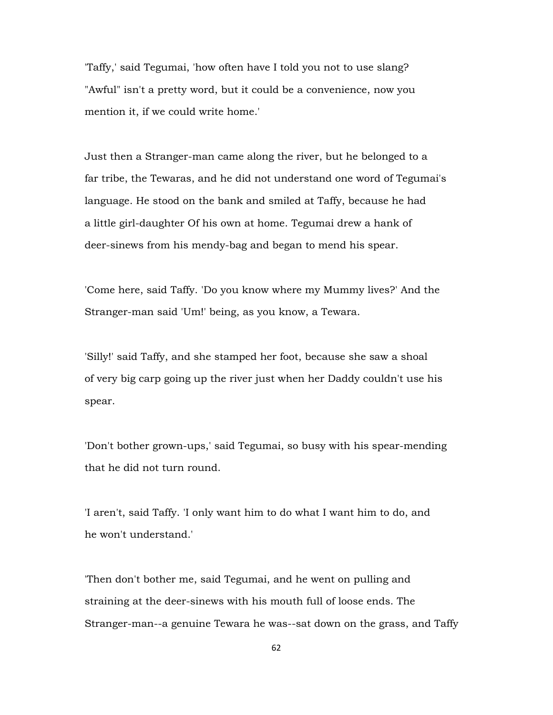'Taffy,' said Tegumai, 'how often have I told you not to use slang? "Awful" isn't a pretty word, but it could be a convenience, now you mention it, if we could write home.'

Just then a Stranger-man came along the river, but he belonged to a far tribe, the Tewaras, and he did not understand one word of Tegumai's language. He stood on the bank and smiled at Taffy, because he had a little girl-daughter Of his own at home. Tegumai drew a hank of deer-sinews from his mendy-bag and began to mend his spear.

'Come here, said Taffy. 'Do you know where my Mummy lives?' And the Stranger-man said 'Um!' being, as you know, a Tewara.

'Silly!' said Taffy, and she stamped her foot, because she saw a shoal of very big carp going up the river just when her Daddy couldn't use his spear.

'Don't bother grown-ups,' said Tegumai, so busy with his spear-mending that he did not turn round.

'I aren't, said Taffy. 'I only want him to do what I want him to do, and he won't understand.'

'Then don't bother me, said Tegumai, and he went on pulling and straining at the deer-sinews with his mouth full of loose ends. The Stranger-man--a genuine Tewara he was--sat down on the grass, and Taffy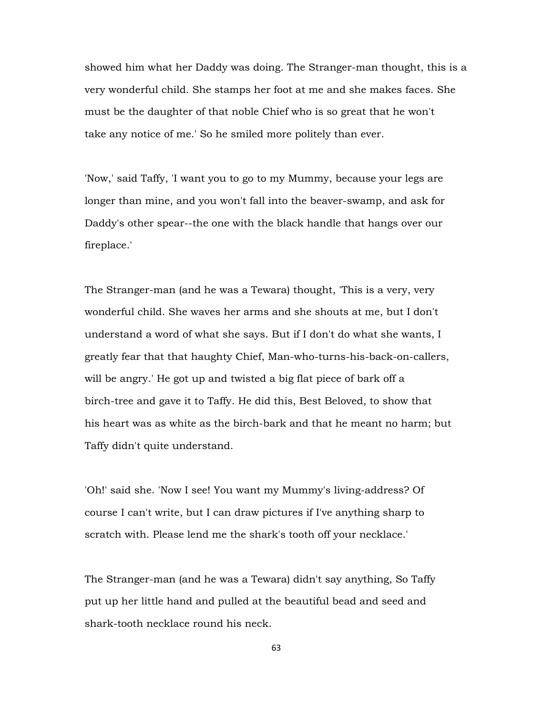showed him what her Daddy was doing. The Stranger-man thought, this is a very wonderful child. She stamps her foot at me and she makes faces. She must be the daughter of that noble Chief who is so great that he won't take any notice of me.' So he smiled more politely than ever.

'Now,' said Taffy, 'I want you to go to my Mummy, because your legs are longer than mine, and you won't fall into the beaver-swamp, and ask for Daddy's other spear--the one with the black handle that hangs over our fireplace.'

The Stranger-man (and he was a Tewara) thought, 'This is a very, very wonderful child. She waves her arms and she shouts at me, but I don't understand a word of what she says. But if I don't do what she wants, I greatly fear that that haughty Chief, Man-who-turns-his-back-on-callers, will be angry.' He got up and twisted a big flat piece of bark off a birch-tree and gave it to Taffy. He did this, Best Beloved, to show that his heart was as white as the birch-bark and that he meant no harm; but Taffy didn't quite understand.

'Oh!' said she. 'Now I see! You want my Mummy's living-address? Of course I can't write, but I can draw pictures if I've anything sharp to scratch with. Please lend me the shark's tooth off your necklace.'

The Stranger-man (and he was a Tewara) didn't say anything, So Taffy put up her little hand and pulled at the beautiful bead and seed and shark-tooth necklace round his neck.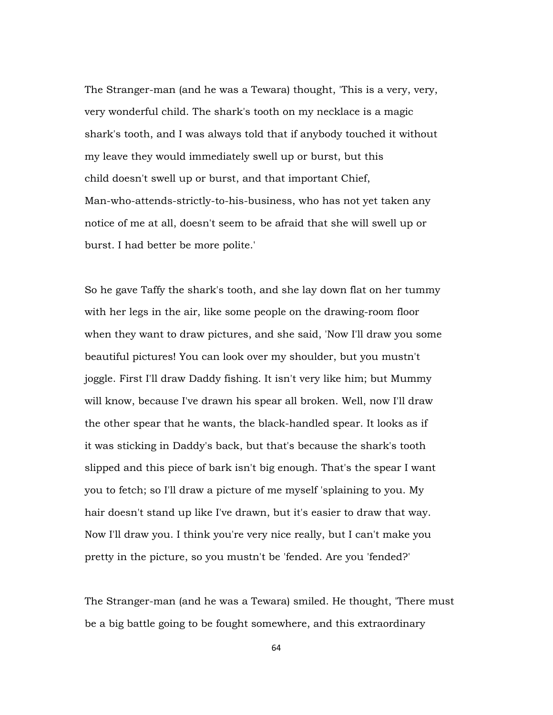The Stranger-man (and he was a Tewara) thought, 'This is a very, very, very wonderful child. The shark's tooth on my necklace is a magic shark's tooth, and I was always told that if anybody touched it without my leave they would immediately swell up or burst, but this child doesn't swell up or burst, and that important Chief, Man-who-attends-strictly-to-his-business, who has not yet taken any notice of me at all, doesn't seem to be afraid that she will swell up or burst. I had better be more polite.'

So he gave Taffy the shark's tooth, and she lay down flat on her tummy with her legs in the air, like some people on the drawing-room floor when they want to draw pictures, and she said, 'Now I'll draw you some beautiful pictures! You can look over my shoulder, but you mustn't joggle. First I'll draw Daddy fishing. It isn't very like him; but Mummy will know, because I've drawn his spear all broken. Well, now I'll draw the other spear that he wants, the black-handled spear. It looks as if it was sticking in Daddy's back, but that's because the shark's tooth slipped and this piece of bark isn't big enough. That's the spear I want you to fetch; so I'll draw a picture of me myself 'splaining to you. My hair doesn't stand up like I've drawn, but it's easier to draw that way. Now I'll draw you. I think you're very nice really, but I can't make you pretty in the picture, so you mustn't be 'fended. Are you 'fended?'

The Stranger-man (and he was a Tewara) smiled. He thought, 'There must be a big battle going to be fought somewhere, and this extraordinary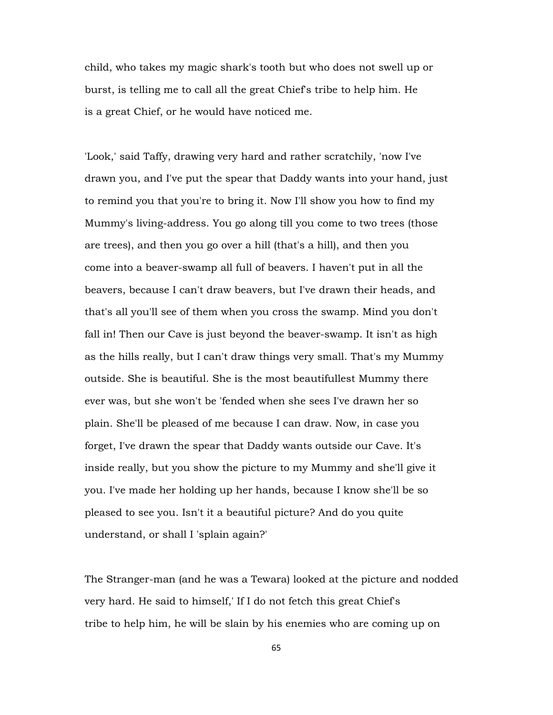child, who takes my magic shark's tooth but who does not swell up or burst, is telling me to call all the great Chief's tribe to help him. He is a great Chief, or he would have noticed me.

'Look,' said Taffy, drawing very hard and rather scratchily, 'now I've drawn you, and I've put the spear that Daddy wants into your hand, just to remind you that you're to bring it. Now I'll show you how to find my Mummy's living-address. You go along till you come to two trees (those are trees), and then you go over a hill (that's a hill), and then you come into a beaver-swamp all full of beavers. I haven't put in all the beavers, because I can't draw beavers, but I've drawn their heads, and that's all you'll see of them when you cross the swamp. Mind you don't fall in! Then our Cave is just beyond the beaver-swamp. It isn't as high as the hills really, but I can't draw things very small. That's my Mummy outside. She is beautiful. She is the most beautifullest Mummy there ever was, but she won't be 'fended when she sees I've drawn her so plain. She'll be pleased of me because I can draw. Now, in case you forget, I've drawn the spear that Daddy wants outside our Cave. It's inside really, but you show the picture to my Mummy and she'll give it you. I've made her holding up her hands, because I know she'll be so pleased to see you. Isn't it a beautiful picture? And do you quite understand, or shall I 'splain again?'

The Stranger-man (and he was a Tewara) looked at the picture and nodded very hard. He said to himself,' If I do not fetch this great Chief's tribe to help him, he will be slain by his enemies who are coming up on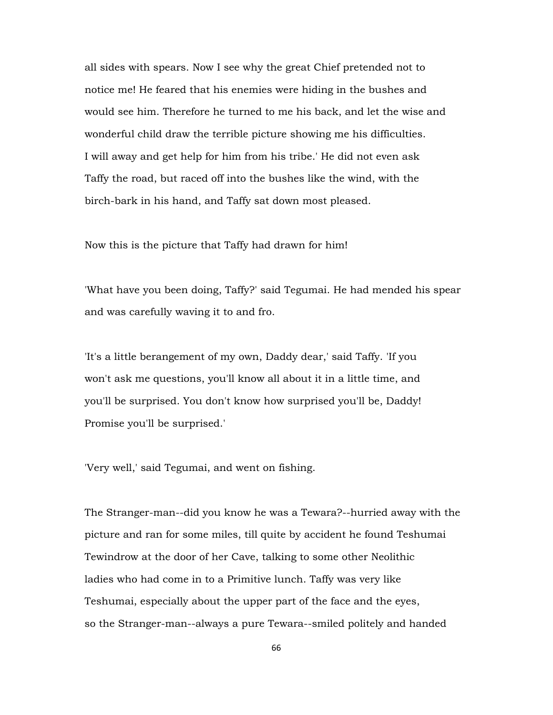all sides with spears. Now I see why the great Chief pretended not to notice me! He feared that his enemies were hiding in the bushes and would see him. Therefore he turned to me his back, and let the wise and wonderful child draw the terrible picture showing me his difficulties. I will away and get help for him from his tribe.' He did not even ask Taffy the road, but raced off into the bushes like the wind, with the birch-bark in his hand, and Taffy sat down most pleased.

Now this is the picture that Taffy had drawn for him!

'What have you been doing, Taffy?' said Tegumai. He had mended his spear and was carefully waving it to and fro.

'It's a little berangement of my own, Daddy dear,' said Taffy. 'If you won't ask me questions, you'll know all about it in a little time, and you'll be surprised. You don't know how surprised you'll be, Daddy! Promise you'll be surprised.'

'Very well,' said Tegumai, and went on fishing.

The Stranger-man--did you know he was a Tewara?--hurried away with the picture and ran for some miles, till quite by accident he found Teshumai Tewindrow at the door of her Cave, talking to some other Neolithic ladies who had come in to a Primitive lunch. Taffy was very like Teshumai, especially about the upper part of the face and the eyes, so the Stranger-man--always a pure Tewara--smiled politely and handed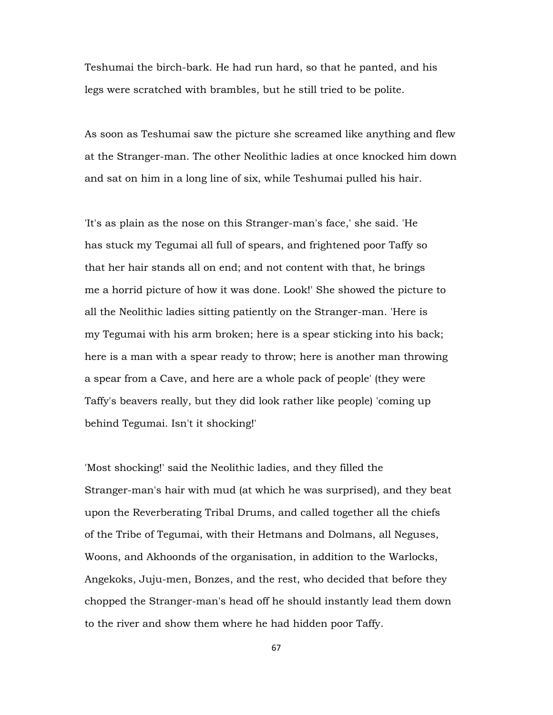Teshumai the birch-bark. He had run hard, so that he panted, and his legs were scratched with brambles, but he still tried to be polite.

As soon as Teshumai saw the picture she screamed like anything and flew at the Stranger-man. The other Neolithic ladies at once knocked him down and sat on him in a long line of six, while Teshumai pulled his hair.

'It's as plain as the nose on this Stranger-man's face,' she said. 'He has stuck my Tegumai all full of spears, and frightened poor Taffy so that her hair stands all on end; and not content with that, he brings me a horrid picture of how it was done. Look!' She showed the picture to all the Neolithic ladies sitting patiently on the Stranger-man. 'Here is my Tegumai with his arm broken; here is a spear sticking into his back; here is a man with a spear ready to throw; here is another man throwing a spear from a Cave, and here are a whole pack of people' (they were Taffy's beavers really, but they did look rather like people) 'coming up behind Tegumai. Isn't it shocking!'

'Most shocking!' said the Neolithic ladies, and they filled the Stranger-man's hair with mud (at which he was surprised), and they beat upon the Reverberating Tribal Drums, and called together all the chiefs of the Tribe of Tegumai, with their Hetmans and Dolmans, all Neguses, Woons, and Akhoonds of the organisation, in addition to the Warlocks, Angekoks, Juju-men, Bonzes, and the rest, who decided that before they chopped the Stranger-man's head off he should instantly lead them down to the river and show them where he had hidden poor Taffy.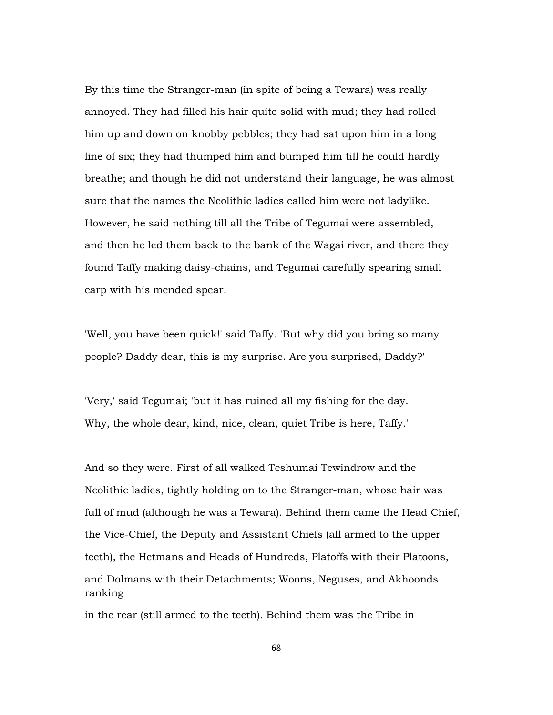By this time the Stranger-man (in spite of being a Tewara) was really annoyed. They had filled his hair quite solid with mud; they had rolled him up and down on knobby pebbles; they had sat upon him in a long line of six; they had thumped him and bumped him till he could hardly breathe; and though he did not understand their language, he was almost sure that the names the Neolithic ladies called him were not ladylike. However, he said nothing till all the Tribe of Tegumai were assembled, and then he led them back to the bank of the Wagai river, and there they found Taffy making daisy-chains, and Tegumai carefully spearing small carp with his mended spear.

'Well, you have been quick!' said Taffy. 'But why did you bring so many people? Daddy dear, this is my surprise. Are you surprised, Daddy?'

'Very,' said Tegumai; 'but it has ruined all my fishing for the day. Why, the whole dear, kind, nice, clean, quiet Tribe is here, Taffy.'

And so they were. First of all walked Teshumai Tewindrow and the Neolithic ladies, tightly holding on to the Stranger-man, whose hair was full of mud (although he was a Tewara). Behind them came the Head Chief, the Vice-Chief, the Deputy and Assistant Chiefs (all armed to the upper teeth), the Hetmans and Heads of Hundreds, Platoffs with their Platoons, and Dolmans with their Detachments; Woons, Neguses, and Akhoonds ranking

in the rear (still armed to the teeth). Behind them was the Tribe in

68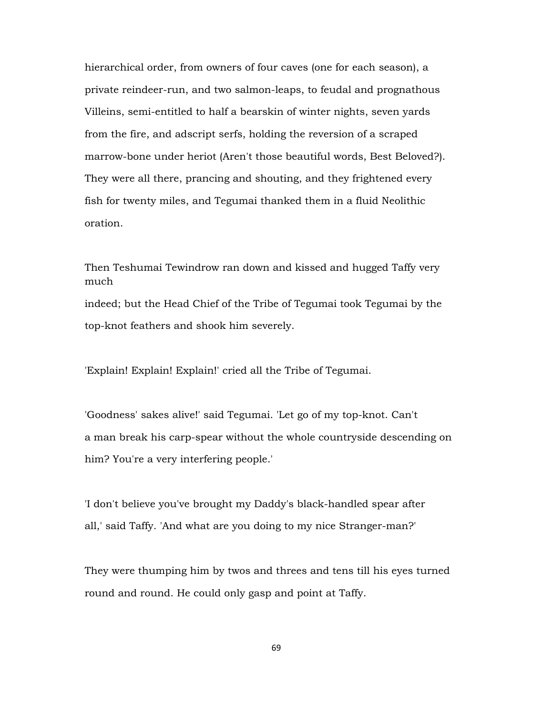hierarchical order, from owners of four caves (one for each season), a private reindeer-run, and two salmon-leaps, to feudal and prognathous Villeins, semi-entitled to half a bearskin of winter nights, seven yards from the fire, and adscript serfs, holding the reversion of a scraped marrow-bone under heriot (Aren't those beautiful words, Best Beloved?). They were all there, prancing and shouting, and they frightened every fish for twenty miles, and Tegumai thanked them in a fluid Neolithic oration.

Then Teshumai Tewindrow ran down and kissed and hugged Taffy very much

indeed; but the Head Chief of the Tribe of Tegumai took Tegumai by the top-knot feathers and shook him severely.

'Explain! Explain! Explain!' cried all the Tribe of Tegumai.

'Goodness' sakes alive!' said Tegumai. 'Let go of my top-knot. Can't a man break his carp-spear without the whole countryside descending on him? You're a very interfering people.'

'I don't believe you've brought my Daddy's black-handled spear after all,' said Taffy. 'And what are you doing to my nice Stranger-man?'

They were thumping him by twos and threes and tens till his eyes turned round and round. He could only gasp and point at Taffy.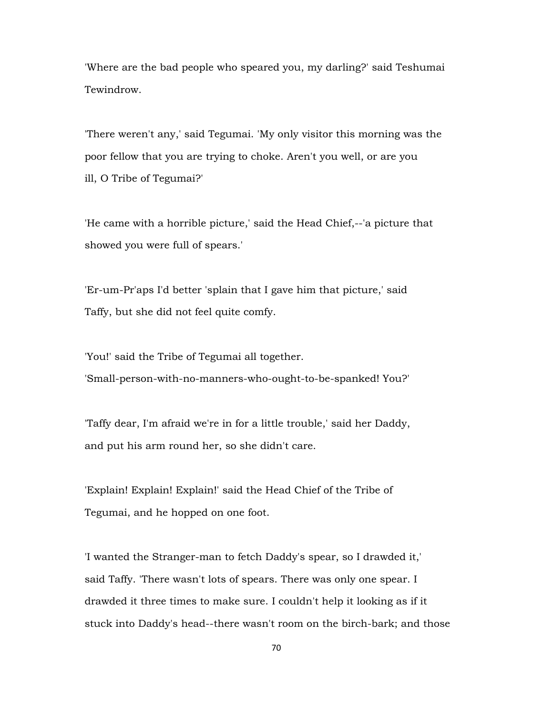'Where are the bad people who speared you, my darling?' said Teshumai Tewindrow.

'There weren't any,' said Tegumai. 'My only visitor this morning was the poor fellow that you are trying to choke. Aren't you well, or are you ill, O Tribe of Tegumai?'

'He came with a horrible picture,' said the Head Chief,--'a picture that showed you were full of spears.'

'Er-um-Pr'aps I'd better 'splain that I gave him that picture,' said Taffy, but she did not feel quite comfy.

'You!' said the Tribe of Tegumai all together. 'Small-person-with-no-manners-who-ought-to-be-spanked! You?'

'Taffy dear, I'm afraid we're in for a little trouble,' said her Daddy, and put his arm round her, so she didn't care.

'Explain! Explain! Explain!' said the Head Chief of the Tribe of Tegumai, and he hopped on one foot.

'I wanted the Stranger-man to fetch Daddy's spear, so I drawded it,' said Taffy. 'There wasn't lots of spears. There was only one spear. I drawded it three times to make sure. I couldn't help it looking as if it stuck into Daddy's head--there wasn't room on the birch-bark; and those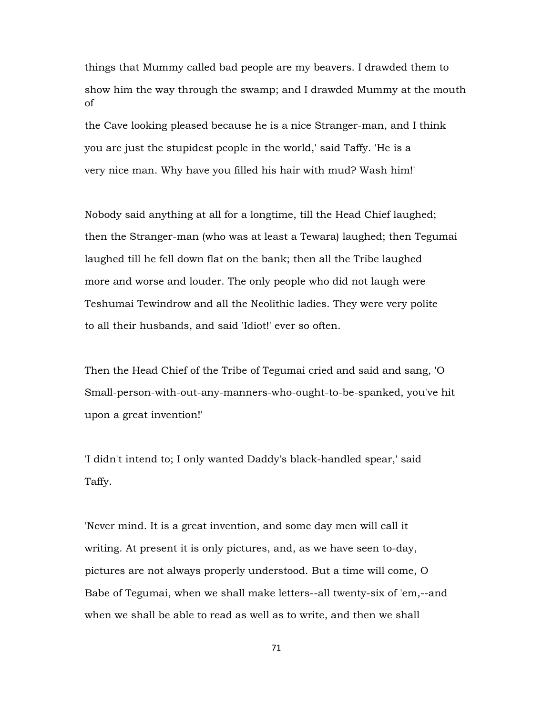things that Mummy called bad people are my beavers. I drawded them to show him the way through the swamp; and I drawded Mummy at the mouth of

the Cave looking pleased because he is a nice Stranger-man, and I think you are just the stupidest people in the world,' said Taffy. 'He is a very nice man. Why have you filled his hair with mud? Wash him!'

Nobody said anything at all for a longtime, till the Head Chief laughed; then the Stranger-man (who was at least a Tewara) laughed; then Tegumai laughed till he fell down flat on the bank; then all the Tribe laughed more and worse and louder. The only people who did not laugh were Teshumai Tewindrow and all the Neolithic ladies. They were very polite to all their husbands, and said 'Idiot!' ever so often.

Then the Head Chief of the Tribe of Tegumai cried and said and sang, 'O Small-person-with-out-any-manners-who-ought-to-be-spanked, you've hit upon a great invention!'

'I didn't intend to; I only wanted Daddy's black-handled spear,' said Taffy.

'Never mind. It is a great invention, and some day men will call it writing. At present it is only pictures, and, as we have seen to-day, pictures are not always properly understood. But a time will come, O Babe of Tegumai, when we shall make letters--all twenty-six of 'em,--and when we shall be able to read as well as to write, and then we shall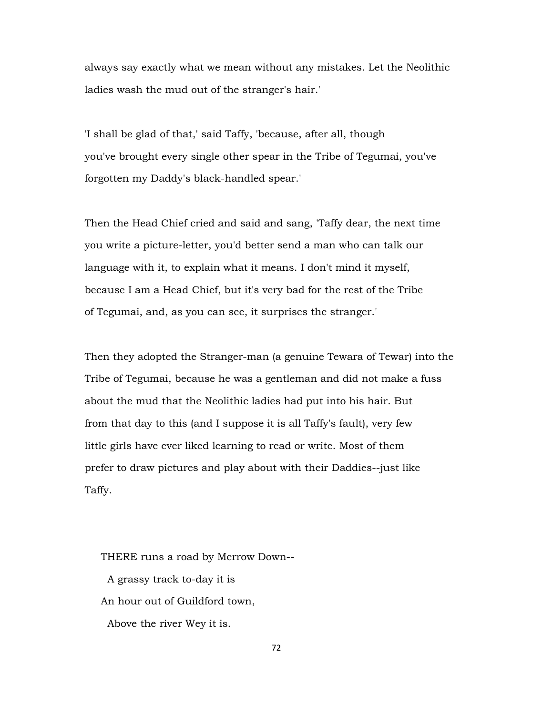always say exactly what we mean without any mistakes. Let the Neolithic ladies wash the mud out of the stranger's hair.'

'I shall be glad of that,' said Taffy, 'because, after all, though you've brought every single other spear in the Tribe of Tegumai, you've forgotten my Daddy's black-handled spear.'

Then the Head Chief cried and said and sang, 'Taffy dear, the next time you write a picture-letter, you'd better send a man who can talk our language with it, to explain what it means. I don't mind it myself, because I am a Head Chief, but it's very bad for the rest of the Tribe of Tegumai, and, as you can see, it surprises the stranger.'

Then they adopted the Stranger-man (a genuine Tewara of Tewar) into the Tribe of Tegumai, because he was a gentleman and did not make a fuss about the mud that the Neolithic ladies had put into his hair. But from that day to this (and I suppose it is all Taffy's fault), very few little girls have ever liked learning to read or write. Most of them prefer to draw pictures and play about with their Daddies--just like Taffy.

 THERE runs a road by Merrow Down-- A grassy track to-day it is An hour out of Guildford town, Above the river Wey it is.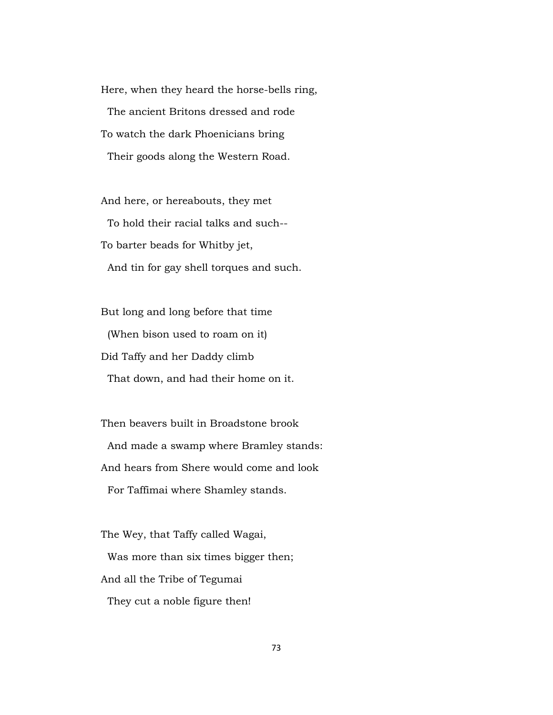Here, when they heard the horse-bells ring, The ancient Britons dressed and rode To watch the dark Phoenicians bring Their goods along the Western Road.

 And here, or hereabouts, they met To hold their racial talks and such-- To barter beads for Whitby jet, And tin for gay shell torques and such.

 But long and long before that time (When bison used to roam on it) Did Taffy and her Daddy climb That down, and had their home on it.

 Then beavers built in Broadstone brook And made a swamp where Bramley stands: And hears from Shere would come and look For Taffimai where Shamley stands.

 The Wey, that Taffy called Wagai, Was more than six times bigger then; And all the Tribe of Tegumai They cut a noble figure then!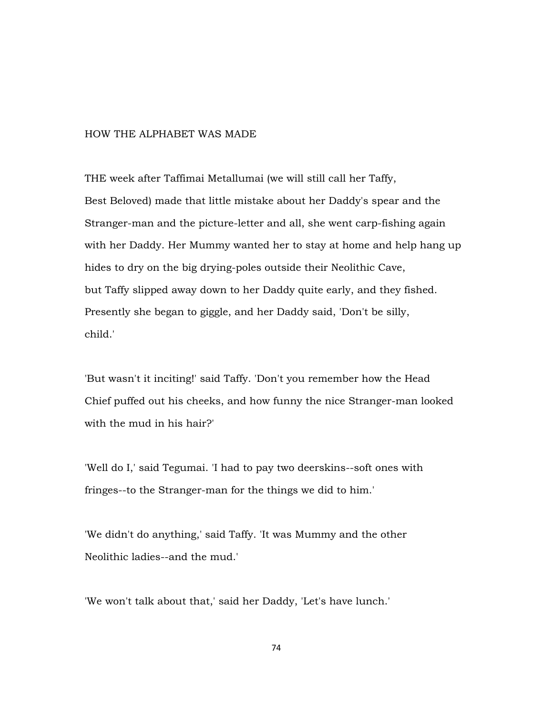## HOW THE ALPHABET WAS MADE

THE week after Taffimai Metallumai (we will still call her Taffy, Best Beloved) made that little mistake about her Daddy's spear and the Stranger-man and the picture-letter and all, she went carp-fishing again with her Daddy. Her Mummy wanted her to stay at home and help hang up hides to dry on the big drying-poles outside their Neolithic Cave, but Taffy slipped away down to her Daddy quite early, and they fished. Presently she began to giggle, and her Daddy said, 'Don't be silly, child.'

'But wasn't it inciting!' said Taffy. 'Don't you remember how the Head Chief puffed out his cheeks, and how funny the nice Stranger-man looked with the mud in his hair?'

'Well do I,' said Tegumai. 'I had to pay two deerskins--soft ones with fringes--to the Stranger-man for the things we did to him.'

'We didn't do anything,' said Taffy. 'It was Mummy and the other Neolithic ladies--and the mud.'

'We won't talk about that,' said her Daddy, 'Let's have lunch.'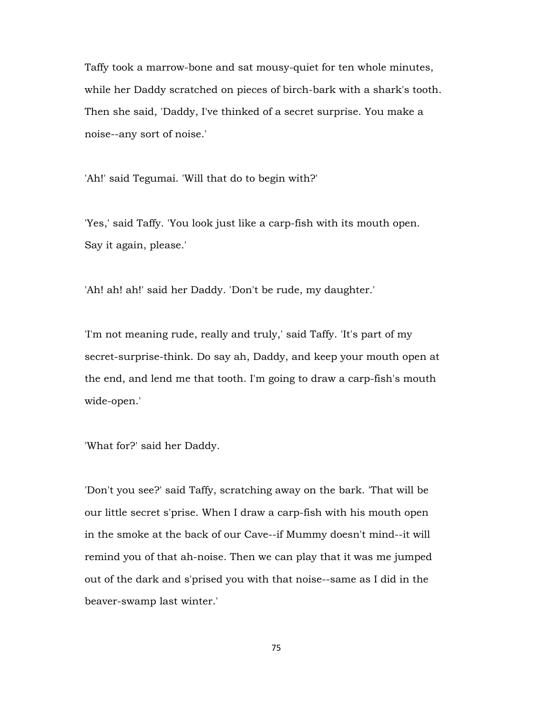Taffy took a marrow-bone and sat mousy-quiet for ten whole minutes, while her Daddy scratched on pieces of birch-bark with a shark's tooth. Then she said, 'Daddy, I've thinked of a secret surprise. You make a noise--any sort of noise.'

'Ah!' said Tegumai. 'Will that do to begin with?'

'Yes,' said Taffy. 'You look just like a carp-fish with its mouth open. Say it again, please.'

'Ah! ah! ah!' said her Daddy. 'Don't be rude, my daughter.'

'I'm not meaning rude, really and truly,' said Taffy. 'It's part of my secret-surprise-think. Do say ah, Daddy, and keep your mouth open at the end, and lend me that tooth. I'm going to draw a carp-fish's mouth wide-open.'

'What for?' said her Daddy.

'Don't you see?' said Taffy, scratching away on the bark. 'That will be our little secret s'prise. When I draw a carp-fish with his mouth open in the smoke at the back of our Cave--if Mummy doesn't mind--it will remind you of that ah-noise. Then we can play that it was me jumped out of the dark and s'prised you with that noise--same as I did in the beaver-swamp last winter.'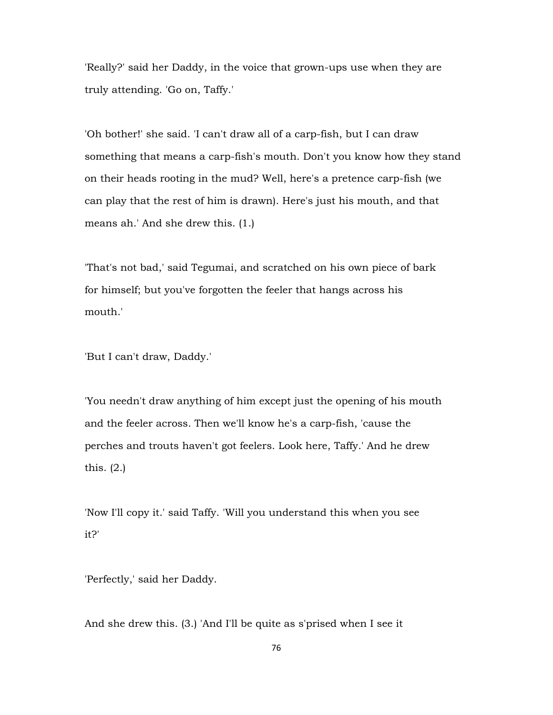'Really?' said her Daddy, in the voice that grown-ups use when they are truly attending. 'Go on, Taffy.'

'Oh bother!' she said. 'I can't draw all of a carp-fish, but I can draw something that means a carp-fish's mouth. Don't you know how they stand on their heads rooting in the mud? Well, here's a pretence carp-fish (we can play that the rest of him is drawn). Here's just his mouth, and that means ah.' And she drew this. (1.)

'That's not bad,' said Tegumai, and scratched on his own piece of bark for himself; but you've forgotten the feeler that hangs across his mouth.'

'But I can't draw, Daddy.'

'You needn't draw anything of him except just the opening of his mouth and the feeler across. Then we'll know he's a carp-fish, 'cause the perches and trouts haven't got feelers. Look here, Taffy.' And he drew this. (2.)

'Now I'll copy it.' said Taffy. 'Will you understand this when you see it?'

'Perfectly,' said her Daddy.

And she drew this. (3.) 'And I'll be quite as s'prised when I see it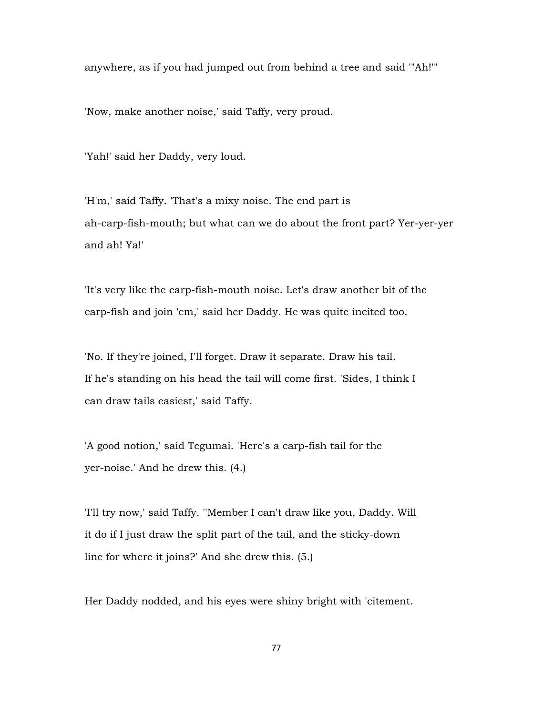anywhere, as if you had jumped out from behind a tree and said '"Ah!"'

'Now, make another noise,' said Taffy, very proud.

'Yah!' said her Daddy, very loud.

'H'm,' said Taffy. 'That's a mixy noise. The end part is ah-carp-fish-mouth; but what can we do about the front part? Yer-yer-yer and ah! Ya!'

'It's very like the carp-fish-mouth noise. Let's draw another bit of the carp-fish and join 'em,' said her Daddy. He was quite incited too.

'No. If they're joined, I'll forget. Draw it separate. Draw his tail. If he's standing on his head the tail will come first. 'Sides, I think I can draw tails easiest,' said Taffy.

'A good notion,' said Tegumai. 'Here's a carp-fish tail for the yer-noise.' And he drew this. (4.)

'I'll try now,' said Taffy. ''Member I can't draw like you, Daddy. Will it do if I just draw the split part of the tail, and the sticky-down line for where it joins?' And she drew this. (5.)

Her Daddy nodded, and his eyes were shiny bright with 'citement.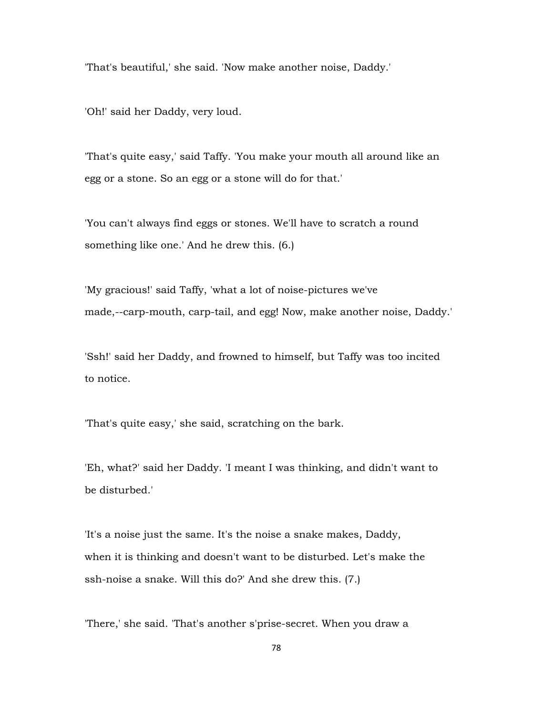'That's beautiful,' she said. 'Now make another noise, Daddy.'

'Oh!' said her Daddy, very loud.

'That's quite easy,' said Taffy. 'You make your mouth all around like an egg or a stone. So an egg or a stone will do for that.'

'You can't always find eggs or stones. We'll have to scratch a round something like one.' And he drew this. (6.)

'My gracious!' said Taffy, 'what a lot of noise-pictures we've made,--carp-mouth, carp-tail, and egg! Now, make another noise, Daddy.'

'Ssh!' said her Daddy, and frowned to himself, but Taffy was too incited to notice.

'That's quite easy,' she said, scratching on the bark.

'Eh, what?' said her Daddy. 'I meant I was thinking, and didn't want to be disturbed.'

'It's a noise just the same. It's the noise a snake makes, Daddy, when it is thinking and doesn't want to be disturbed. Let's make the ssh-noise a snake. Will this do?' And she drew this. (7.)

'There,' she said. 'That's another s'prise-secret. When you draw a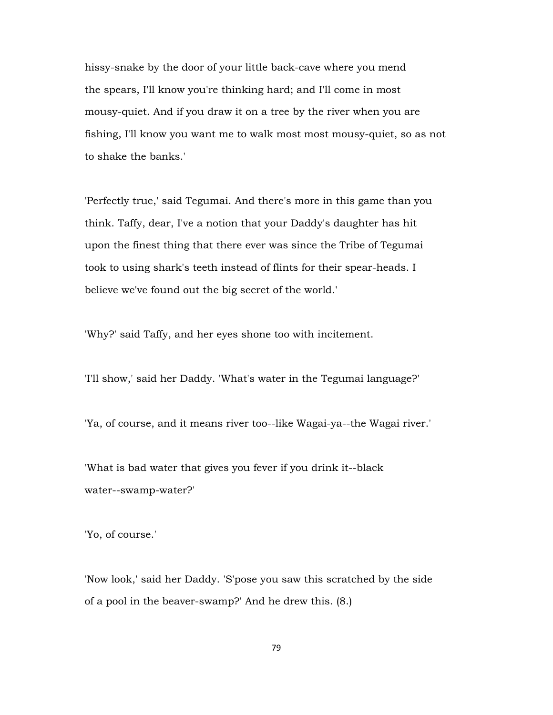hissy-snake by the door of your little back-cave where you mend the spears, I'll know you're thinking hard; and I'll come in most mousy-quiet. And if you draw it on a tree by the river when you are fishing, I'll know you want me to walk most most mousy-quiet, so as not to shake the banks.'

'Perfectly true,' said Tegumai. And there's more in this game than you think. Taffy, dear, I've a notion that your Daddy's daughter has hit upon the finest thing that there ever was since the Tribe of Tegumai took to using shark's teeth instead of flints for their spear-heads. I believe we've found out the big secret of the world.'

'Why?' said Taffy, and her eyes shone too with incitement.

'I'll show,' said her Daddy. 'What's water in the Tegumai language?'

'Ya, of course, and it means river too--like Wagai-ya--the Wagai river.'

'What is bad water that gives you fever if you drink it--black water--swamp-water?'

'Yo, of course.'

'Now look,' said her Daddy. 'S'pose you saw this scratched by the side of a pool in the beaver-swamp?' And he drew this. (8.)

79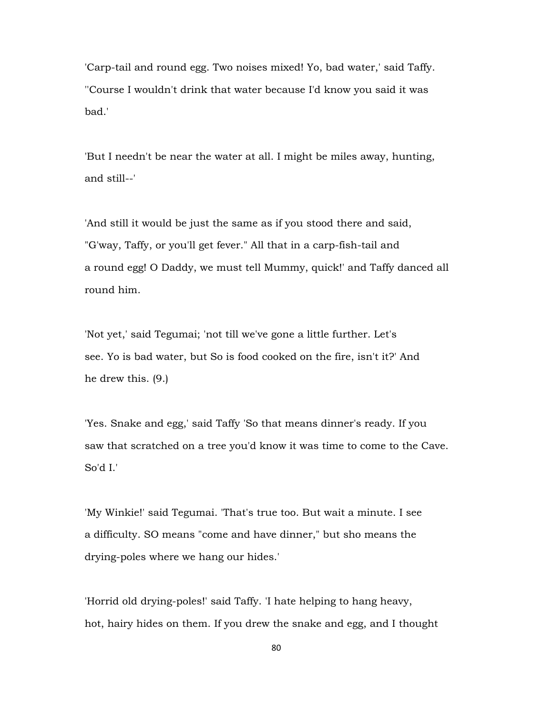'Carp-tail and round egg. Two noises mixed! Yo, bad water,' said Taffy. ''Course I wouldn't drink that water because I'd know you said it was bad.'

'But I needn't be near the water at all. I might be miles away, hunting, and still--'

'And still it would be just the same as if you stood there and said, "G'way, Taffy, or you'll get fever." All that in a carp-fish-tail and a round egg! O Daddy, we must tell Mummy, quick!' and Taffy danced all round him.

'Not yet,' said Tegumai; 'not till we've gone a little further. Let's see. Yo is bad water, but So is food cooked on the fire, isn't it?' And he drew this. (9.)

'Yes. Snake and egg,' said Taffy 'So that means dinner's ready. If you saw that scratched on a tree you'd know it was time to come to the Cave. So'd I.'

'My Winkie!' said Tegumai. 'That's true too. But wait a minute. I see a difficulty. SO means "come and have dinner," but sho means the drying-poles where we hang our hides.'

'Horrid old drying-poles!' said Taffy. 'I hate helping to hang heavy, hot, hairy hides on them. If you drew the snake and egg, and I thought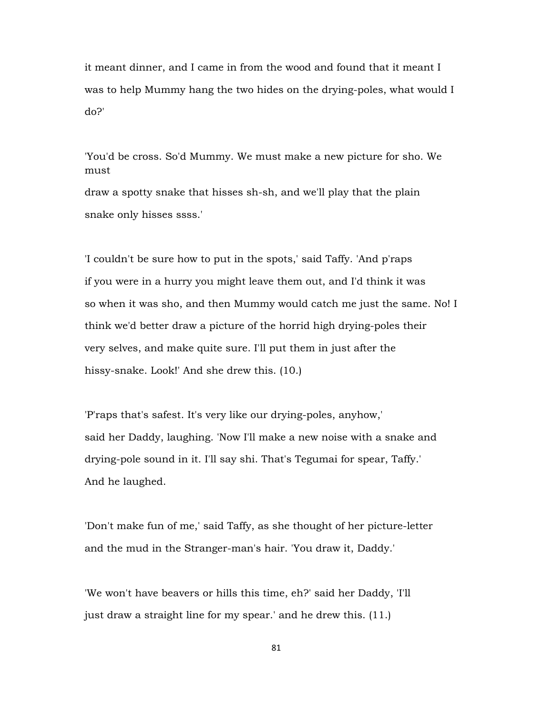it meant dinner, and I came in from the wood and found that it meant I was to help Mummy hang the two hides on the drying-poles, what would I do?'

'You'd be cross. So'd Mummy. We must make a new picture for sho. We must draw a spotty snake that hisses sh-sh, and we'll play that the plain snake only hisses ssss.'

'I couldn't be sure how to put in the spots,' said Taffy. 'And p'raps if you were in a hurry you might leave them out, and I'd think it was so when it was sho, and then Mummy would catch me just the same. No! I think we'd better draw a picture of the horrid high drying-poles their very selves, and make quite sure. I'll put them in just after the hissy-snake. Look!' And she drew this. (10.)

'P'raps that's safest. It's very like our drying-poles, anyhow,' said her Daddy, laughing. 'Now I'll make a new noise with a snake and drying-pole sound in it. I'll say shi. That's Tegumai for spear, Taffy.' And he laughed.

'Don't make fun of me,' said Taffy, as she thought of her picture-letter and the mud in the Stranger-man's hair. 'You draw it, Daddy.'

'We won't have beavers or hills this time, eh?' said her Daddy, 'I'll just draw a straight line for my spear.' and he drew this. (11.)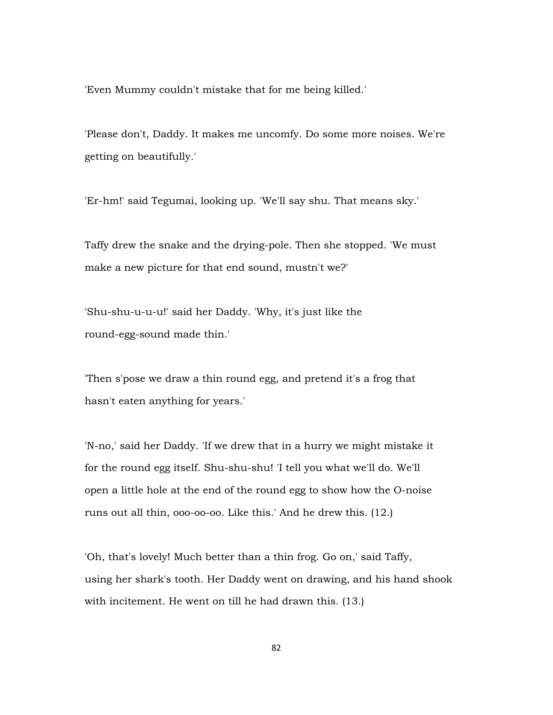'Even Mummy couldn't mistake that for me being killed.'

'Please don't, Daddy. It makes me uncomfy. Do some more noises. We're getting on beautifully.'

'Er-hm!' said Tegumai, looking up. 'We'll say shu. That means sky.'

Taffy drew the snake and the drying-pole. Then she stopped. 'We must make a new picture for that end sound, mustn't we?'

'Shu-shu-u-u-u!' said her Daddy. 'Why, it's just like the round-egg-sound made thin.'

'Then s'pose we draw a thin round egg, and pretend it's a frog that hasn't eaten anything for years.'

'N-no,' said her Daddy. 'If we drew that in a hurry we might mistake it for the round egg itself. Shu-shu-shu! 'I tell you what we'll do. We'll open a little hole at the end of the round egg to show how the O-noise runs out all thin, ooo-oo-oo. Like this.' And he drew this. (12.)

'Oh, that's lovely! Much better than a thin frog. Go on,' said Taffy, using her shark's tooth. Her Daddy went on drawing, and his hand shook with incitement. He went on till he had drawn this. (13.)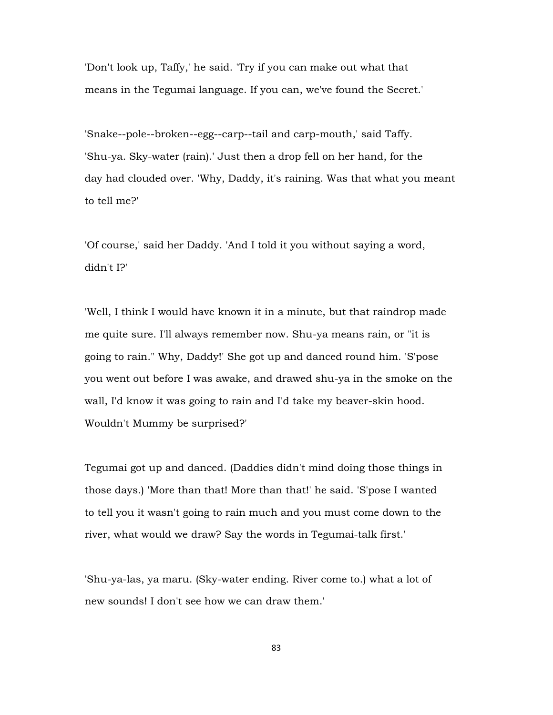'Don't look up, Taffy,' he said. 'Try if you can make out what that means in the Tegumai language. If you can, we've found the Secret.'

'Snake--pole--broken--egg--carp--tail and carp-mouth,' said Taffy. 'Shu-ya. Sky-water (rain).' Just then a drop fell on her hand, for the day had clouded over. 'Why, Daddy, it's raining. Was that what you meant to tell me?'

'Of course,' said her Daddy. 'And I told it you without saying a word, didn't I?'

'Well, I think I would have known it in a minute, but that raindrop made me quite sure. I'll always remember now. Shu-ya means rain, or "it is going to rain." Why, Daddy!' She got up and danced round him. 'S'pose you went out before I was awake, and drawed shu-ya in the smoke on the wall, I'd know it was going to rain and I'd take my beaver-skin hood. Wouldn't Mummy be surprised?'

Tegumai got up and danced. (Daddies didn't mind doing those things in those days.) 'More than that! More than that!' he said. 'S'pose I wanted to tell you it wasn't going to rain much and you must come down to the river, what would we draw? Say the words in Tegumai-talk first.'

'Shu-ya-las, ya maru. (Sky-water ending. River come to.) what a lot of new sounds! I don't see how we can draw them.'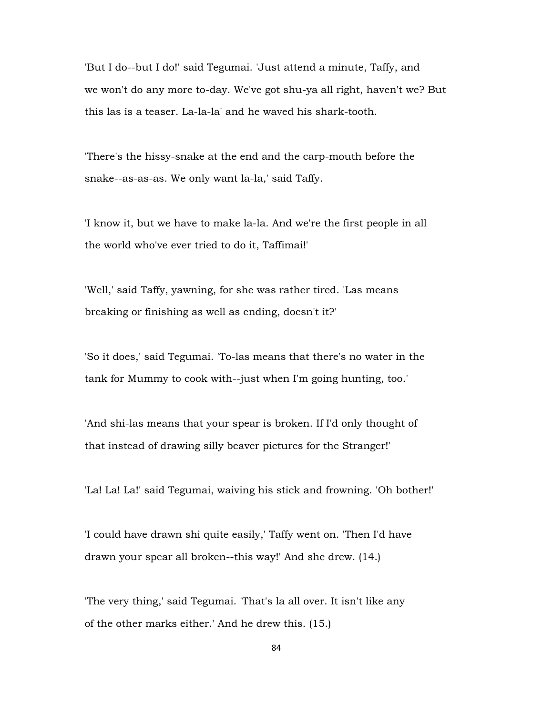'But I do--but I do!' said Tegumai. 'Just attend a minute, Taffy, and we won't do any more to-day. We've got shu-ya all right, haven't we? But this las is a teaser. La-la-la' and he waved his shark-tooth.

'There's the hissy-snake at the end and the carp-mouth before the snake--as-as-as. We only want la-la,' said Taffy.

'I know it, but we have to make la-la. And we're the first people in all the world who've ever tried to do it, Taffimai!'

'Well,' said Taffy, yawning, for she was rather tired. 'Las means breaking or finishing as well as ending, doesn't it?'

'So it does,' said Tegumai. 'To-las means that there's no water in the tank for Mummy to cook with--just when I'm going hunting, too.'

'And shi-las means that your spear is broken. If I'd only thought of that instead of drawing silly beaver pictures for the Stranger!'

'La! La! La!' said Tegumai, waiving his stick and frowning. 'Oh bother!'

'I could have drawn shi quite easily,' Taffy went on. 'Then I'd have drawn your spear all broken--this way!' And she drew. (14.)

'The very thing,' said Tegumai. 'That's la all over. It isn't like any of the other marks either.' And he drew this. (15.)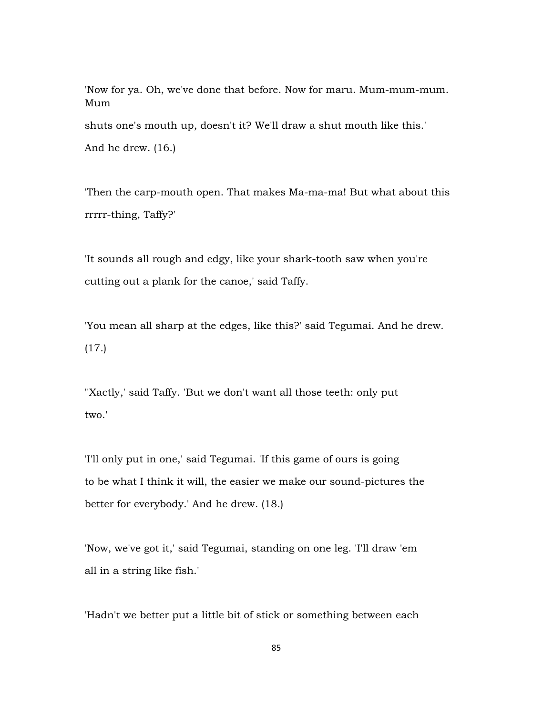'Now for ya. Oh, we've done that before. Now for maru. Mum-mum-mum. Mum shuts one's mouth up, doesn't it? We'll draw a shut mouth like this.' And he drew. (16.)

'Then the carp-mouth open. That makes Ma-ma-ma! But what about this rrrrr-thing, Taffy?'

'It sounds all rough and edgy, like your shark-tooth saw when you're cutting out a plank for the canoe,' said Taffy.

'You mean all sharp at the edges, like this?' said Tegumai. And he drew. (17.)

''Xactly,' said Taffy. 'But we don't want all those teeth: only put two.'

'I'll only put in one,' said Tegumai. 'If this game of ours is going to be what I think it will, the easier we make our sound-pictures the better for everybody.' And he drew. (18.)

'Now, we've got it,' said Tegumai, standing on one leg. 'I'll draw 'em all in a string like fish.'

'Hadn't we better put a little bit of stick or something between each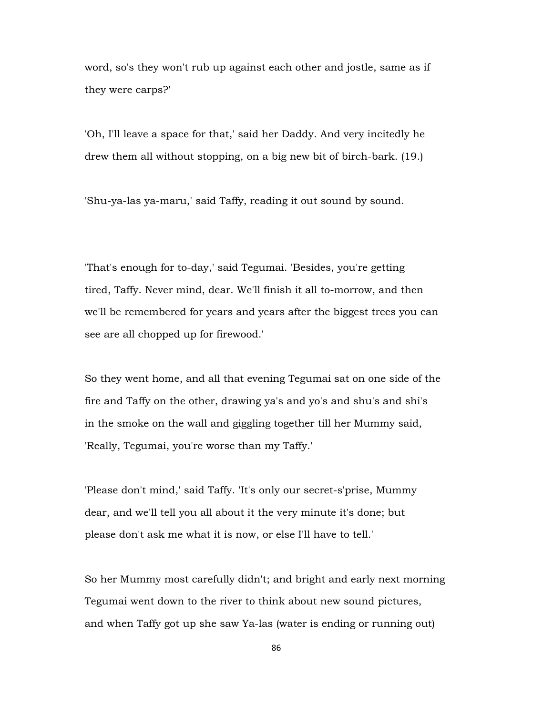word, so's they won't rub up against each other and jostle, same as if they were carps?'

'Oh, I'll leave a space for that,' said her Daddy. And very incitedly he drew them all without stopping, on a big new bit of birch-bark. (19.)

'Shu-ya-las ya-maru,' said Taffy, reading it out sound by sound.

'That's enough for to-day,' said Tegumai. 'Besides, you're getting tired, Taffy. Never mind, dear. We'll finish it all to-morrow, and then we'll be remembered for years and years after the biggest trees you can see are all chopped up for firewood.'

So they went home, and all that evening Tegumai sat on one side of the fire and Taffy on the other, drawing ya's and yo's and shu's and shi's in the smoke on the wall and giggling together till her Mummy said, 'Really, Tegumai, you're worse than my Taffy.'

'Please don't mind,' said Taffy. 'It's only our secret-s'prise, Mummy dear, and we'll tell you all about it the very minute it's done; but please don't ask me what it is now, or else I'll have to tell.'

So her Mummy most carefully didn't; and bright and early next morning Tegumai went down to the river to think about new sound pictures, and when Taffy got up she saw Ya-las (water is ending or running out)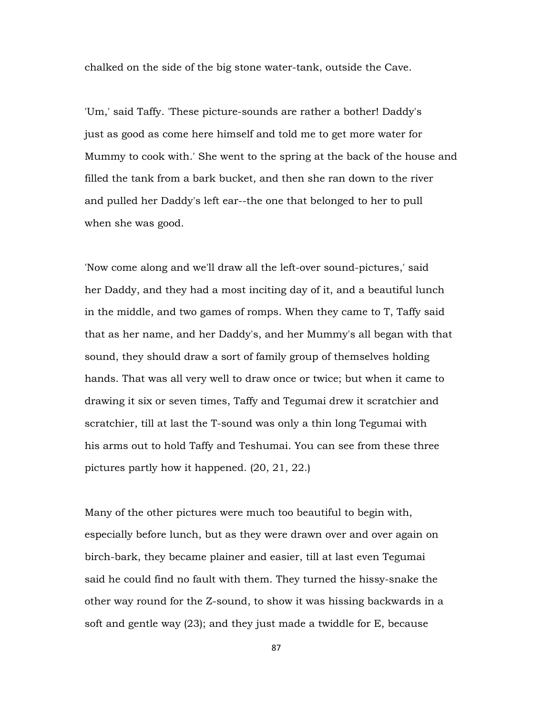chalked on the side of the big stone water-tank, outside the Cave.

'Um,' said Taffy. 'These picture-sounds are rather a bother! Daddy's just as good as come here himself and told me to get more water for Mummy to cook with.' She went to the spring at the back of the house and filled the tank from a bark bucket, and then she ran down to the river and pulled her Daddy's left ear--the one that belonged to her to pull when she was good.

'Now come along and we'll draw all the left-over sound-pictures,' said her Daddy, and they had a most inciting day of it, and a beautiful lunch in the middle, and two games of romps. When they came to T, Taffy said that as her name, and her Daddy's, and her Mummy's all began with that sound, they should draw a sort of family group of themselves holding hands. That was all very well to draw once or twice; but when it came to drawing it six or seven times, Taffy and Tegumai drew it scratchier and scratchier, till at last the T-sound was only a thin long Tegumai with his arms out to hold Taffy and Teshumai. You can see from these three pictures partly how it happened. (20, 21, 22.)

Many of the other pictures were much too beautiful to begin with, especially before lunch, but as they were drawn over and over again on birch-bark, they became plainer and easier, till at last even Tegumai said he could find no fault with them. They turned the hissy-snake the other way round for the Z-sound, to show it was hissing backwards in a soft and gentle way (23); and they just made a twiddle for E, because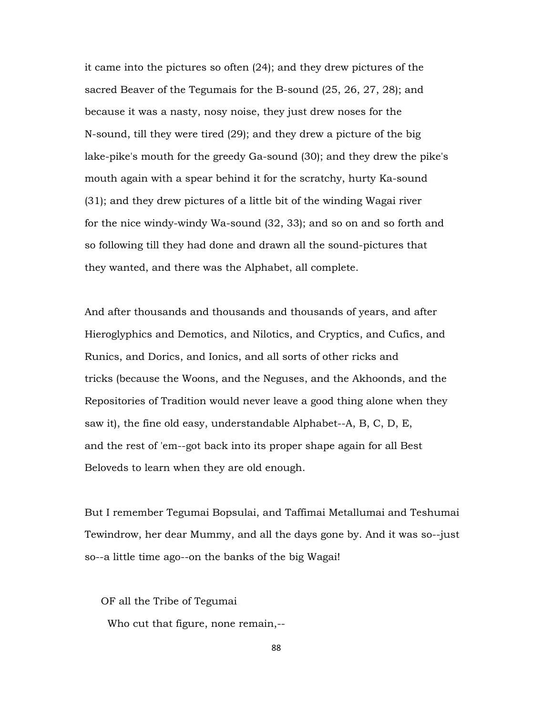it came into the pictures so often (24); and they drew pictures of the sacred Beaver of the Tegumais for the B-sound (25, 26, 27, 28); and because it was a nasty, nosy noise, they just drew noses for the N-sound, till they were tired (29); and they drew a picture of the big lake-pike's mouth for the greedy Ga-sound (30); and they drew the pike's mouth again with a spear behind it for the scratchy, hurty Ka-sound (31); and they drew pictures of a little bit of the winding Wagai river for the nice windy-windy Wa-sound (32, 33); and so on and so forth and so following till they had done and drawn all the sound-pictures that they wanted, and there was the Alphabet, all complete.

And after thousands and thousands and thousands of years, and after Hieroglyphics and Demotics, and Nilotics, and Cryptics, and Cufics, and Runics, and Dorics, and Ionics, and all sorts of other ricks and tricks (because the Woons, and the Neguses, and the Akhoonds, and the Repositories of Tradition would never leave a good thing alone when they saw it), the fine old easy, understandable Alphabet--A, B, C, D, E, and the rest of 'em--got back into its proper shape again for all Best Beloveds to learn when they are old enough.

But I remember Tegumai Bopsulai, and Taffimai Metallumai and Teshumai Tewindrow, her dear Mummy, and all the days gone by. And it was so--just so--a little time ago--on the banks of the big Wagai!

OF all the Tribe of Tegumai

Who cut that figure, none remain,--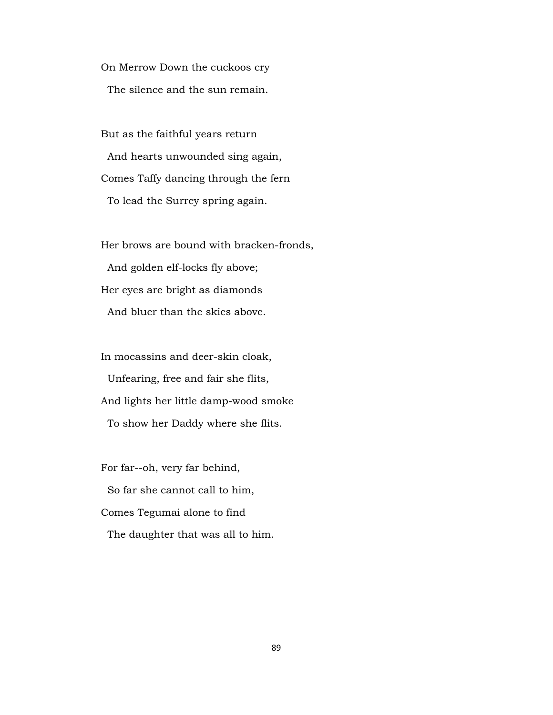On Merrow Down the cuckoos cry The silence and the sun remain.

 But as the faithful years return And hearts unwounded sing again, Comes Taffy dancing through the fern To lead the Surrey spring again.

 Her brows are bound with bracken-fronds, And golden elf-locks fly above; Her eyes are bright as diamonds And bluer than the skies above.

 In mocassins and deer-skin cloak, Unfearing, free and fair she flits, And lights her little damp-wood smoke To show her Daddy where she flits.

 For far--oh, very far behind, So far she cannot call to him, Comes Tegumai alone to find The daughter that was all to him.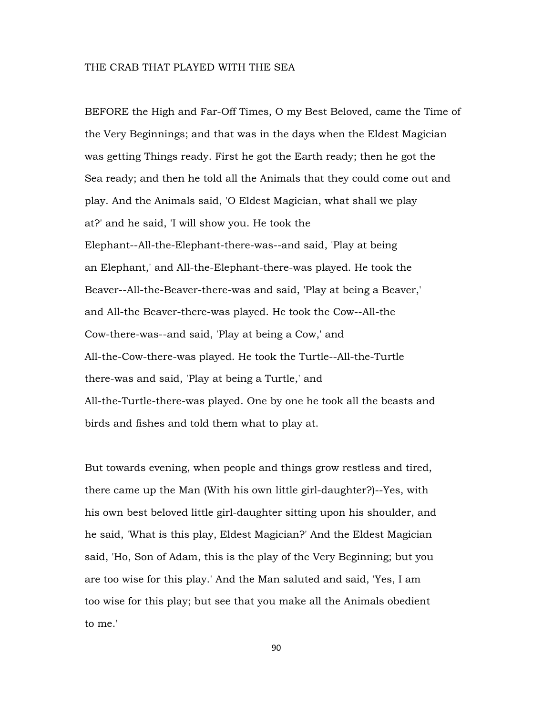## THE CRAB THAT PLAYED WITH THE SEA

BEFORE the High and Far-Off Times, O my Best Beloved, came the Time of the Very Beginnings; and that was in the days when the Eldest Magician was getting Things ready. First he got the Earth ready; then he got the Sea ready; and then he told all the Animals that they could come out and play. And the Animals said, 'O Eldest Magician, what shall we play at?' and he said, 'I will show you. He took the Elephant--All-the-Elephant-there-was--and said, 'Play at being an Elephant,' and All-the-Elephant-there-was played. He took the Beaver--All-the-Beaver-there-was and said, 'Play at being a Beaver,' and All-the Beaver-there-was played. He took the Cow--All-the Cow-there-was--and said, 'Play at being a Cow,' and All-the-Cow-there-was played. He took the Turtle--All-the-Turtle there-was and said, 'Play at being a Turtle,' and All-the-Turtle-there-was played. One by one he took all the beasts and birds and fishes and told them what to play at.

But towards evening, when people and things grow restless and tired, there came up the Man (With his own little girl-daughter?)--Yes, with his own best beloved little girl-daughter sitting upon his shoulder, and he said, 'What is this play, Eldest Magician?' And the Eldest Magician said, 'Ho, Son of Adam, this is the play of the Very Beginning; but you are too wise for this play.' And the Man saluted and said, 'Yes, I am too wise for this play; but see that you make all the Animals obedient to me.'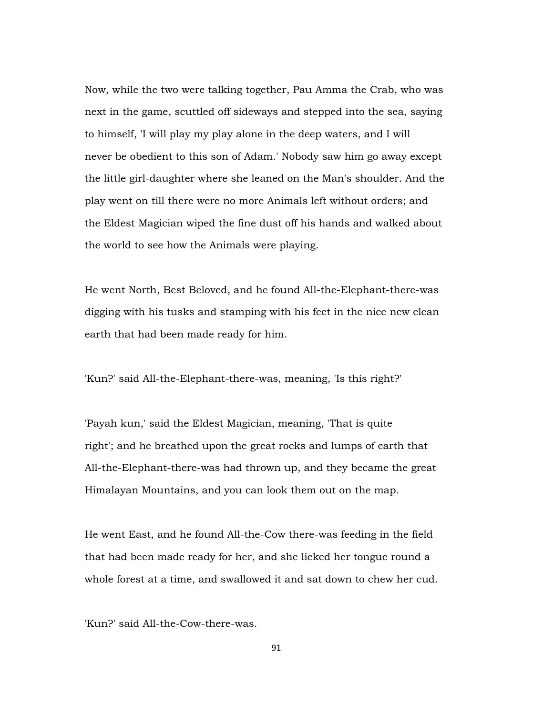Now, while the two were talking together, Pau Amma the Crab, who was next in the game, scuttled off sideways and stepped into the sea, saying to himself, 'I will play my play alone in the deep waters, and I will never be obedient to this son of Adam.' Nobody saw him go away except the little girl-daughter where she leaned on the Man's shoulder. And the play went on till there were no more Animals left without orders; and the Eldest Magician wiped the fine dust off his hands and walked about the world to see how the Animals were playing.

He went North, Best Beloved, and he found All-the-Elephant-there-was digging with his tusks and stamping with his feet in the nice new clean earth that had been made ready for him.

'Kun?' said All-the-Elephant-there-was, meaning, 'Is this right?'

'Payah kun,' said the Eldest Magician, meaning, 'That is quite right'; and he breathed upon the great rocks and lumps of earth that All-the-Elephant-there-was had thrown up, and they became the great Himalayan Mountains, and you can look them out on the map.

He went East, and he found All-the-Cow there-was feeding in the field that had been made ready for her, and she licked her tongue round a whole forest at a time, and swallowed it and sat down to chew her cud.

'Kun?' said All-the-Cow-there-was.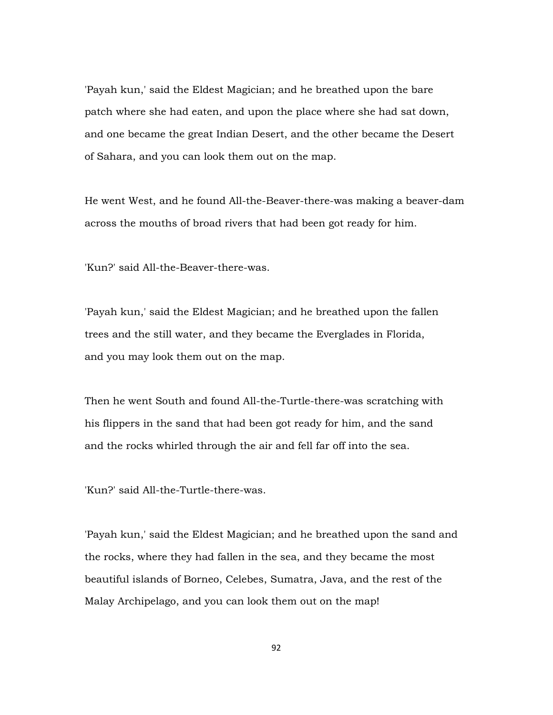'Payah kun,' said the Eldest Magician; and he breathed upon the bare patch where she had eaten, and upon the place where she had sat down, and one became the great Indian Desert, and the other became the Desert of Sahara, and you can look them out on the map.

He went West, and he found All-the-Beaver-there-was making a beaver-dam across the mouths of broad rivers that had been got ready for him.

'Kun?' said All-the-Beaver-there-was.

'Payah kun,' said the Eldest Magician; and he breathed upon the fallen trees and the still water, and they became the Everglades in Florida, and you may look them out on the map.

Then he went South and found All-the-Turtle-there-was scratching with his flippers in the sand that had been got ready for him, and the sand and the rocks whirled through the air and fell far off into the sea.

'Kun?' said All-the-Turtle-there-was.

'Payah kun,' said the Eldest Magician; and he breathed upon the sand and the rocks, where they had fallen in the sea, and they became the most beautiful islands of Borneo, Celebes, Sumatra, Java, and the rest of the Malay Archipelago, and you can look them out on the map!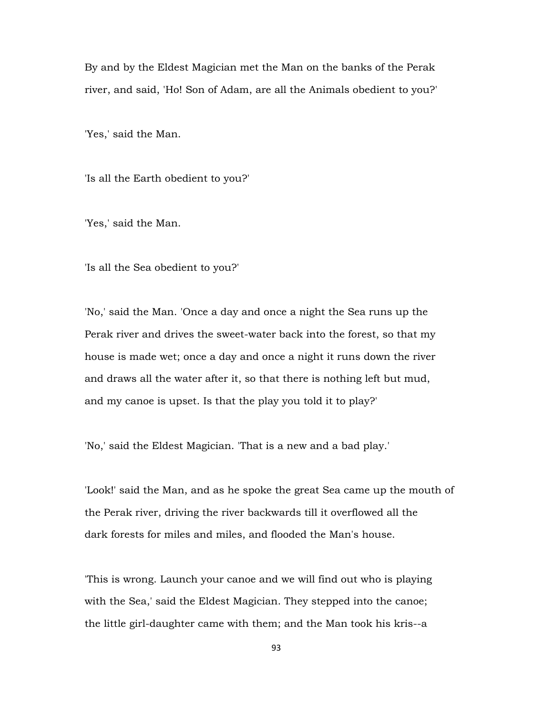By and by the Eldest Magician met the Man on the banks of the Perak river, and said, 'Ho! Son of Adam, are all the Animals obedient to you?'

'Yes,' said the Man.

'Is all the Earth obedient to you?'

'Yes,' said the Man.

'Is all the Sea obedient to you?'

'No,' said the Man. 'Once a day and once a night the Sea runs up the Perak river and drives the sweet-water back into the forest, so that my house is made wet; once a day and once a night it runs down the river and draws all the water after it, so that there is nothing left but mud, and my canoe is upset. Is that the play you told it to play?'

'No,' said the Eldest Magician. 'That is a new and a bad play.'

'Look!' said the Man, and as he spoke the great Sea came up the mouth of the Perak river, driving the river backwards till it overflowed all the dark forests for miles and miles, and flooded the Man's house.

'This is wrong. Launch your canoe and we will find out who is playing with the Sea,' said the Eldest Magician. They stepped into the canoe; the little girl-daughter came with them; and the Man took his kris--a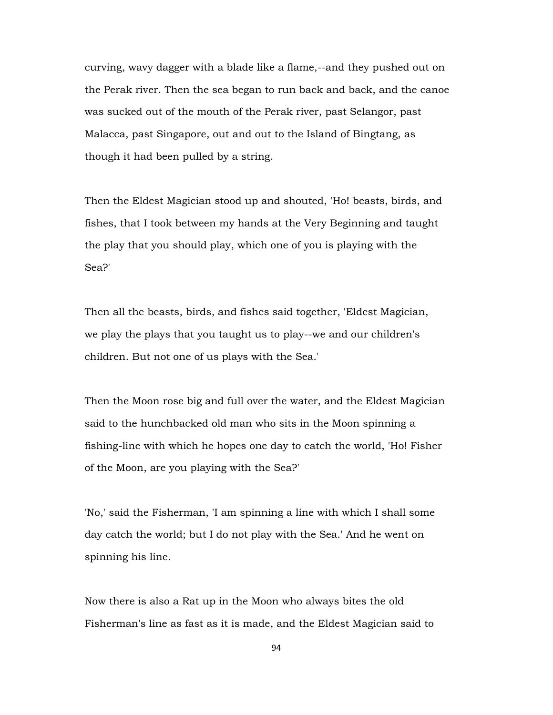curving, wavy dagger with a blade like a flame,--and they pushed out on the Perak river. Then the sea began to run back and back, and the canoe was sucked out of the mouth of the Perak river, past Selangor, past Malacca, past Singapore, out and out to the Island of Bingtang, as though it had been pulled by a string.

Then the Eldest Magician stood up and shouted, 'Ho! beasts, birds, and fishes, that I took between my hands at the Very Beginning and taught the play that you should play, which one of you is playing with the Sea?'

Then all the beasts, birds, and fishes said together, 'Eldest Magician, we play the plays that you taught us to play--we and our children's children. But not one of us plays with the Sea.'

Then the Moon rose big and full over the water, and the Eldest Magician said to the hunchbacked old man who sits in the Moon spinning a fishing-line with which he hopes one day to catch the world, 'Ho! Fisher of the Moon, are you playing with the Sea?'

'No,' said the Fisherman, 'I am spinning a line with which I shall some day catch the world; but I do not play with the Sea.' And he went on spinning his line.

Now there is also a Rat up in the Moon who always bites the old Fisherman's line as fast as it is made, and the Eldest Magician said to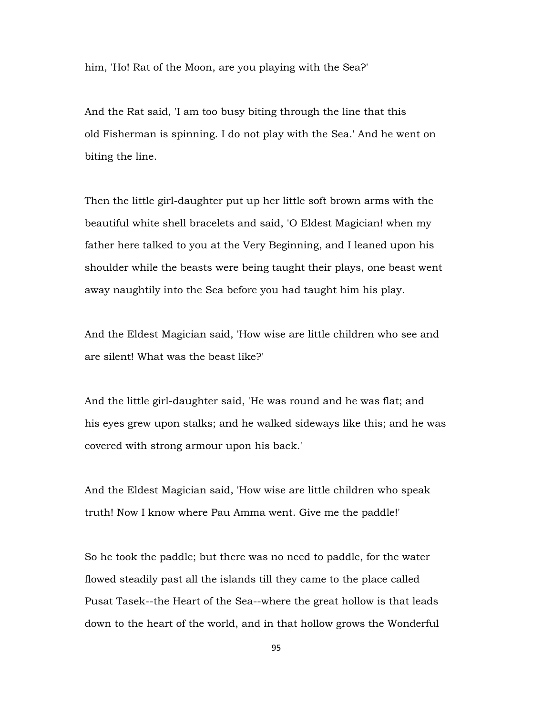him, 'Ho! Rat of the Moon, are you playing with the Sea?'

And the Rat said, 'I am too busy biting through the line that this old Fisherman is spinning. I do not play with the Sea.' And he went on biting the line.

Then the little girl-daughter put up her little soft brown arms with the beautiful white shell bracelets and said, 'O Eldest Magician! when my father here talked to you at the Very Beginning, and I leaned upon his shoulder while the beasts were being taught their plays, one beast went away naughtily into the Sea before you had taught him his play.

And the Eldest Magician said, 'How wise are little children who see and are silent! What was the beast like?'

And the little girl-daughter said, 'He was round and he was flat; and his eyes grew upon stalks; and he walked sideways like this; and he was covered with strong armour upon his back.'

And the Eldest Magician said, 'How wise are little children who speak truth! Now I know where Pau Amma went. Give me the paddle!'

So he took the paddle; but there was no need to paddle, for the water flowed steadily past all the islands till they came to the place called Pusat Tasek--the Heart of the Sea--where the great hollow is that leads down to the heart of the world, and in that hollow grows the Wonderful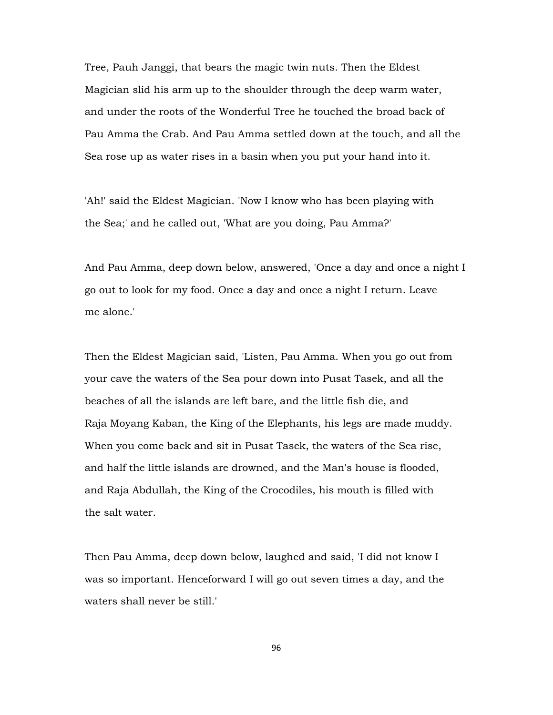Tree, Pauh Janggi, that bears the magic twin nuts. Then the Eldest Magician slid his arm up to the shoulder through the deep warm water, and under the roots of the Wonderful Tree he touched the broad back of Pau Amma the Crab. And Pau Amma settled down at the touch, and all the Sea rose up as water rises in a basin when you put your hand into it.

'Ah!' said the Eldest Magician. 'Now I know who has been playing with the Sea;' and he called out, 'What are you doing, Pau Amma?'

And Pau Amma, deep down below, answered, 'Once a day and once a night I go out to look for my food. Once a day and once a night I return. Leave me alone.'

Then the Eldest Magician said, 'Listen, Pau Amma. When you go out from your cave the waters of the Sea pour down into Pusat Tasek, and all the beaches of all the islands are left bare, and the little fish die, and Raja Moyang Kaban, the King of the Elephants, his legs are made muddy. When you come back and sit in Pusat Tasek, the waters of the Sea rise, and half the little islands are drowned, and the Man's house is flooded, and Raja Abdullah, the King of the Crocodiles, his mouth is filled with the salt water.

Then Pau Amma, deep down below, laughed and said, 'I did not know I was so important. Henceforward I will go out seven times a day, and the waters shall never be still.'

96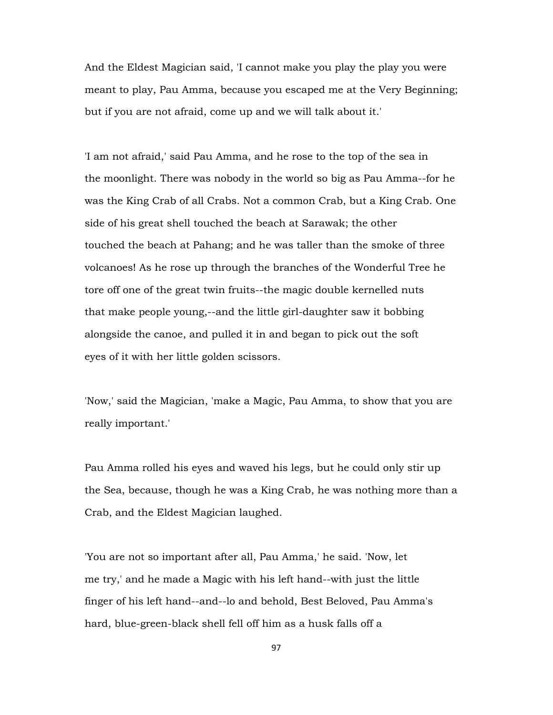And the Eldest Magician said, 'I cannot make you play the play you were meant to play, Pau Amma, because you escaped me at the Very Beginning; but if you are not afraid, come up and we will talk about it.'

'I am not afraid,' said Pau Amma, and he rose to the top of the sea in the moonlight. There was nobody in the world so big as Pau Amma--for he was the King Crab of all Crabs. Not a common Crab, but a King Crab. One side of his great shell touched the beach at Sarawak; the other touched the beach at Pahang; and he was taller than the smoke of three volcanoes! As he rose up through the branches of the Wonderful Tree he tore off one of the great twin fruits--the magic double kernelled nuts that make people young,--and the little girl-daughter saw it bobbing alongside the canoe, and pulled it in and began to pick out the soft eyes of it with her little golden scissors.

'Now,' said the Magician, 'make a Magic, Pau Amma, to show that you are really important.'

Pau Amma rolled his eyes and waved his legs, but he could only stir up the Sea, because, though he was a King Crab, he was nothing more than a Crab, and the Eldest Magician laughed.

'You are not so important after all, Pau Amma,' he said. 'Now, let me try,' and he made a Magic with his left hand--with just the little finger of his left hand--and--lo and behold, Best Beloved, Pau Amma's hard, blue-green-black shell fell off him as a husk falls off a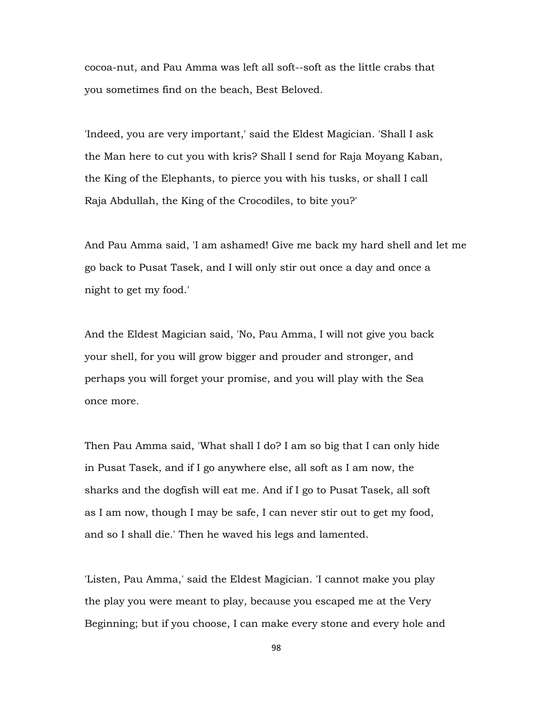cocoa-nut, and Pau Amma was left all soft--soft as the little crabs that you sometimes find on the beach, Best Beloved.

'Indeed, you are very important,' said the Eldest Magician. 'Shall I ask the Man here to cut you with kris? Shall I send for Raja Moyang Kaban, the King of the Elephants, to pierce you with his tusks, or shall I call Raja Abdullah, the King of the Crocodiles, to bite you?'

And Pau Amma said, 'I am ashamed! Give me back my hard shell and let me go back to Pusat Tasek, and I will only stir out once a day and once a night to get my food.'

And the Eldest Magician said, 'No, Pau Amma, I will not give you back your shell, for you will grow bigger and prouder and stronger, and perhaps you will forget your promise, and you will play with the Sea once more.

Then Pau Amma said, 'What shall I do? I am so big that I can only hide in Pusat Tasek, and if I go anywhere else, all soft as I am now, the sharks and the dogfish will eat me. And if I go to Pusat Tasek, all soft as I am now, though I may be safe, I can never stir out to get my food, and so I shall die.' Then he waved his legs and lamented.

'Listen, Pau Amma,' said the Eldest Magician. 'I cannot make you play the play you were meant to play, because you escaped me at the Very Beginning; but if you choose, I can make every stone and every hole and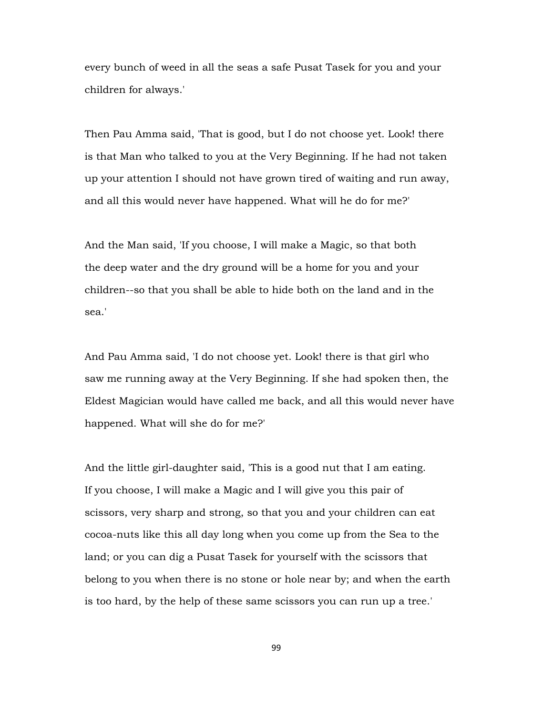every bunch of weed in all the seas a safe Pusat Tasek for you and your children for always.'

Then Pau Amma said, 'That is good, but I do not choose yet. Look! there is that Man who talked to you at the Very Beginning. If he had not taken up your attention I should not have grown tired of waiting and run away, and all this would never have happened. What will he do for me?'

And the Man said, 'If you choose, I will make a Magic, so that both the deep water and the dry ground will be a home for you and your children--so that you shall be able to hide both on the land and in the sea.'

And Pau Amma said, 'I do not choose yet. Look! there is that girl who saw me running away at the Very Beginning. If she had spoken then, the Eldest Magician would have called me back, and all this would never have happened. What will she do for me?'

And the little girl-daughter said, 'This is a good nut that I am eating. If you choose, I will make a Magic and I will give you this pair of scissors, very sharp and strong, so that you and your children can eat cocoa-nuts like this all day long when you come up from the Sea to the land; or you can dig a Pusat Tasek for yourself with the scissors that belong to you when there is no stone or hole near by; and when the earth is too hard, by the help of these same scissors you can run up a tree.'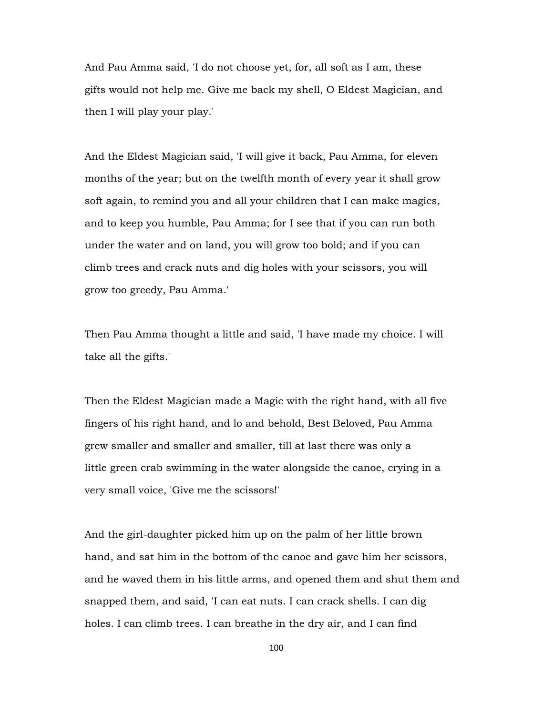And Pau Amma said, 'I do not choose yet, for, all soft as I am, these gifts would not help me. Give me back my shell, O Eldest Magician, and then I will play your play.'

And the Eldest Magician said, 'I will give it back, Pau Amma, for eleven months of the year; but on the twelfth month of every year it shall grow soft again, to remind you and all your children that I can make magics, and to keep you humble, Pau Amma; for I see that if you can run both under the water and on land, you will grow too bold; and if you can climb trees and crack nuts and dig holes with your scissors, you will grow too greedy, Pau Amma.'

Then Pau Amma thought a little and said, 'I have made my choice. I will take all the gifts.'

Then the Eldest Magician made a Magic with the right hand, with all five fingers of his right hand, and lo and behold, Best Beloved, Pau Amma grew smaller and smaller and smaller, till at last there was only a little green crab swimming in the water alongside the canoe, crying in a very small voice, 'Give me the scissors!'

And the girl-daughter picked him up on the palm of her little brown hand, and sat him in the bottom of the canoe and gave him her scissors, and he waved them in his little arms, and opened them and shut them and snapped them, and said, 'I can eat nuts. I can crack shells. I can dig holes. I can climb trees. I can breathe in the dry air, and I can find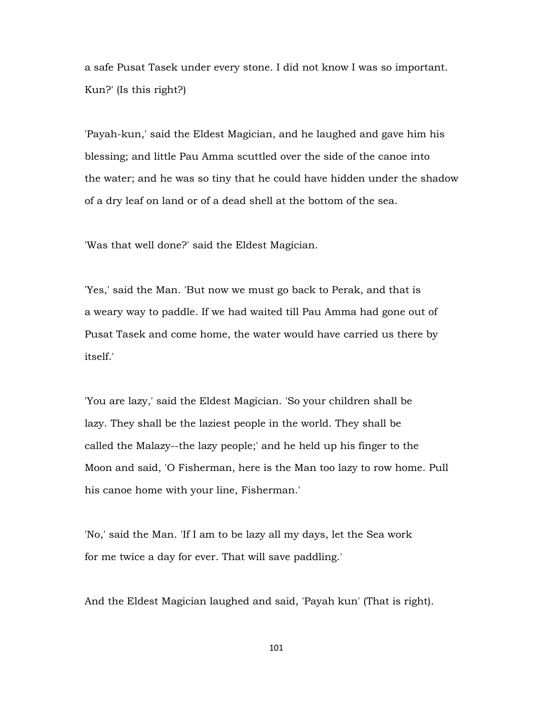a safe Pusat Tasek under every stone. I did not know I was so important. Kun?' (Is this right?)

'Payah-kun,' said the Eldest Magician, and he laughed and gave him his blessing; and little Pau Amma scuttled over the side of the canoe into the water; and he was so tiny that he could have hidden under the shadow of a dry leaf on land or of a dead shell at the bottom of the sea.

'Was that well done?' said the Eldest Magician.

'Yes,' said the Man. 'But now we must go back to Perak, and that is a weary way to paddle. If we had waited till Pau Amma had gone out of Pusat Tasek and come home, the water would have carried us there by itself.'

'You are lazy,' said the Eldest Magician. 'So your children shall be lazy. They shall be the laziest people in the world. They shall be called the Malazy--the lazy people;' and he held up his finger to the Moon and said, 'O Fisherman, here is the Man too lazy to row home. Pull his canoe home with your line, Fisherman.'

'No,' said the Man. 'If I am to be lazy all my days, let the Sea work for me twice a day for ever. That will save paddling.'

And the Eldest Magician laughed and said, 'Payah kun' (That is right).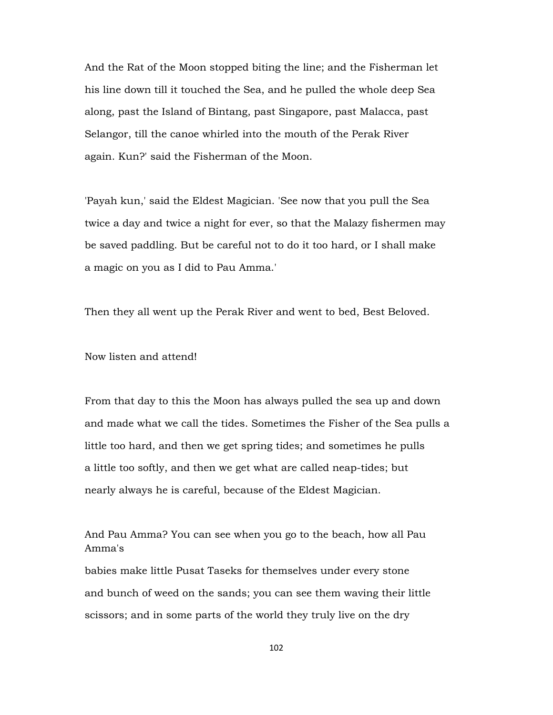And the Rat of the Moon stopped biting the line; and the Fisherman let his line down till it touched the Sea, and he pulled the whole deep Sea along, past the Island of Bintang, past Singapore, past Malacca, past Selangor, till the canoe whirled into the mouth of the Perak River again. Kun?' said the Fisherman of the Moon.

'Payah kun,' said the Eldest Magician. 'See now that you pull the Sea twice a day and twice a night for ever, so that the Malazy fishermen may be saved paddling. But be careful not to do it too hard, or I shall make a magic on you as I did to Pau Amma.'

Then they all went up the Perak River and went to bed, Best Beloved.

Now listen and attend!

From that day to this the Moon has always pulled the sea up and down and made what we call the tides. Sometimes the Fisher of the Sea pulls a little too hard, and then we get spring tides; and sometimes he pulls a little too softly, and then we get what are called neap-tides; but nearly always he is careful, because of the Eldest Magician.

And Pau Amma? You can see when you go to the beach, how all Pau Amma's

babies make little Pusat Taseks for themselves under every stone and bunch of weed on the sands; you can see them waving their little scissors; and in some parts of the world they truly live on the dry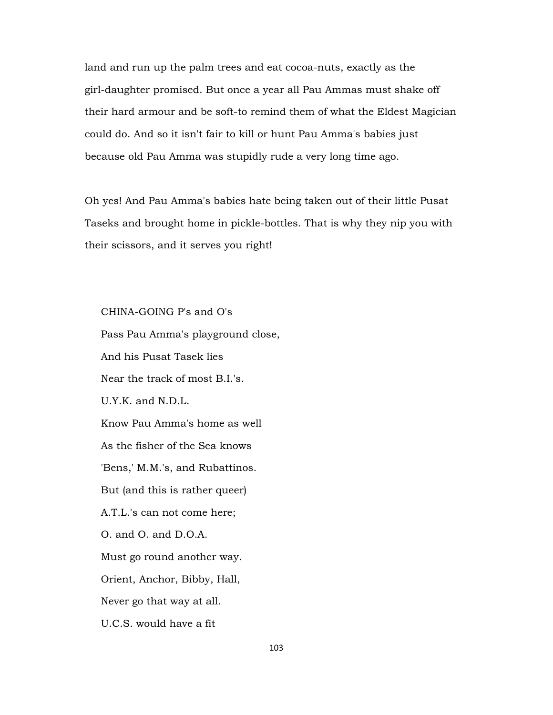land and run up the palm trees and eat cocoa-nuts, exactly as the girl-daughter promised. But once a year all Pau Ammas must shake off their hard armour and be soft-to remind them of what the Eldest Magician could do. And so it isn't fair to kill or hunt Pau Amma's babies just because old Pau Amma was stupidly rude a very long time ago.

Oh yes! And Pau Amma's babies hate being taken out of their little Pusat Taseks and brought home in pickle-bottles. That is why they nip you with their scissors, and it serves you right!

CHINA-GOING P's and O's

 Pass Pau Amma's playground close, And his Pusat Tasek lies Near the track of most B.I.'s. U.Y.K. and N.D.L. Know Pau Amma's home as well As the fisher of the Sea knows 'Bens,' M.M.'s, and Rubattinos. But (and this is rather queer) A.T.L.'s can not come here; O. and O. and D.O.A. Must go round another way. Orient, Anchor, Bibby, Hall, Never go that way at all. U.C.S. would have a fit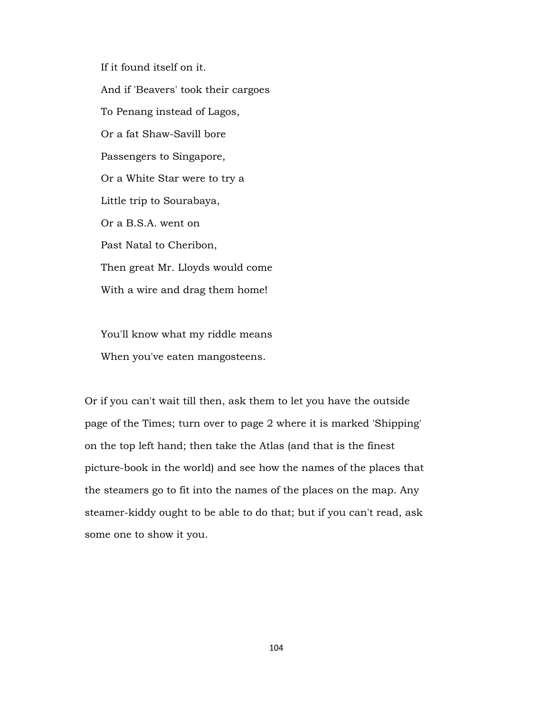If it found itself on it. And if 'Beavers' took their cargoes To Penang instead of Lagos, Or a fat Shaw-Savill bore Passengers to Singapore, Or a White Star were to try a Little trip to Sourabaya, Or a B.S.A. went on Past Natal to Cheribon, Then great Mr. Lloyds would come With a wire and drag them home!

 You'll know what my riddle means When you've eaten mangosteens.

Or if you can't wait till then, ask them to let you have the outside page of the Times; turn over to page 2 where it is marked 'Shipping' on the top left hand; then take the Atlas (and that is the finest picture-book in the world) and see how the names of the places that the steamers go to fit into the names of the places on the map. Any steamer-kiddy ought to be able to do that; but if you can't read, ask some one to show it you.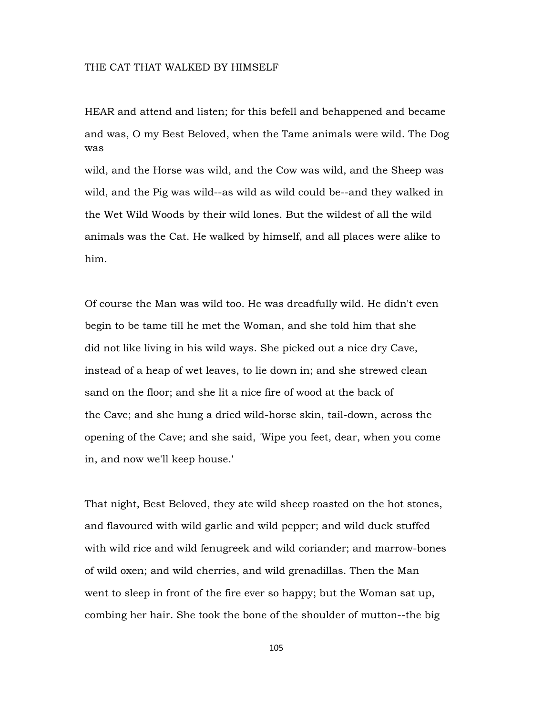## THE CAT THAT WALKED BY HIMSELF

HEAR and attend and listen; for this befell and behappened and became and was, O my Best Beloved, when the Tame animals were wild. The Dog was

wild, and the Horse was wild, and the Cow was wild, and the Sheep was wild, and the Pig was wild--as wild as wild could be--and they walked in the Wet Wild Woods by their wild lones. But the wildest of all the wild animals was the Cat. He walked by himself, and all places were alike to him.

Of course the Man was wild too. He was dreadfully wild. He didn't even begin to be tame till he met the Woman, and she told him that she did not like living in his wild ways. She picked out a nice dry Cave, instead of a heap of wet leaves, to lie down in; and she strewed clean sand on the floor; and she lit a nice fire of wood at the back of the Cave; and she hung a dried wild-horse skin, tail-down, across the opening of the Cave; and she said, 'Wipe you feet, dear, when you come in, and now we'll keep house.'

That night, Best Beloved, they ate wild sheep roasted on the hot stones, and flavoured with wild garlic and wild pepper; and wild duck stuffed with wild rice and wild fenugreek and wild coriander; and marrow-bones of wild oxen; and wild cherries, and wild grenadillas. Then the Man went to sleep in front of the fire ever so happy; but the Woman sat up, combing her hair. She took the bone of the shoulder of mutton--the big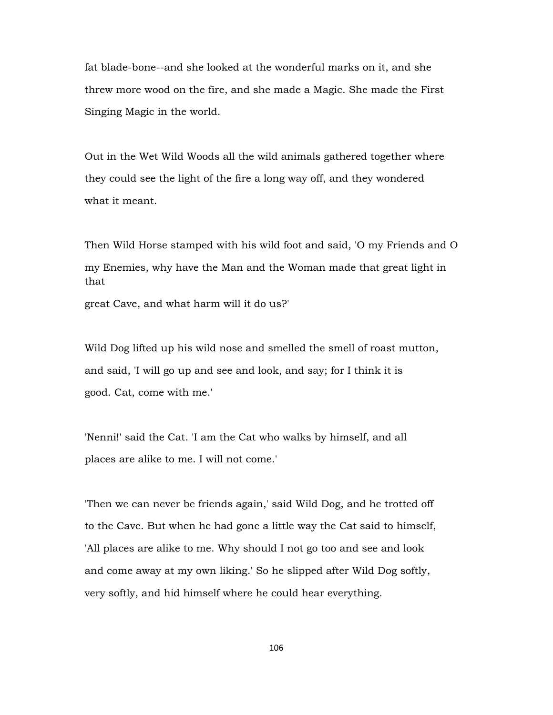fat blade-bone--and she looked at the wonderful marks on it, and she threw more wood on the fire, and she made a Magic. She made the First Singing Magic in the world.

Out in the Wet Wild Woods all the wild animals gathered together where they could see the light of the fire a long way off, and they wondered what it meant.

Then Wild Horse stamped with his wild foot and said, 'O my Friends and O my Enemies, why have the Man and the Woman made that great light in that

great Cave, and what harm will it do us?'

Wild Dog lifted up his wild nose and smelled the smell of roast mutton, and said, 'I will go up and see and look, and say; for I think it is good. Cat, come with me.'

'Nenni!' said the Cat. 'I am the Cat who walks by himself, and all places are alike to me. I will not come.'

'Then we can never be friends again,' said Wild Dog, and he trotted off to the Cave. But when he had gone a little way the Cat said to himself, 'All places are alike to me. Why should I not go too and see and look and come away at my own liking.' So he slipped after Wild Dog softly, very softly, and hid himself where he could hear everything.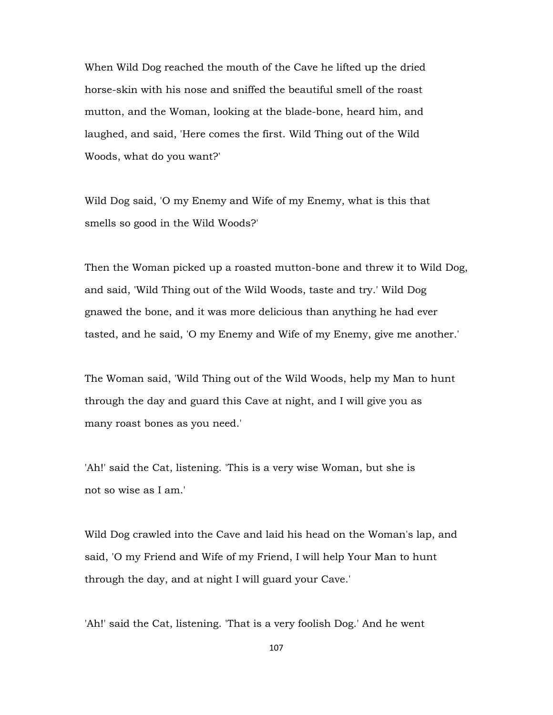When Wild Dog reached the mouth of the Cave he lifted up the dried horse-skin with his nose and sniffed the beautiful smell of the roast mutton, and the Woman, looking at the blade-bone, heard him, and laughed, and said, 'Here comes the first. Wild Thing out of the Wild Woods, what do you want?'

Wild Dog said, 'O my Enemy and Wife of my Enemy, what is this that smells so good in the Wild Woods?'

Then the Woman picked up a roasted mutton-bone and threw it to Wild Dog, and said, 'Wild Thing out of the Wild Woods, taste and try.' Wild Dog gnawed the bone, and it was more delicious than anything he had ever tasted, and he said, 'O my Enemy and Wife of my Enemy, give me another.'

The Woman said, 'Wild Thing out of the Wild Woods, help my Man to hunt through the day and guard this Cave at night, and I will give you as many roast bones as you need.'

'Ah!' said the Cat, listening. 'This is a very wise Woman, but she is not so wise as I am.'

Wild Dog crawled into the Cave and laid his head on the Woman's lap, and said, 'O my Friend and Wife of my Friend, I will help Your Man to hunt through the day, and at night I will guard your Cave.'

'Ah!' said the Cat, listening. 'That is a very foolish Dog.' And he went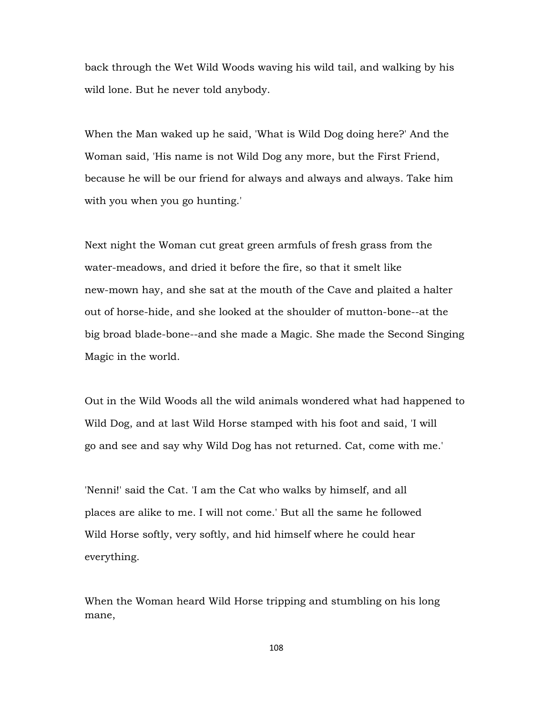back through the Wet Wild Woods waving his wild tail, and walking by his wild lone. But he never told anybody.

When the Man waked up he said, 'What is Wild Dog doing here?' And the Woman said, 'His name is not Wild Dog any more, but the First Friend, because he will be our friend for always and always and always. Take him with you when you go hunting.'

Next night the Woman cut great green armfuls of fresh grass from the water-meadows, and dried it before the fire, so that it smelt like new-mown hay, and she sat at the mouth of the Cave and plaited a halter out of horse-hide, and she looked at the shoulder of mutton-bone--at the big broad blade-bone--and she made a Magic. She made the Second Singing Magic in the world.

Out in the Wild Woods all the wild animals wondered what had happened to Wild Dog, and at last Wild Horse stamped with his foot and said, 'I will go and see and say why Wild Dog has not returned. Cat, come with me.'

'Nenni!' said the Cat. 'I am the Cat who walks by himself, and all places are alike to me. I will not come.' But all the same he followed Wild Horse softly, very softly, and hid himself where he could hear everything.

When the Woman heard Wild Horse tripping and stumbling on his long mane,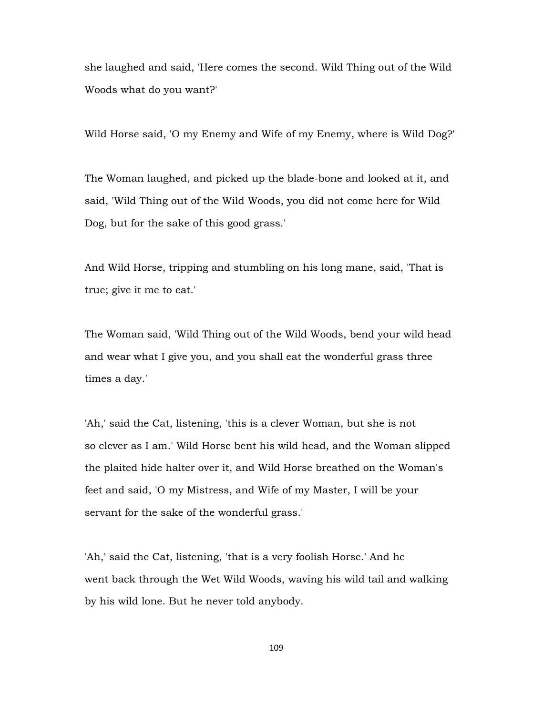she laughed and said, 'Here comes the second. Wild Thing out of the Wild Woods what do you want?'

Wild Horse said, 'O my Enemy and Wife of my Enemy, where is Wild Dog?'

The Woman laughed, and picked up the blade-bone and looked at it, and said, 'Wild Thing out of the Wild Woods, you did not come here for Wild Dog, but for the sake of this good grass.'

And Wild Horse, tripping and stumbling on his long mane, said, 'That is true; give it me to eat.'

The Woman said, 'Wild Thing out of the Wild Woods, bend your wild head and wear what I give you, and you shall eat the wonderful grass three times a day.'

'Ah,' said the Cat, listening, 'this is a clever Woman, but she is not so clever as I am.' Wild Horse bent his wild head, and the Woman slipped the plaited hide halter over it, and Wild Horse breathed on the Woman's feet and said, 'O my Mistress, and Wife of my Master, I will be your servant for the sake of the wonderful grass.'

'Ah,' said the Cat, listening, 'that is a very foolish Horse.' And he went back through the Wet Wild Woods, waving his wild tail and walking by his wild lone. But he never told anybody.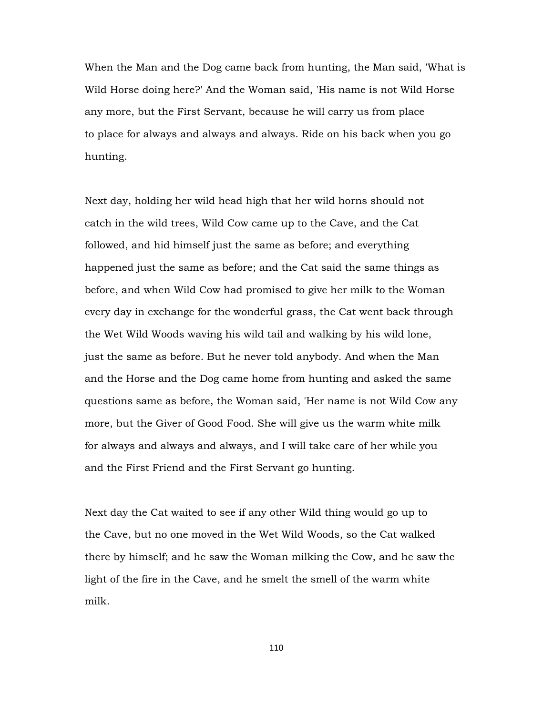When the Man and the Dog came back from hunting, the Man said, 'What is Wild Horse doing here?' And the Woman said, 'His name is not Wild Horse any more, but the First Servant, because he will carry us from place to place for always and always and always. Ride on his back when you go hunting.

Next day, holding her wild head high that her wild horns should not catch in the wild trees, Wild Cow came up to the Cave, and the Cat followed, and hid himself just the same as before; and everything happened just the same as before; and the Cat said the same things as before, and when Wild Cow had promised to give her milk to the Woman every day in exchange for the wonderful grass, the Cat went back through the Wet Wild Woods waving his wild tail and walking by his wild lone, just the same as before. But he never told anybody. And when the Man and the Horse and the Dog came home from hunting and asked the same questions same as before, the Woman said, 'Her name is not Wild Cow any more, but the Giver of Good Food. She will give us the warm white milk for always and always and always, and I will take care of her while you and the First Friend and the First Servant go hunting.

Next day the Cat waited to see if any other Wild thing would go up to the Cave, but no one moved in the Wet Wild Woods, so the Cat walked there by himself; and he saw the Woman milking the Cow, and he saw the light of the fire in the Cave, and he smelt the smell of the warm white milk.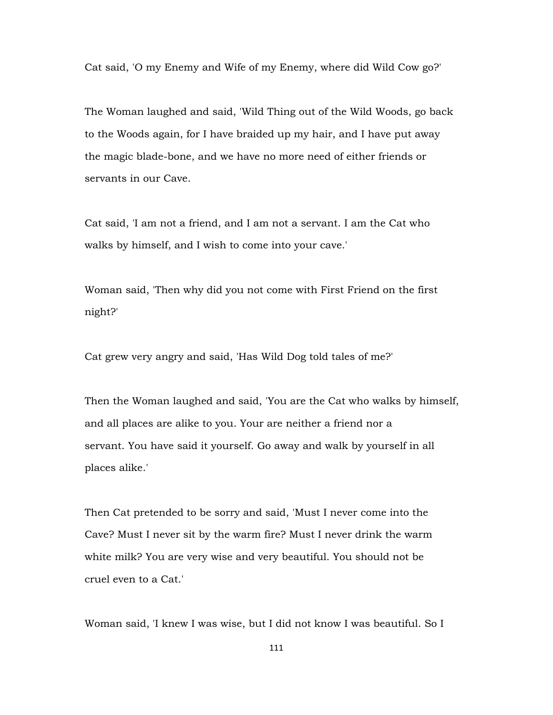Cat said, 'O my Enemy and Wife of my Enemy, where did Wild Cow go?'

The Woman laughed and said, 'Wild Thing out of the Wild Woods, go back to the Woods again, for I have braided up my hair, and I have put away the magic blade-bone, and we have no more need of either friends or servants in our Cave.

Cat said, 'I am not a friend, and I am not a servant. I am the Cat who walks by himself, and I wish to come into your cave.'

Woman said, 'Then why did you not come with First Friend on the first night?'

Cat grew very angry and said, 'Has Wild Dog told tales of me?'

Then the Woman laughed and said, 'You are the Cat who walks by himself, and all places are alike to you. Your are neither a friend nor a servant. You have said it yourself. Go away and walk by yourself in all places alike.'

Then Cat pretended to be sorry and said, 'Must I never come into the Cave? Must I never sit by the warm fire? Must I never drink the warm white milk? You are very wise and very beautiful. You should not be cruel even to a Cat.'

Woman said, 'I knew I was wise, but I did not know I was beautiful. So I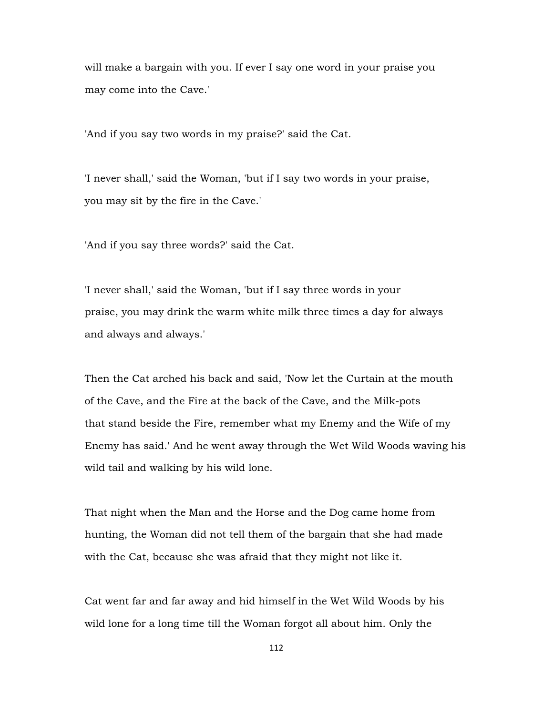will make a bargain with you. If ever I say one word in your praise you may come into the Cave.'

'And if you say two words in my praise?' said the Cat.

'I never shall,' said the Woman, 'but if I say two words in your praise, you may sit by the fire in the Cave.'

'And if you say three words?' said the Cat.

'I never shall,' said the Woman, 'but if I say three words in your praise, you may drink the warm white milk three times a day for always and always and always.'

Then the Cat arched his back and said, 'Now let the Curtain at the mouth of the Cave, and the Fire at the back of the Cave, and the Milk-pots that stand beside the Fire, remember what my Enemy and the Wife of my Enemy has said.' And he went away through the Wet Wild Woods waving his wild tail and walking by his wild lone.

That night when the Man and the Horse and the Dog came home from hunting, the Woman did not tell them of the bargain that she had made with the Cat, because she was afraid that they might not like it.

Cat went far and far away and hid himself in the Wet Wild Woods by his wild lone for a long time till the Woman forgot all about him. Only the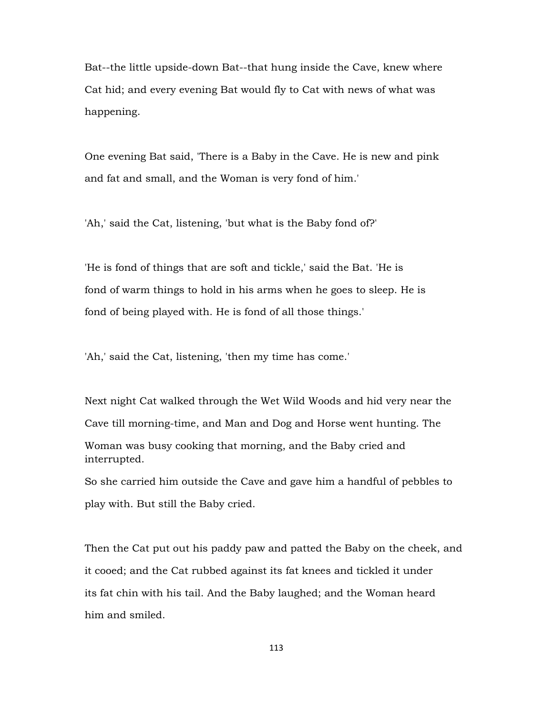Bat--the little upside-down Bat--that hung inside the Cave, knew where Cat hid; and every evening Bat would fly to Cat with news of what was happening.

One evening Bat said, 'There is a Baby in the Cave. He is new and pink and fat and small, and the Woman is very fond of him.'

'Ah,' said the Cat, listening, 'but what is the Baby fond of?'

'He is fond of things that are soft and tickle,' said the Bat. 'He is fond of warm things to hold in his arms when he goes to sleep. He is fond of being played with. He is fond of all those things.'

'Ah,' said the Cat, listening, 'then my time has come.'

Next night Cat walked through the Wet Wild Woods and hid very near the Cave till morning-time, and Man and Dog and Horse went hunting. The Woman was busy cooking that morning, and the Baby cried and interrupted. So she carried him outside the Cave and gave him a handful of pebbles to

play with. But still the Baby cried.

Then the Cat put out his paddy paw and patted the Baby on the cheek, and it cooed; and the Cat rubbed against its fat knees and tickled it under its fat chin with his tail. And the Baby laughed; and the Woman heard him and smiled.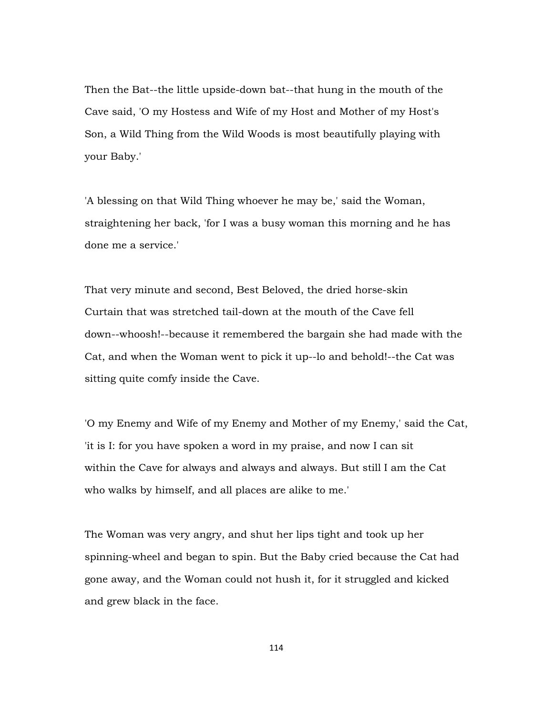Then the Bat--the little upside-down bat--that hung in the mouth of the Cave said, 'O my Hostess and Wife of my Host and Mother of my Host's Son, a Wild Thing from the Wild Woods is most beautifully playing with your Baby.'

'A blessing on that Wild Thing whoever he may be,' said the Woman, straightening her back, 'for I was a busy woman this morning and he has done me a service.'

That very minute and second, Best Beloved, the dried horse-skin Curtain that was stretched tail-down at the mouth of the Cave fell down--whoosh!--because it remembered the bargain she had made with the Cat, and when the Woman went to pick it up--lo and behold!--the Cat was sitting quite comfy inside the Cave.

'O my Enemy and Wife of my Enemy and Mother of my Enemy,' said the Cat, 'it is I: for you have spoken a word in my praise, and now I can sit within the Cave for always and always and always. But still I am the Cat who walks by himself, and all places are alike to me.'

The Woman was very angry, and shut her lips tight and took up her spinning-wheel and began to spin. But the Baby cried because the Cat had gone away, and the Woman could not hush it, for it struggled and kicked and grew black in the face.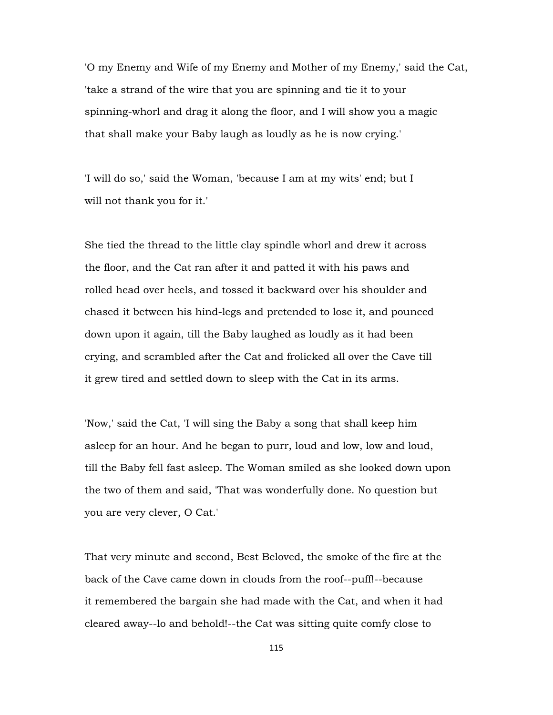'O my Enemy and Wife of my Enemy and Mother of my Enemy,' said the Cat, 'take a strand of the wire that you are spinning and tie it to your spinning-whorl and drag it along the floor, and I will show you a magic that shall make your Baby laugh as loudly as he is now crying.'

'I will do so,' said the Woman, 'because I am at my wits' end; but I will not thank you for it.'

She tied the thread to the little clay spindle whorl and drew it across the floor, and the Cat ran after it and patted it with his paws and rolled head over heels, and tossed it backward over his shoulder and chased it between his hind-legs and pretended to lose it, and pounced down upon it again, till the Baby laughed as loudly as it had been crying, and scrambled after the Cat and frolicked all over the Cave till it grew tired and settled down to sleep with the Cat in its arms.

'Now,' said the Cat, 'I will sing the Baby a song that shall keep him asleep for an hour. And he began to purr, loud and low, low and loud, till the Baby fell fast asleep. The Woman smiled as she looked down upon the two of them and said, 'That was wonderfully done. No question but you are very clever, O Cat.'

That very minute and second, Best Beloved, the smoke of the fire at the back of the Cave came down in clouds from the roof--puff!--because it remembered the bargain she had made with the Cat, and when it had cleared away--lo and behold!--the Cat was sitting quite comfy close to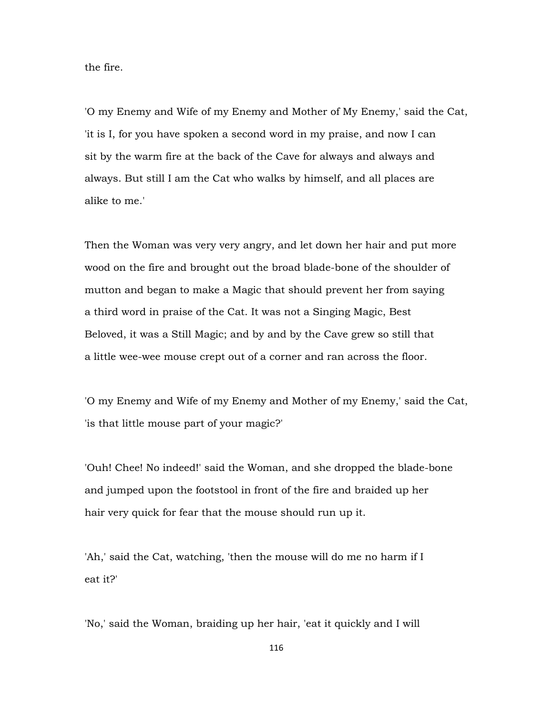the fire.

'O my Enemy and Wife of my Enemy and Mother of My Enemy,' said the Cat, 'it is I, for you have spoken a second word in my praise, and now I can sit by the warm fire at the back of the Cave for always and always and always. But still I am the Cat who walks by himself, and all places are alike to me.'

Then the Woman was very very angry, and let down her hair and put more wood on the fire and brought out the broad blade-bone of the shoulder of mutton and began to make a Magic that should prevent her from saying a third word in praise of the Cat. It was not a Singing Magic, Best Beloved, it was a Still Magic; and by and by the Cave grew so still that a little wee-wee mouse crept out of a corner and ran across the floor.

'O my Enemy and Wife of my Enemy and Mother of my Enemy,' said the Cat, 'is that little mouse part of your magic?'

'Ouh! Chee! No indeed!' said the Woman, and she dropped the blade-bone and jumped upon the footstool in front of the fire and braided up her hair very quick for fear that the mouse should run up it.

'Ah,' said the Cat, watching, 'then the mouse will do me no harm if I eat it?'

'No,' said the Woman, braiding up her hair, 'eat it quickly and I will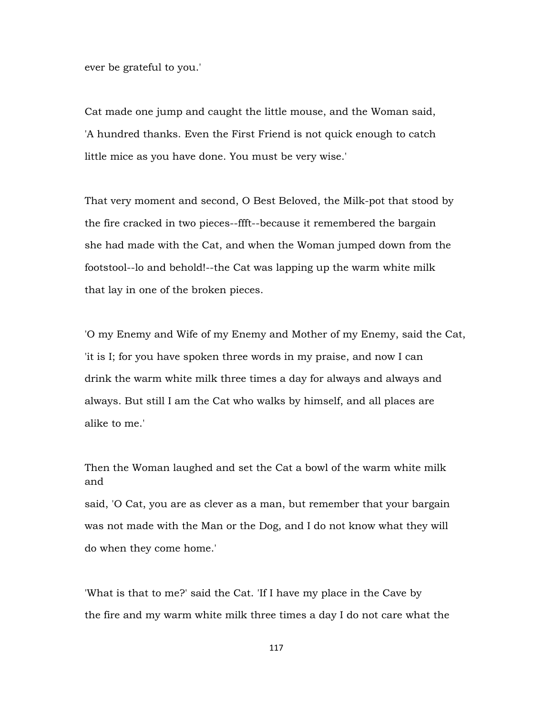ever be grateful to you.'

Cat made one jump and caught the little mouse, and the Woman said, 'A hundred thanks. Even the First Friend is not quick enough to catch little mice as you have done. You must be very wise.'

That very moment and second, O Best Beloved, the Milk-pot that stood by the fire cracked in two pieces--ffft--because it remembered the bargain she had made with the Cat, and when the Woman jumped down from the footstool--lo and behold!--the Cat was lapping up the warm white milk that lay in one of the broken pieces.

'O my Enemy and Wife of my Enemy and Mother of my Enemy, said the Cat, 'it is I; for you have spoken three words in my praise, and now I can drink the warm white milk three times a day for always and always and always. But still I am the Cat who walks by himself, and all places are alike to me.'

Then the Woman laughed and set the Cat a bowl of the warm white milk and

said, 'O Cat, you are as clever as a man, but remember that your bargain was not made with the Man or the Dog, and I do not know what they will do when they come home.'

'What is that to me?' said the Cat. 'If I have my place in the Cave by the fire and my warm white milk three times a day I do not care what the

117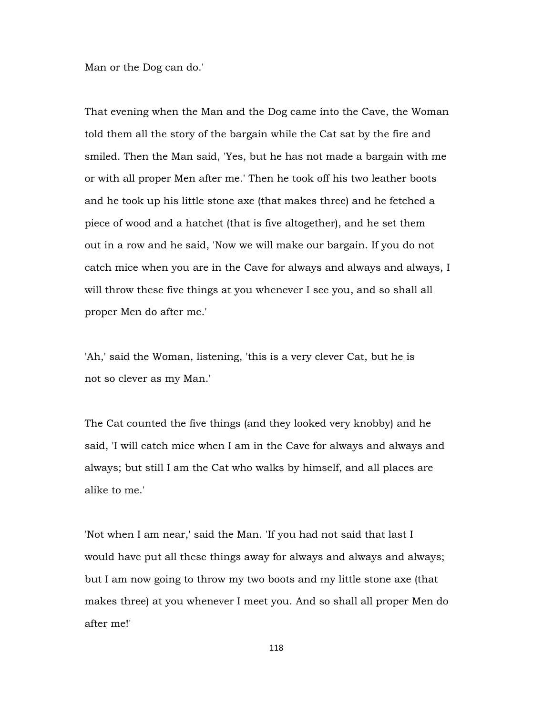Man or the Dog can do.'

That evening when the Man and the Dog came into the Cave, the Woman told them all the story of the bargain while the Cat sat by the fire and smiled. Then the Man said, 'Yes, but he has not made a bargain with me or with all proper Men after me.' Then he took off his two leather boots and he took up his little stone axe (that makes three) and he fetched a piece of wood and a hatchet (that is five altogether), and he set them out in a row and he said, 'Now we will make our bargain. If you do not catch mice when you are in the Cave for always and always and always, I will throw these five things at you whenever I see you, and so shall all proper Men do after me.'

'Ah,' said the Woman, listening, 'this is a very clever Cat, but he is not so clever as my Man.'

The Cat counted the five things (and they looked very knobby) and he said, 'I will catch mice when I am in the Cave for always and always and always; but still I am the Cat who walks by himself, and all places are alike to me.'

'Not when I am near,' said the Man. 'If you had not said that last I would have put all these things away for always and always and always; but I am now going to throw my two boots and my little stone axe (that makes three) at you whenever I meet you. And so shall all proper Men do after me!'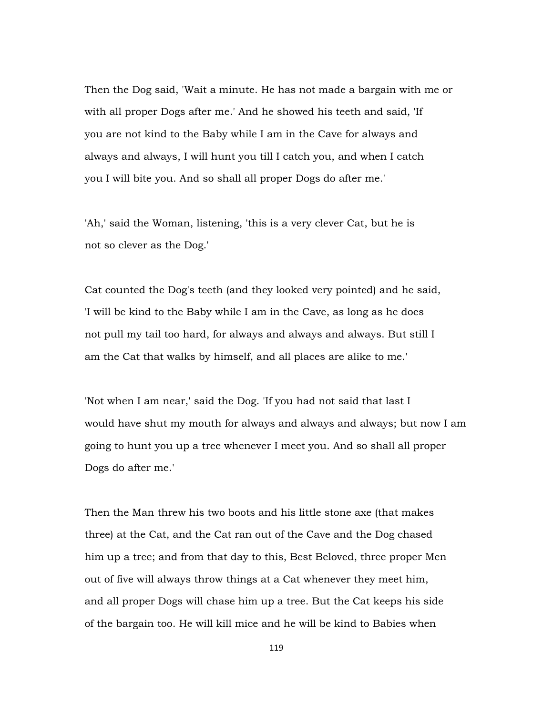Then the Dog said, 'Wait a minute. He has not made a bargain with me or with all proper Dogs after me.' And he showed his teeth and said, 'If you are not kind to the Baby while I am in the Cave for always and always and always, I will hunt you till I catch you, and when I catch you I will bite you. And so shall all proper Dogs do after me.'

'Ah,' said the Woman, listening, 'this is a very clever Cat, but he is not so clever as the Dog.'

Cat counted the Dog's teeth (and they looked very pointed) and he said, 'I will be kind to the Baby while I am in the Cave, as long as he does not pull my tail too hard, for always and always and always. But still I am the Cat that walks by himself, and all places are alike to me.'

'Not when I am near,' said the Dog. 'If you had not said that last I would have shut my mouth for always and always and always; but now I am going to hunt you up a tree whenever I meet you. And so shall all proper Dogs do after me.'

Then the Man threw his two boots and his little stone axe (that makes three) at the Cat, and the Cat ran out of the Cave and the Dog chased him up a tree; and from that day to this, Best Beloved, three proper Men out of five will always throw things at a Cat whenever they meet him, and all proper Dogs will chase him up a tree. But the Cat keeps his side of the bargain too. He will kill mice and he will be kind to Babies when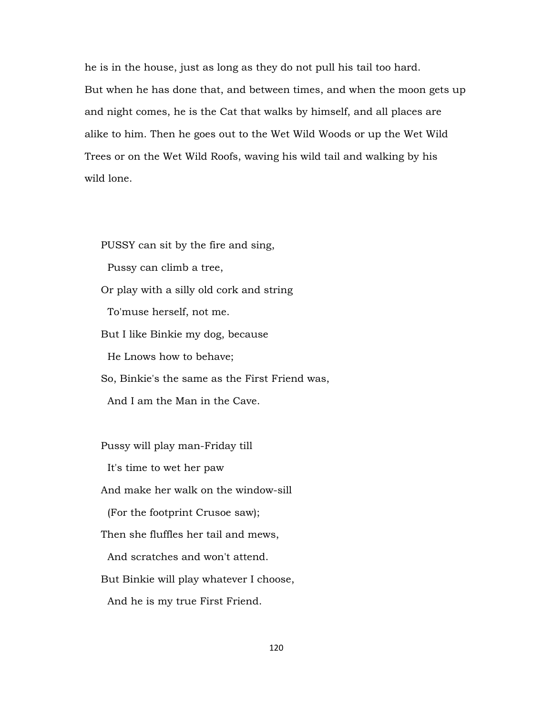he is in the house, just as long as they do not pull his tail too hard. But when he has done that, and between times, and when the moon gets up and night comes, he is the Cat that walks by himself, and all places are alike to him. Then he goes out to the Wet Wild Woods or up the Wet Wild Trees or on the Wet Wild Roofs, waving his wild tail and walking by his wild lone.

PUSSY can sit by the fire and sing,

Pussy can climb a tree,

Or play with a silly old cork and string

To'muse herself, not me.

But I like Binkie my dog, because

He Lnows how to behave;

So, Binkie's the same as the First Friend was,

And I am the Man in the Cave.

Pussy will play man-Friday till

It's time to wet her paw

And make her walk on the window-sill

(For the footprint Crusoe saw);

Then she fluffles her tail and mews,

And scratches and won't attend.

But Binkie will play whatever I choose,

And he is my true First Friend.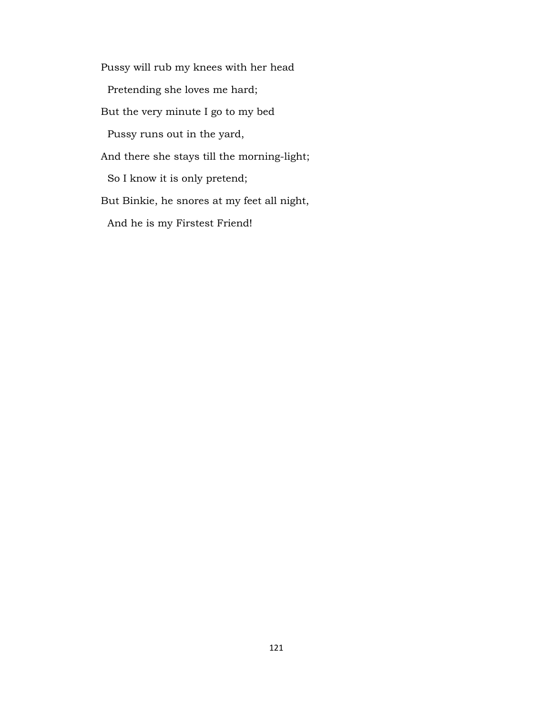Pussy will rub my knees with her head Pretending she loves me hard; But the very minute I go to my bed Pussy runs out in the yard, And there she stays till the morning-light; So I know it is only pretend; But Binkie, he snores at my feet all night, And he is my Firstest Friend!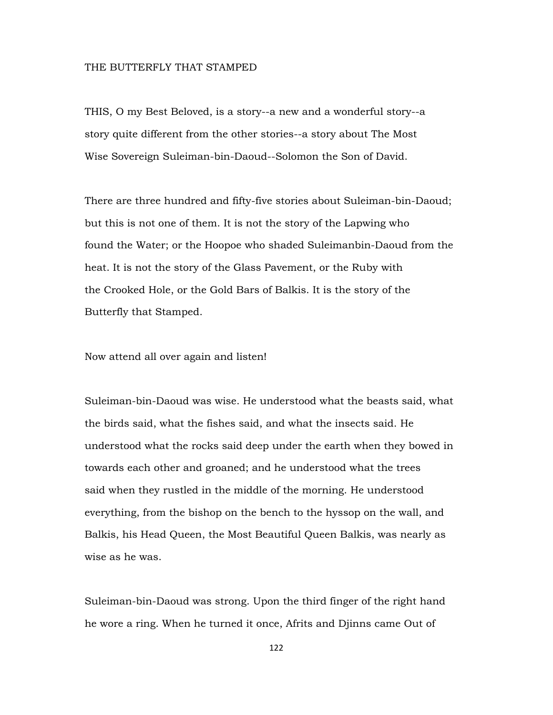## THE BUTTERFLY THAT STAMPED

THIS, O my Best Beloved, is a story--a new and a wonderful story--a story quite different from the other stories--a story about The Most Wise Sovereign Suleiman-bin-Daoud--Solomon the Son of David.

There are three hundred and fifty-five stories about Suleiman-bin-Daoud; but this is not one of them. It is not the story of the Lapwing who found the Water; or the Hoopoe who shaded Suleimanbin-Daoud from the heat. It is not the story of the Glass Pavement, or the Ruby with the Crooked Hole, or the Gold Bars of Balkis. It is the story of the Butterfly that Stamped.

Now attend all over again and listen!

Suleiman-bin-Daoud was wise. He understood what the beasts said, what the birds said, what the fishes said, and what the insects said. He understood what the rocks said deep under the earth when they bowed in towards each other and groaned; and he understood what the trees said when they rustled in the middle of the morning. He understood everything, from the bishop on the bench to the hyssop on the wall, and Balkis, his Head Queen, the Most Beautiful Queen Balkis, was nearly as wise as he was.

Suleiman-bin-Daoud was strong. Upon the third finger of the right hand he wore a ring. When he turned it once, Afrits and Djinns came Out of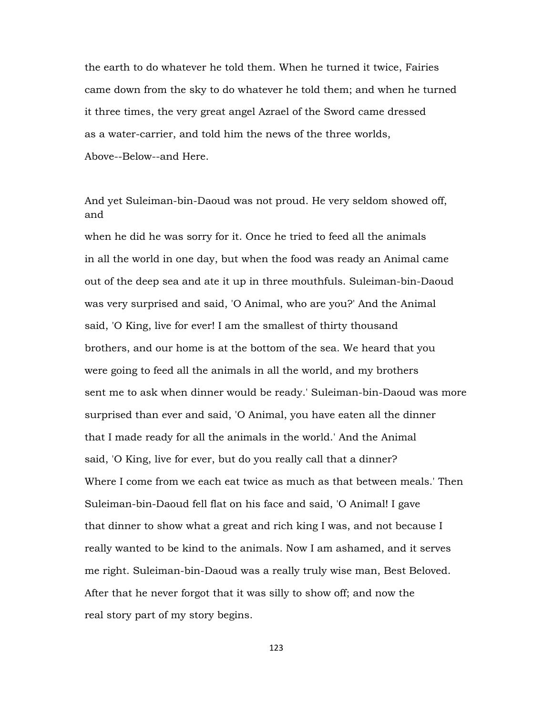the earth to do whatever he told them. When he turned it twice, Fairies came down from the sky to do whatever he told them; and when he turned it three times, the very great angel Azrael of the Sword came dressed as a water-carrier, and told him the news of the three worlds, Above--Below--and Here.

And yet Suleiman-bin-Daoud was not proud. He very seldom showed off, and

when he did he was sorry for it. Once he tried to feed all the animals in all the world in one day, but when the food was ready an Animal came out of the deep sea and ate it up in three mouthfuls. Suleiman-bin-Daoud was very surprised and said, 'O Animal, who are you?' And the Animal said, 'O King, live for ever! I am the smallest of thirty thousand brothers, and our home is at the bottom of the sea. We heard that you were going to feed all the animals in all the world, and my brothers sent me to ask when dinner would be ready.' Suleiman-bin-Daoud was more surprised than ever and said, 'O Animal, you have eaten all the dinner that I made ready for all the animals in the world.' And the Animal said, 'O King, live for ever, but do you really call that a dinner? Where I come from we each eat twice as much as that between meals.' Then Suleiman-bin-Daoud fell flat on his face and said, 'O Animal! I gave that dinner to show what a great and rich king I was, and not because I really wanted to be kind to the animals. Now I am ashamed, and it serves me right. Suleiman-bin-Daoud was a really truly wise man, Best Beloved. After that he never forgot that it was silly to show off; and now the real story part of my story begins.

123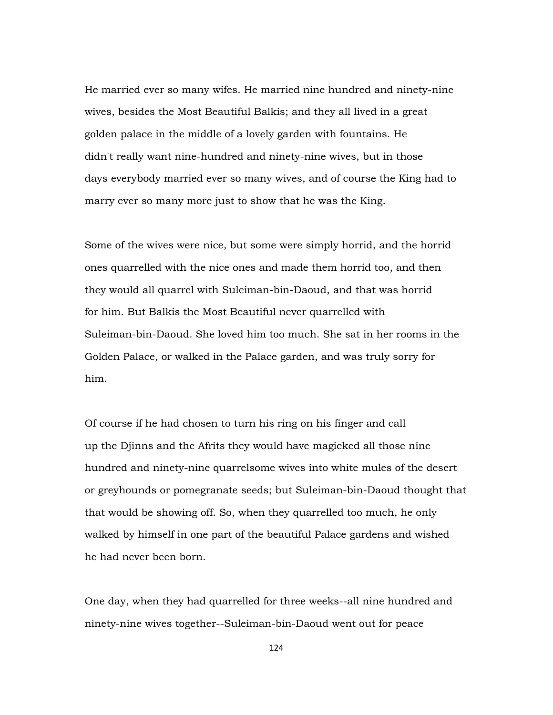He married ever so many wifes. He married nine hundred and ninety-nine wives, besides the Most Beautiful Balkis; and they all lived in a great golden palace in the middle of a lovely garden with fountains. He didn't really want nine-hundred and ninety-nine wives, but in those days everybody married ever so many wives, and of course the King had to marry ever so many more just to show that he was the King.

Some of the wives were nice, but some were simply horrid, and the horrid ones quarrelled with the nice ones and made them horrid too, and then they would all quarrel with Suleiman-bin-Daoud, and that was horrid for him. But Balkis the Most Beautiful never quarrelled with Suleiman-bin-Daoud. She loved him too much. She sat in her rooms in the Golden Palace, or walked in the Palace garden, and was truly sorry for him.

Of course if he had chosen to turn his ring on his finger and call up the Djinns and the Afrits they would have magicked all those nine hundred and ninety-nine quarrelsome wives into white mules of the desert or greyhounds or pomegranate seeds; but Suleiman-bin-Daoud thought that that would be showing off. So, when they quarrelled too much, he only walked by himself in one part of the beautiful Palace gardens and wished he had never been born.

One day, when they had quarrelled for three weeks--all nine hundred and ninety-nine wives together--Suleiman-bin-Daoud went out for peace

124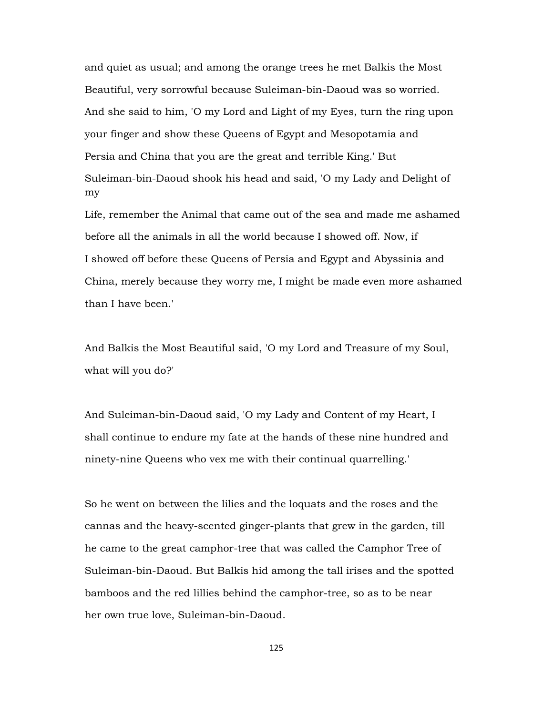and quiet as usual; and among the orange trees he met Balkis the Most Beautiful, very sorrowful because Suleiman-bin-Daoud was so worried. And she said to him, 'O my Lord and Light of my Eyes, turn the ring upon your finger and show these Queens of Egypt and Mesopotamia and Persia and China that you are the great and terrible King.' But Suleiman-bin-Daoud shook his head and said, 'O my Lady and Delight of my

Life, remember the Animal that came out of the sea and made me ashamed before all the animals in all the world because I showed off. Now, if I showed off before these Queens of Persia and Egypt and Abyssinia and China, merely because they worry me, I might be made even more ashamed than I have been.'

And Balkis the Most Beautiful said, 'O my Lord and Treasure of my Soul, what will you do?'

And Suleiman-bin-Daoud said, 'O my Lady and Content of my Heart, I shall continue to endure my fate at the hands of these nine hundred and ninety-nine Queens who vex me with their continual quarrelling.'

So he went on between the lilies and the loquats and the roses and the cannas and the heavy-scented ginger-plants that grew in the garden, till he came to the great camphor-tree that was called the Camphor Tree of Suleiman-bin-Daoud. But Balkis hid among the tall irises and the spotted bamboos and the red lillies behind the camphor-tree, so as to be near her own true love, Suleiman-bin-Daoud.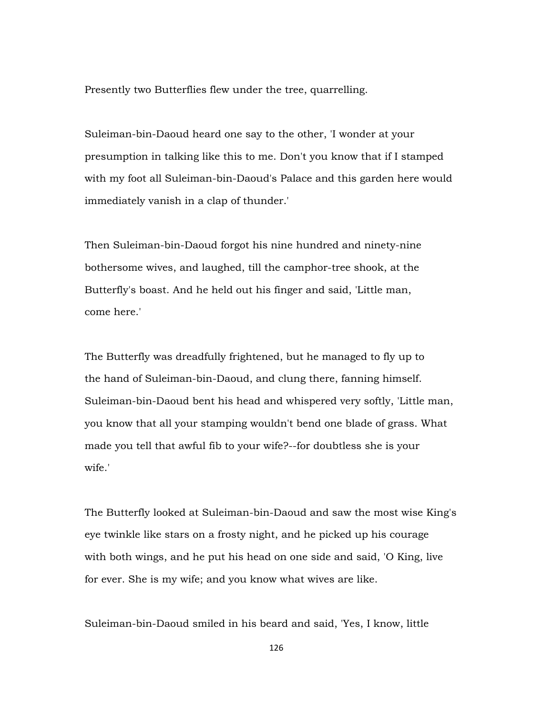Presently two Butterflies flew under the tree, quarrelling.

Suleiman-bin-Daoud heard one say to the other, 'I wonder at your presumption in talking like this to me. Don't you know that if I stamped with my foot all Suleiman-bin-Daoud's Palace and this garden here would immediately vanish in a clap of thunder.'

Then Suleiman-bin-Daoud forgot his nine hundred and ninety-nine bothersome wives, and laughed, till the camphor-tree shook, at the Butterfly's boast. And he held out his finger and said, 'Little man, come here.'

The Butterfly was dreadfully frightened, but he managed to fly up to the hand of Suleiman-bin-Daoud, and clung there, fanning himself. Suleiman-bin-Daoud bent his head and whispered very softly, 'Little man, you know that all your stamping wouldn't bend one blade of grass. What made you tell that awful fib to your wife?--for doubtless she is your wife.'

The Butterfly looked at Suleiman-bin-Daoud and saw the most wise King's eye twinkle like stars on a frosty night, and he picked up his courage with both wings, and he put his head on one side and said, 'O King, live for ever. She is my wife; and you know what wives are like.

Suleiman-bin-Daoud smiled in his beard and said, 'Yes, I know, little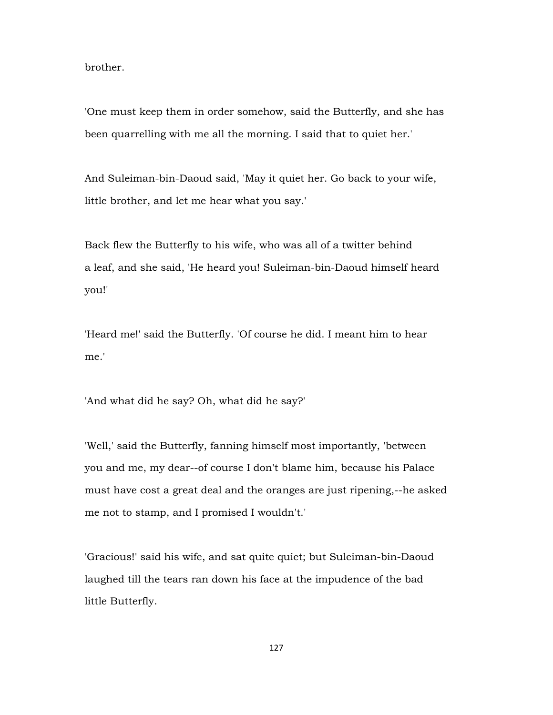brother.

'One must keep them in order somehow, said the Butterfly, and she has been quarrelling with me all the morning. I said that to quiet her.'

And Suleiman-bin-Daoud said, 'May it quiet her. Go back to your wife, little brother, and let me hear what you say.'

Back flew the Butterfly to his wife, who was all of a twitter behind a leaf, and she said, 'He heard you! Suleiman-bin-Daoud himself heard you!'

'Heard me!' said the Butterfly. 'Of course he did. I meant him to hear me.'

'And what did he say? Oh, what did he say?'

'Well,' said the Butterfly, fanning himself most importantly, 'between you and me, my dear--of course I don't blame him, because his Palace must have cost a great deal and the oranges are just ripening,--he asked me not to stamp, and I promised I wouldn't.'

'Gracious!' said his wife, and sat quite quiet; but Suleiman-bin-Daoud laughed till the tears ran down his face at the impudence of the bad little Butterfly.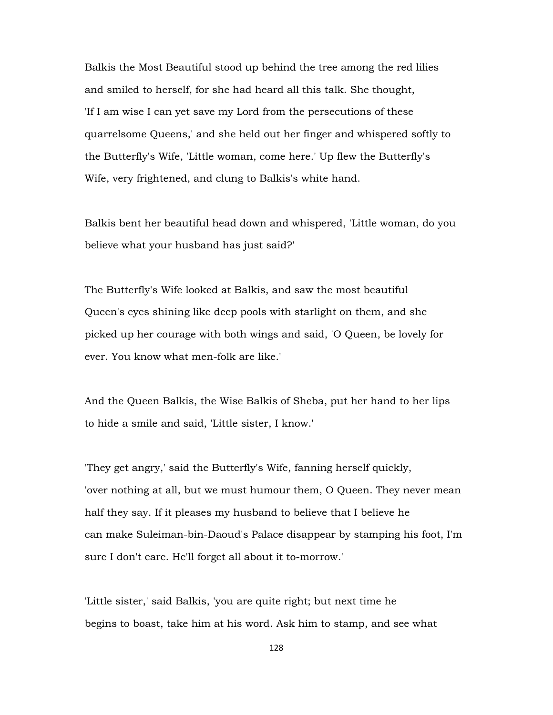Balkis the Most Beautiful stood up behind the tree among the red lilies and smiled to herself, for she had heard all this talk. She thought, 'If I am wise I can yet save my Lord from the persecutions of these quarrelsome Queens,' and she held out her finger and whispered softly to the Butterfly's Wife, 'Little woman, come here.' Up flew the Butterfly's Wife, very frightened, and clung to Balkis's white hand.

Balkis bent her beautiful head down and whispered, 'Little woman, do you believe what your husband has just said?'

The Butterfly's Wife looked at Balkis, and saw the most beautiful Queen's eyes shining like deep pools with starlight on them, and she picked up her courage with both wings and said, 'O Queen, be lovely for ever. You know what men-folk are like.'

And the Queen Balkis, the Wise Balkis of Sheba, put her hand to her lips to hide a smile and said, 'Little sister, I know.'

'They get angry,' said the Butterfly's Wife, fanning herself quickly, 'over nothing at all, but we must humour them, O Queen. They never mean half they say. If it pleases my husband to believe that I believe he can make Suleiman-bin-Daoud's Palace disappear by stamping his foot, I'm sure I don't care. He'll forget all about it to-morrow.'

'Little sister,' said Balkis, 'you are quite right; but next time he begins to boast, take him at his word. Ask him to stamp, and see what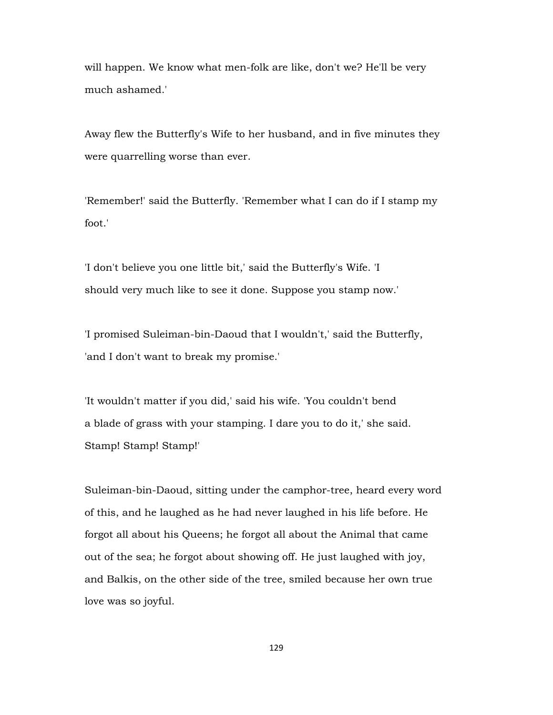will happen. We know what men-folk are like, don't we? He'll be very much ashamed.'

Away flew the Butterfly's Wife to her husband, and in five minutes they were quarrelling worse than ever.

'Remember!' said the Butterfly. 'Remember what I can do if I stamp my foot.'

'I don't believe you one little bit,' said the Butterfly's Wife. 'I should very much like to see it done. Suppose you stamp now.'

'I promised Suleiman-bin-Daoud that I wouldn't,' said the Butterfly, 'and I don't want to break my promise.'

'It wouldn't matter if you did,' said his wife. 'You couldn't bend a blade of grass with your stamping. I dare you to do it,' she said. Stamp! Stamp! Stamp!'

Suleiman-bin-Daoud, sitting under the camphor-tree, heard every word of this, and he laughed as he had never laughed in his life before. He forgot all about his Queens; he forgot all about the Animal that came out of the sea; he forgot about showing off. He just laughed with joy, and Balkis, on the other side of the tree, smiled because her own true love was so joyful.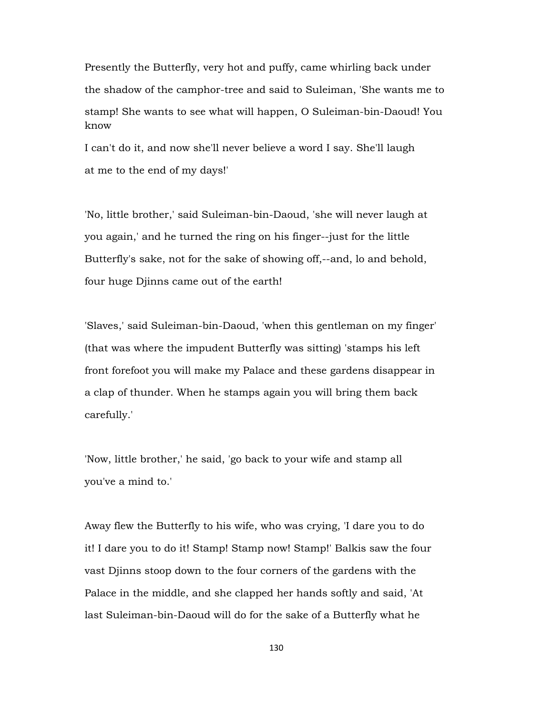Presently the Butterfly, very hot and puffy, came whirling back under the shadow of the camphor-tree and said to Suleiman, 'She wants me to stamp! She wants to see what will happen, O Suleiman-bin-Daoud! You know

I can't do it, and now she'll never believe a word I say. She'll laugh at me to the end of my days!'

'No, little brother,' said Suleiman-bin-Daoud, 'she will never laugh at you again,' and he turned the ring on his finger--just for the little Butterfly's sake, not for the sake of showing off,--and, lo and behold, four huge Djinns came out of the earth!

'Slaves,' said Suleiman-bin-Daoud, 'when this gentleman on my finger' (that was where the impudent Butterfly was sitting) 'stamps his left front forefoot you will make my Palace and these gardens disappear in a clap of thunder. When he stamps again you will bring them back carefully.'

'Now, little brother,' he said, 'go back to your wife and stamp all you've a mind to.'

Away flew the Butterfly to his wife, who was crying, 'I dare you to do it! I dare you to do it! Stamp! Stamp now! Stamp!' Balkis saw the four vast Djinns stoop down to the four corners of the gardens with the Palace in the middle, and she clapped her hands softly and said, 'At last Suleiman-bin-Daoud will do for the sake of a Butterfly what he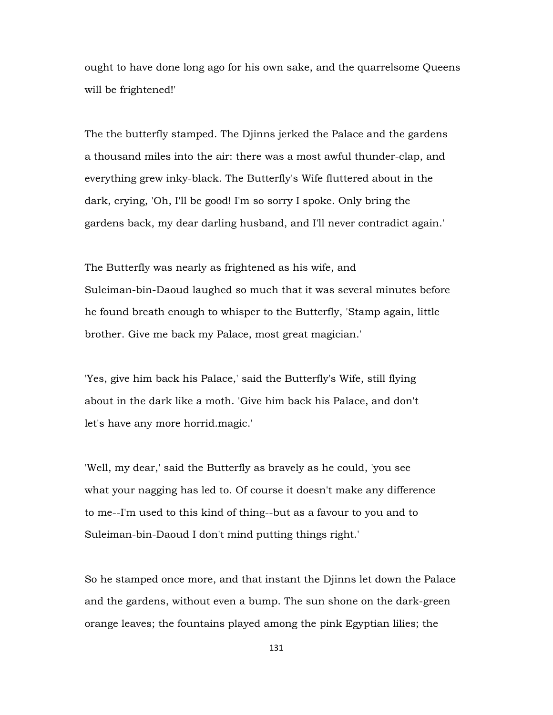ought to have done long ago for his own sake, and the quarrelsome Queens will be frightened!'

The the butterfly stamped. The Djinns jerked the Palace and the gardens a thousand miles into the air: there was a most awful thunder-clap, and everything grew inky-black. The Butterfly's Wife fluttered about in the dark, crying, 'Oh, I'll be good! I'm so sorry I spoke. Only bring the gardens back, my dear darling husband, and I'll never contradict again.'

The Butterfly was nearly as frightened as his wife, and Suleiman-bin-Daoud laughed so much that it was several minutes before he found breath enough to whisper to the Butterfly, 'Stamp again, little brother. Give me back my Palace, most great magician.'

'Yes, give him back his Palace,' said the Butterfly's Wife, still flying about in the dark like a moth. 'Give him back his Palace, and don't let's have any more horrid.magic.'

'Well, my dear,' said the Butterfly as bravely as he could, 'you see what your nagging has led to. Of course it doesn't make any difference to me--I'm used to this kind of thing--but as a favour to you and to Suleiman-bin-Daoud I don't mind putting things right.'

So he stamped once more, and that instant the Djinns let down the Palace and the gardens, without even a bump. The sun shone on the dark-green orange leaves; the fountains played among the pink Egyptian lilies; the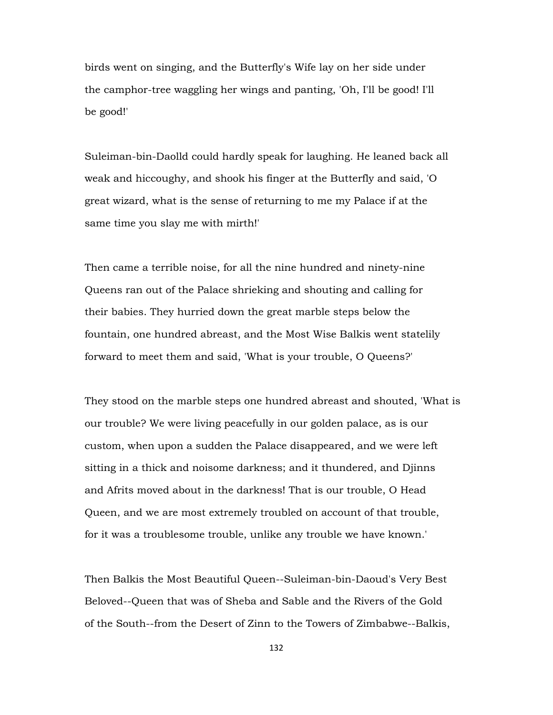birds went on singing, and the Butterfly's Wife lay on her side under the camphor-tree waggling her wings and panting, 'Oh, I'll be good! I'll be good!'

Suleiman-bin-Daolld could hardly speak for laughing. He leaned back all weak and hiccoughy, and shook his finger at the Butterfly and said, 'O great wizard, what is the sense of returning to me my Palace if at the same time you slay me with mirth!'

Then came a terrible noise, for all the nine hundred and ninety-nine Queens ran out of the Palace shrieking and shouting and calling for their babies. They hurried down the great marble steps below the fountain, one hundred abreast, and the Most Wise Balkis went statelily forward to meet them and said, 'What is your trouble, O Queens?'

They stood on the marble steps one hundred abreast and shouted, 'What is our trouble? We were living peacefully in our golden palace, as is our custom, when upon a sudden the Palace disappeared, and we were left sitting in a thick and noisome darkness; and it thundered, and Djinns and Afrits moved about in the darkness! That is our trouble, O Head Queen, and we are most extremely troubled on account of that trouble, for it was a troublesome trouble, unlike any trouble we have known.'

Then Balkis the Most Beautiful Queen--Suleiman-bin-Daoud's Very Best Beloved--Queen that was of Sheba and Sable and the Rivers of the Gold of the South--from the Desert of Zinn to the Towers of Zimbabwe--Balkis,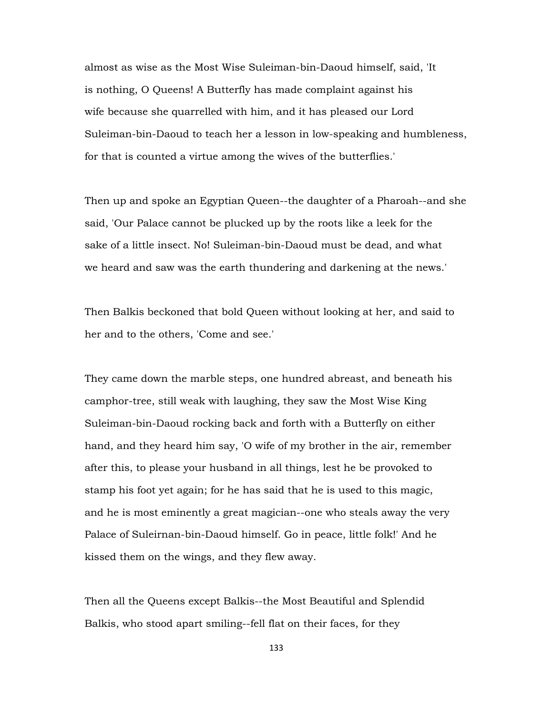almost as wise as the Most Wise Suleiman-bin-Daoud himself, said, 'It is nothing, O Queens! A Butterfly has made complaint against his wife because she quarrelled with him, and it has pleased our Lord Suleiman-bin-Daoud to teach her a lesson in low-speaking and humbleness, for that is counted a virtue among the wives of the butterflies.'

Then up and spoke an Egyptian Queen--the daughter of a Pharoah--and she said, 'Our Palace cannot be plucked up by the roots like a leek for the sake of a little insect. No! Suleiman-bin-Daoud must be dead, and what we heard and saw was the earth thundering and darkening at the news.'

Then Balkis beckoned that bold Queen without looking at her, and said to her and to the others, 'Come and see.'

They came down the marble steps, one hundred abreast, and beneath his camphor-tree, still weak with laughing, they saw the Most Wise King Suleiman-bin-Daoud rocking back and forth with a Butterfly on either hand, and they heard him say, 'O wife of my brother in the air, remember after this, to please your husband in all things, lest he be provoked to stamp his foot yet again; for he has said that he is used to this magic, and he is most eminently a great magician--one who steals away the very Palace of Suleirnan-bin-Daoud himself. Go in peace, little folk!' And he kissed them on the wings, and they flew away.

Then all the Queens except Balkis--the Most Beautiful and Splendid Balkis, who stood apart smiling--fell flat on their faces, for they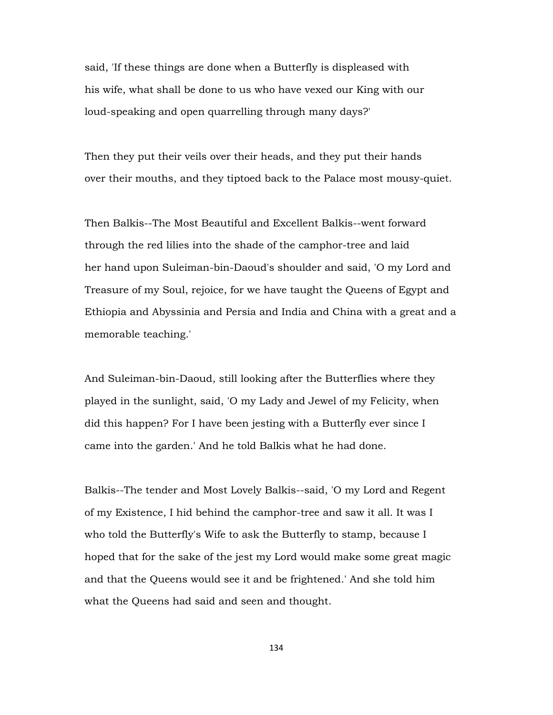said, 'If these things are done when a Butterfly is displeased with his wife, what shall be done to us who have vexed our King with our loud-speaking and open quarrelling through many days?'

Then they put their veils over their heads, and they put their hands over their mouths, and they tiptoed back to the Palace most mousy-quiet.

Then Balkis--The Most Beautiful and Excellent Balkis--went forward through the red lilies into the shade of the camphor-tree and laid her hand upon Suleiman-bin-Daoud's shoulder and said, 'O my Lord and Treasure of my Soul, rejoice, for we have taught the Queens of Egypt and Ethiopia and Abyssinia and Persia and India and China with a great and a memorable teaching.'

And Suleiman-bin-Daoud, still looking after the Butterflies where they played in the sunlight, said, 'O my Lady and Jewel of my Felicity, when did this happen? For I have been jesting with a Butterfly ever since I came into the garden.' And he told Balkis what he had done.

Balkis--The tender and Most Lovely Balkis--said, 'O my Lord and Regent of my Existence, I hid behind the camphor-tree and saw it all. It was I who told the Butterfly's Wife to ask the Butterfly to stamp, because I hoped that for the sake of the jest my Lord would make some great magic and that the Queens would see it and be frightened.' And she told him what the Queens had said and seen and thought.

134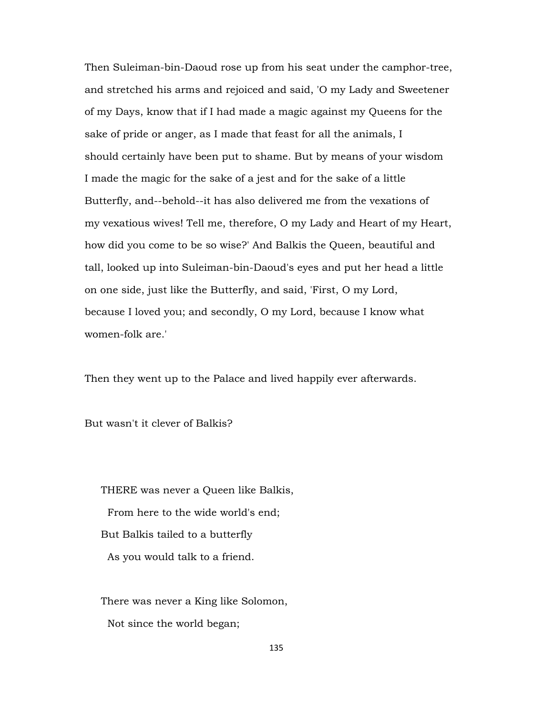Then Suleiman-bin-Daoud rose up from his seat under the camphor-tree, and stretched his arms and rejoiced and said, 'O my Lady and Sweetener of my Days, know that if I had made a magic against my Queens for the sake of pride or anger, as I made that feast for all the animals, I should certainly have been put to shame. But by means of your wisdom I made the magic for the sake of a jest and for the sake of a little Butterfly, and--behold--it has also delivered me from the vexations of my vexatious wives! Tell me, therefore, O my Lady and Heart of my Heart, how did you come to be so wise?' And Balkis the Queen, beautiful and tall, looked up into Suleiman-bin-Daoud's eyes and put her head a little on one side, just like the Butterfly, and said, 'First, O my Lord, because I loved you; and secondly, O my Lord, because I know what women-folk are.'

Then they went up to the Palace and lived happily ever afterwards.

But wasn't it clever of Balkis?

 THERE was never a Queen like Balkis, From here to the wide world's end; But Balkis tailed to a butterfly As you would talk to a friend.

 There was never a King like Solomon, Not since the world began;